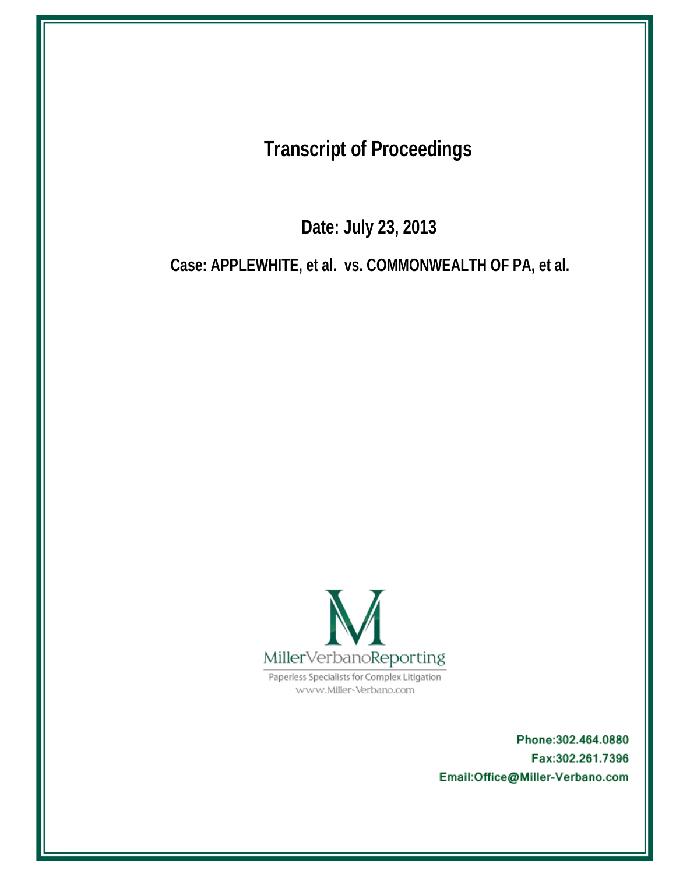**Transcript of Proceedings** 

Date: July 23, 2013

Case: APPLEWHITE, et al. vs. COMMONWEALTH OF PA, et al.



Paperless Specialists for Complex Litigation www.Miller-Verbano.com

> Phone: 302.464.0880 Fax:302.261.7396 Email:Office@Miller-Verbano.com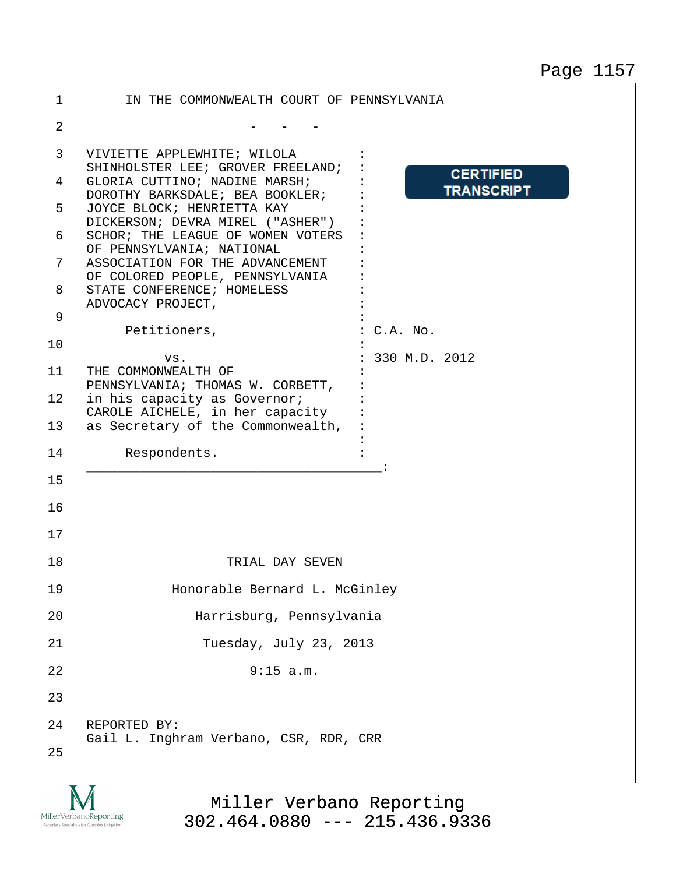| $\mathbf 1$    | IN THE COMMONWEALTH COURT OF PENNSYLVANIA                                                                 |  |  |  |  |  |
|----------------|-----------------------------------------------------------------------------------------------------------|--|--|--|--|--|
| $\overline{2}$ |                                                                                                           |  |  |  |  |  |
| 3              | VIVIETTE APPLEWHITE; WILOLA<br>SHINHOLSTER LEE; GROVER FREELAND;                                          |  |  |  |  |  |
| 4              | <b>CERTIFIED</b><br>GLORIA CUTTINO; NADINE MARSH;<br><b>TRANSCRIPT</b><br>DOROTHY BARKSDALE; BEA BOOKLER; |  |  |  |  |  |
| 5              | JOYCE BLOCK; HENRIETTA KAY<br>DICKERSON; DEVRA MIREL ("ASHER")                                            |  |  |  |  |  |
| 6              | SCHOR; THE LEAGUE OF WOMEN VOTERS<br>OF PENNSYLVANIA; NATIONAL                                            |  |  |  |  |  |
| 7              | ASSOCIATION FOR THE ADVANCEMENT<br>OF COLORED PEOPLE, PENNSYLVANIA                                        |  |  |  |  |  |
| 8              | STATE CONFERENCE; HOMELESS<br>ADVOCACY PROJECT,                                                           |  |  |  |  |  |
| 9              | Petitioners,<br>$C.A.$ No.                                                                                |  |  |  |  |  |
| 10             | 330 M.D. 2012<br>VS.                                                                                      |  |  |  |  |  |
| 11             | THE COMMONWEALTH OF<br>PENNSYLVANIA; THOMAS W. CORBETT,                                                   |  |  |  |  |  |
| 12             | in his capacity as Governor;<br>CAROLE AICHELE, in her capacity                                           |  |  |  |  |  |
| 13             | as Secretary of the Commonwealth,                                                                         |  |  |  |  |  |
| 14             | Respondents.                                                                                              |  |  |  |  |  |
| 15             |                                                                                                           |  |  |  |  |  |
| 16             |                                                                                                           |  |  |  |  |  |
| 17             |                                                                                                           |  |  |  |  |  |
| 18             | TRIAL DAY SEVEN                                                                                           |  |  |  |  |  |
| 19             | Honorable Bernard L. McGinley                                                                             |  |  |  |  |  |
| 20             | Harrisburg, Pennsylvania                                                                                  |  |  |  |  |  |
| 21             | Tuesday, July 23, 2013                                                                                    |  |  |  |  |  |
| 22             | 9:15 a.m.                                                                                                 |  |  |  |  |  |
| 23             |                                                                                                           |  |  |  |  |  |
| 24             | REPORTED BY:<br>Gail L. Inghram Verbano, CSR, RDR, CRR                                                    |  |  |  |  |  |
| 25             |                                                                                                           |  |  |  |  |  |
|                |                                                                                                           |  |  |  |  |  |

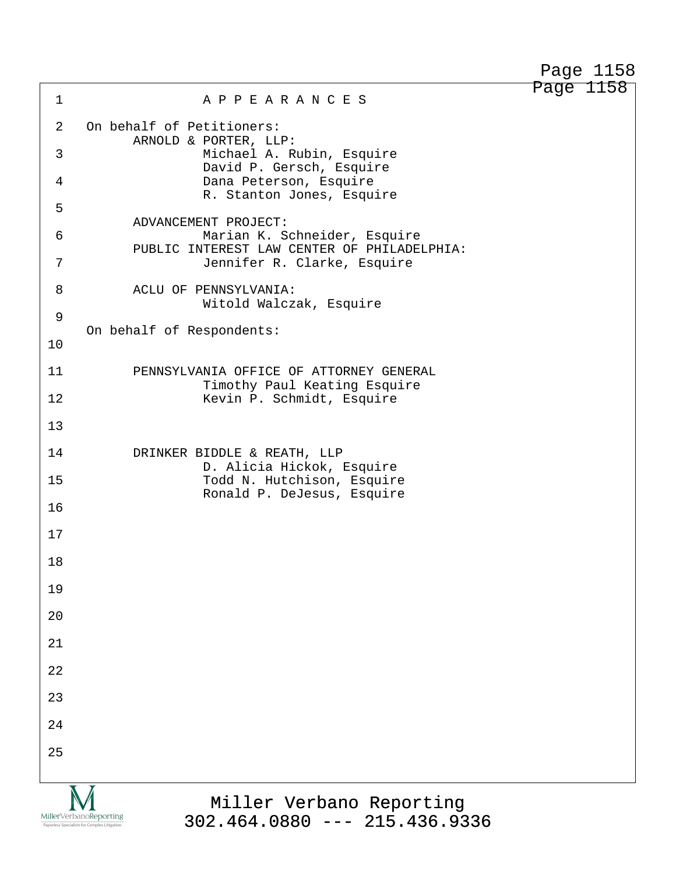Page 1158

1 A P P E A R A N C E S 2 On behalf of Petitioners: ARNOLD & PORTER, LLP: ·3· · · · · · · · · Michael A. Rubin, Esquire David P. Gersch, Esquire 4 · · · · · · · · · · Dana Peterson, Esquire R. Stanton Jones, Esquire ·5 ADVANCEMENT PROJECT: 6 · · · · · · · · · · · · Marian K. Schneider, Esquire PUBLIC INTEREST LAW CENTER OF PHILADELPHIA: 7 · · · · · · · · · Jennifer R. Clarke, Esquire 8 ACLU OF PENNSYLVANIA: Witold Walczak, Esquire ·9 On behalf of Respondents: 10 11 **· · PENNSYLVANIA OFFICE OF ATTORNEY GENERAL** Timothy Paul Keating Esquire 12· · · · · · · · · Kevin P. Schmidt, Esquire 13 14 **DRINKER BIDDLE & REATH, LLP** D. Alicia Hickok, Esquire 15· · · · · · · · · Todd N. Hutchison, Esquire Ronald P. DeJesus, Esquire 16 17 18 19 20 21 22 23 24 25 Miller Verbano Reporting

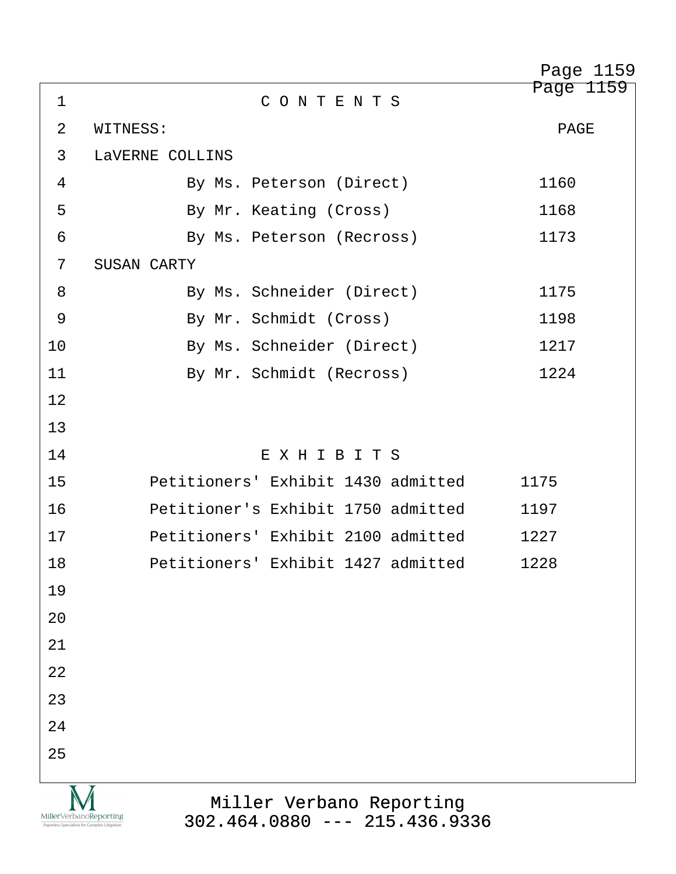|             |                                                                                                                                       | Page 1159 |
|-------------|---------------------------------------------------------------------------------------------------------------------------------------|-----------|
| $\mathbf 1$ | CONTENTS                                                                                                                              | Page 1159 |
| 2           | WITNESS:                                                                                                                              | PAGE      |
| 3           | LAVERNE COLLINS                                                                                                                       |           |
| 4           | By Ms. Peterson (Direct)                                                                                                              | 1160      |
| 5           | By Mr. Keating (Cross)                                                                                                                | 1168      |
| 6           | By Ms. Peterson (Recross)                                                                                                             | 1173      |
| 7           | SUSAN CARTY                                                                                                                           |           |
| 8           | By Ms. Schneider (Direct)                                                                                                             | 1175      |
| 9           | By Mr. Schmidt (Cross)                                                                                                                | 1198      |
| 10          | By Ms. Schneider (Direct)                                                                                                             | 1217      |
| 11          | By Mr. Schmidt (Recross)                                                                                                              | 1224      |
| 12          |                                                                                                                                       |           |
| 13          |                                                                                                                                       |           |
| 14          | EXHIBITS                                                                                                                              |           |
| 15          | Petitioners' Exhibit 1430 admitted                                                                                                    | 1175      |
| 16          | Petitioner's Exhibit 1750 admitted                                                                                                    | 1197      |
| 17          | Petitioners' Exhibit 2100 admitted                                                                                                    | 1227      |
| 18          | Petitioners' Exhibit 1427 admitted                                                                                                    | 1228      |
| 19          |                                                                                                                                       |           |
| 20          |                                                                                                                                       |           |
| 21          |                                                                                                                                       |           |
| 22          |                                                                                                                                       |           |
| 23          |                                                                                                                                       |           |
| 24          |                                                                                                                                       |           |
| 25          |                                                                                                                                       |           |
|             | Miller Verbano Reporting<br>MillerVerbanoReporting<br>$302.464.0880$ --- 215.436.9336<br>Paperless Specialists for Complex Litigation |           |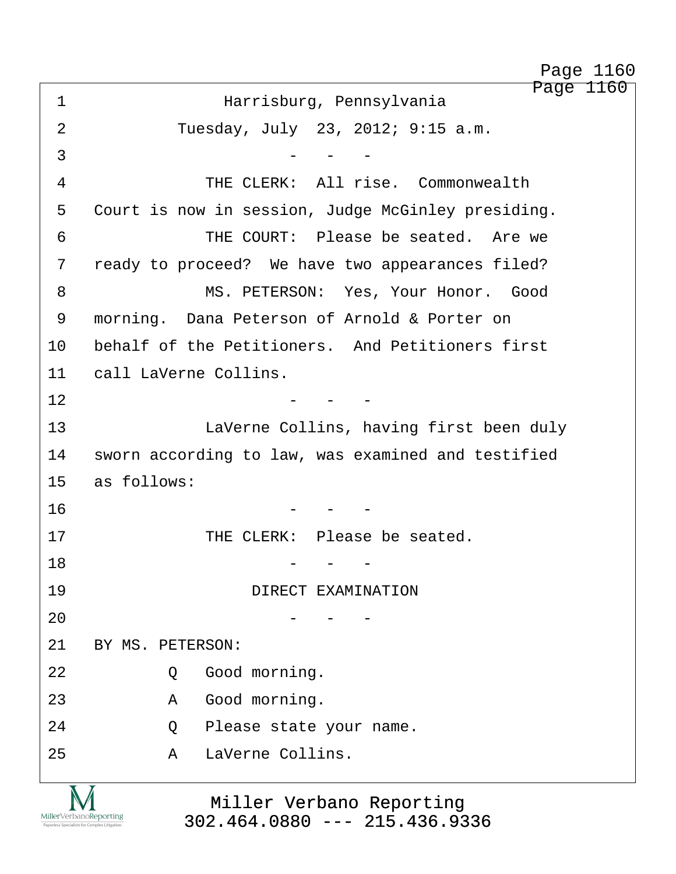Page 1160 ·1· · · · · · · · ·Harrisburg, Pennsylvania 2 Tuesday, July 23, 2012; 9:15 a.m.  $\overline{3}$   $\overline{2}$   $\overline{3}$   $\overline{3}$   $\overline{3}$   $\overline{4}$   $\overline{5}$   $\overline{4}$   $\overline{5}$   $\overline{6}$   $\overline{2}$   $\overline{4}$   $\overline{5}$   $\overline{6}$   $\overline{2}$   $\overline{6}$   $\overline{2}$   $\overline{6}$   $\overline{2}$   $\overline{6}$   $\overline{2}$   $\overline{6}$   $\overline{2}$   $\overline{6}$   $\overline{$ 4 THE CLERK: All rise. Commonwealth 5 Court is now in session, Judge McGinley presiding. 6 · · · · · · · · THE COURT: Please be seated. Are we 7 ready to proceed? We have two appearances filed? 8 MS. PETERSON: Yes, Your Honor. Good 9 morning. Dana Peterson of Arnold & Porter on 10 behalf of the Petitioners. And Petitioners first 11 call LaVerne Collins.  $12$  - - -13 · · · · · · LaVerne Collins, having first been duly 14 sworn according to law, was examined and testified 15 as follows:  $16$   $-$ 17 THE CLERK: Please be seated. 18· · · · · · · · · · · · -· ·-· ·- 19 · · · · · · · · · · · · · · DIRECT EXAMINATION  $20$  - - -21 BY MS. PETERSON: 22· · · · · ·Q· ·Good morning. 23· · · · · ·A· ·Good morning. 24· · · · · ·Q· ·Please state your name. 25· · · · · ·A· ·LaVerne Collins. Page 1160

Miller Verbano Reporting [302.464.0880 --- 215.436.9336](http://www.miller-verbano.com)

MillerVerbanoReporting

http://www.yeslaw.net/help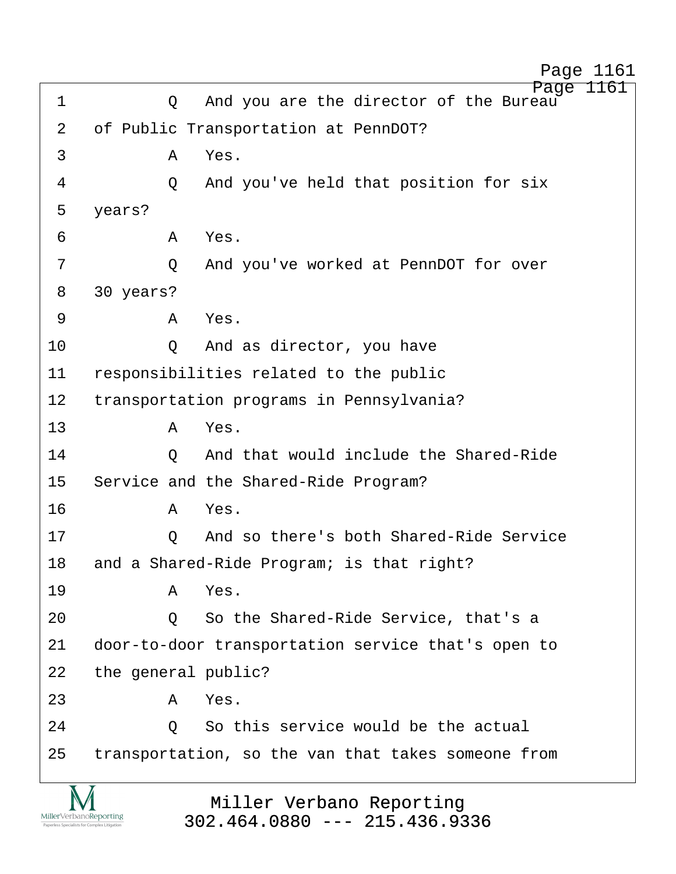| 1                                                                      | Q                                         | Page<br>1161<br>And you are the director of the Bureau      |  |  |  |
|------------------------------------------------------------------------|-------------------------------------------|-------------------------------------------------------------|--|--|--|
| 2                                                                      |                                           | of Public Transportation at PennDOT?                        |  |  |  |
| 3                                                                      | A                                         | Yes.                                                        |  |  |  |
| 4                                                                      | Q                                         | And you've held that position for six                       |  |  |  |
| 5                                                                      | years?                                    |                                                             |  |  |  |
| 6                                                                      | A                                         | Yes.                                                        |  |  |  |
| 7                                                                      | Q                                         | And you've worked at PennDOT for over                       |  |  |  |
| 8                                                                      | 30 years?                                 |                                                             |  |  |  |
| 9                                                                      | A                                         | Yes.                                                        |  |  |  |
| 10                                                                     | $\circ$                                   | And as director, you have                                   |  |  |  |
| 11                                                                     | responsibilities related to the public    |                                                             |  |  |  |
| 12                                                                     |                                           | transportation programs in Pennsylvania?                    |  |  |  |
| 13                                                                     | A                                         | Yes.                                                        |  |  |  |
| 14                                                                     | $\circ$                                   | And that would include the Shared-Ride                      |  |  |  |
| 15                                                                     |                                           | Service and the Shared-Ride Program?                        |  |  |  |
| 16                                                                     | A                                         | Yes.                                                        |  |  |  |
| 17                                                                     | Q                                         | And so there's both Shared-Ride Service                     |  |  |  |
| 18                                                                     | and a Shared-Ride Program; is that right? |                                                             |  |  |  |
| 19                                                                     | A                                         | Yes.                                                        |  |  |  |
| 20                                                                     | Q                                         | So the Shared-Ride Service, that's a                        |  |  |  |
| 21                                                                     |                                           | door-to-door transportation service that's open to          |  |  |  |
| 22                                                                     | the general public?                       |                                                             |  |  |  |
| 23                                                                     | A                                         | Yes.                                                        |  |  |  |
| 24                                                                     | $\circ$                                   | So this service would be the actual                         |  |  |  |
| 25                                                                     |                                           | transportation, so the van that takes someone from          |  |  |  |
|                                                                        |                                           |                                                             |  |  |  |
| MillerVerbanoReporting<br>Paperless Specialists for Complex Litigation |                                           | Miller Verbano Reporting<br>$302.464.0880$ --- 215.436.9336 |  |  |  |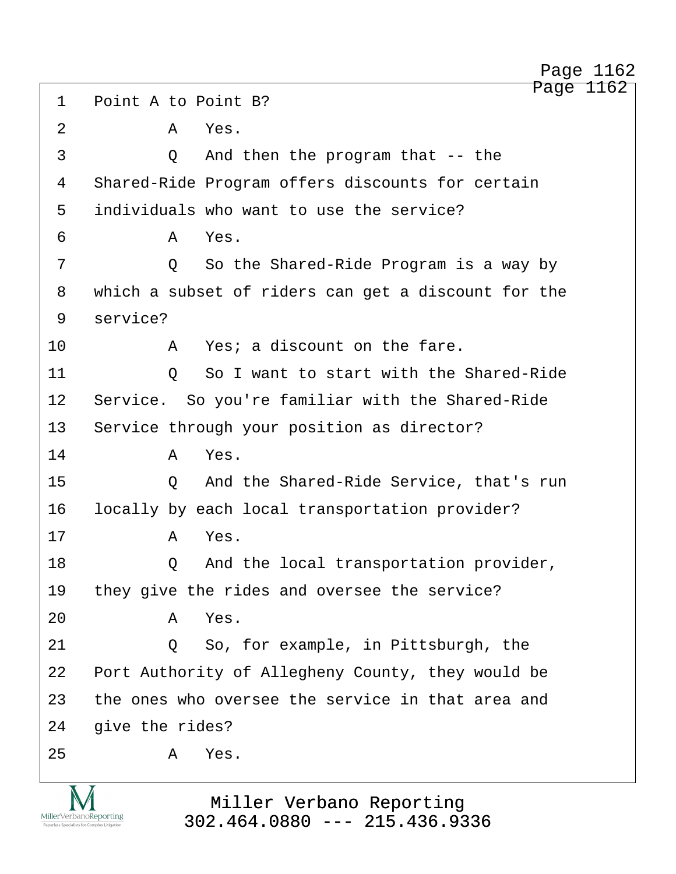1 Point A to Point B? 2 A Yes. 3 and then the program that -- the 4 Shared-Ride Program offers discounts for certain 5 individuals who want to use the service? ·6· · · · · ·A· ·Yes. ·7· · · · · ·Q· ·So the Shared-Ride Program is a way by 8 which a subset of riders can get a discount for the 9 service? 10· · · · · ·A· ·Yes; a discount on the fare. 11· · · · · ·Q· ·So I want to start with the Shared-Ride 12 Service. So you're familiar with the Shared-Ride 13 Service through your position as director? 14· · · · · ·A· ·Yes. 15· · · · · ·Q· ·And the Shared-Ride Service, that's run 16 locally by each local transportation provider?  $17$   $A$   $Yes$ . 18· · · · · ·Q· ·And the local transportation provider, 19 they give the rides and oversee the service? 20· · · · · ·A· ·Yes. 21 0 So, for example, in Pittsburgh, the 22 Port Authority of Allegheny County, they would be 23 the ones who oversee the service in that area and 24 qive the rides?  $25$   $A$   $Yes$ .

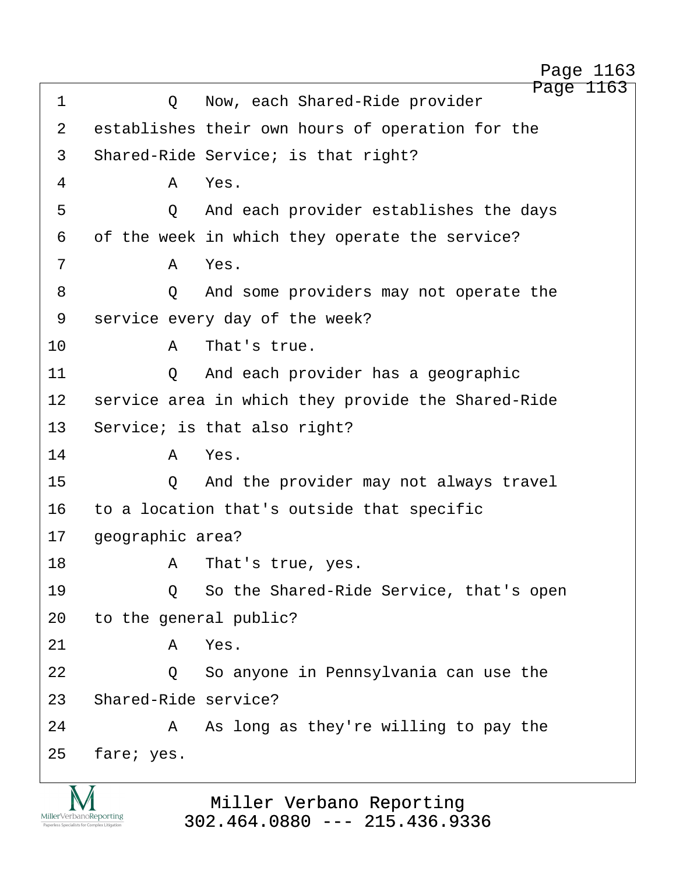Page 1163 1 · · · · · Q · · Now, each Shared-Ride provider 2 establishes their own hours of operation for the 3 Shared-Ride Service; is that right? ·4· · · · · ·A· ·Yes. ·5· · · · · ·Q· ·And each provider establishes the days 6 of the week in which they operate the service? ·7· · · · · ·A· ·Yes. 8 · · · · · Q · And some providers may not operate the 9 service every day of the week? 10· · · · · ·A· ·That's true. 11 · · · · · Q · And each provider has a geographic 12 service area in which they provide the Shared-Ride 13 Service; is that also right? 14· · · · · ·A· ·Yes. 15· · · · · ·Q· ·And the provider may not always travel 16 to a location that's outside that specific 17 geographic area? 18· · · · · ·A· ·That's true, yes. 19 · · · · Q · So the Shared-Ride Service, that's open 20 to the general public?  $21$   $A$   $Yes$ . 22 · · · · · Q · So anyone in Pennsylvania can use the 23 Shared-Ride service? 24· · · · · ·A· ·As long as they're willing to pay the 25 fare; yes. Page 1163



Miller Verbano Reporting [302.464.0880 --- 215.436.9336](http://www.miller-verbano.com) http://www.yeslaw.net/help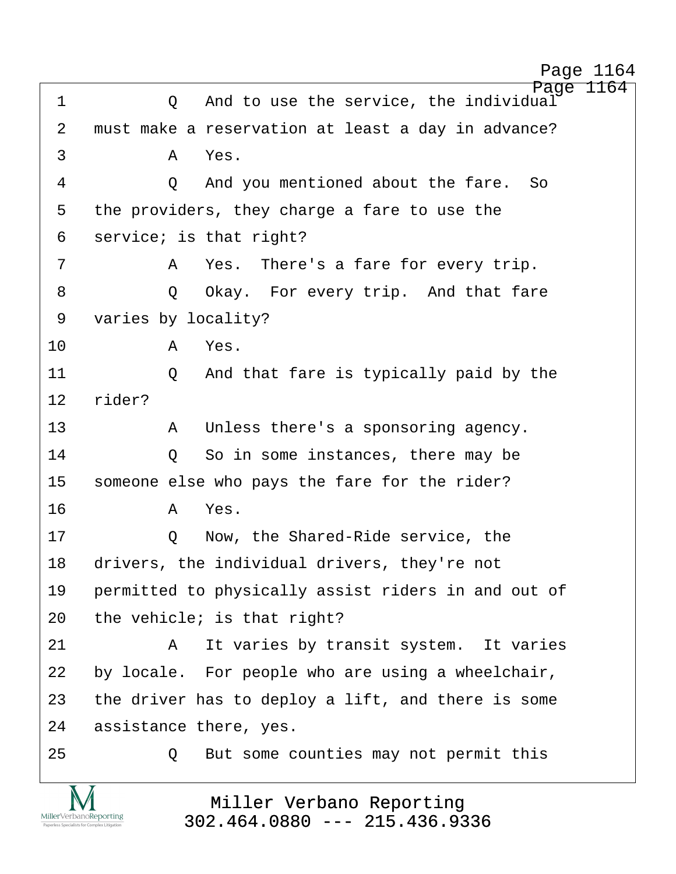http://www.yeslaw.net/help

Page 1164 1 0 And to use the service, the individual 2 must make a reservation at least a day in advance? ·3· · · · · ·A· ·Yes. ·4· · · · · ·Q· ·And you mentioned about the fare.· So 5 the providers, they charge a fare to use the 6 service; is that right? ·7· · · · · ·A· ·Yes.· There's a fare for every trip. 8 · · · · Q Okay. For every trip. And that fare 9 varies by locality? 10· · · · · ·A· ·Yes. 11 **2** And that fare is typically paid by the 12 rider? 13· · · · · ·A· ·Unless there's a sponsoring agency. 14· · · · · ·Q· ·So in some instances, there may be 15 someone else who pays the fare for the rider? 16· · · · · ·A· ·Yes. 17 · · · · · O · Now, the Shared-Ride service, the 18 drivers, the individual drivers, they're not 19 permitted to physically assist riders in and out of 20  $the$  vehicle; is that right? 21· · · · · ·A· ·It varies by transit system.· It varies 22 by locale. For people who are using a wheelchair, 23 the driver has to deploy a lift, and there is some 24 assistance there, yes. 25 · · · · · Q · But some counties may not permit this

Miller Verbano Reporting [302.464.0880 --- 215.436.9336](http://www.miller-verbano.com)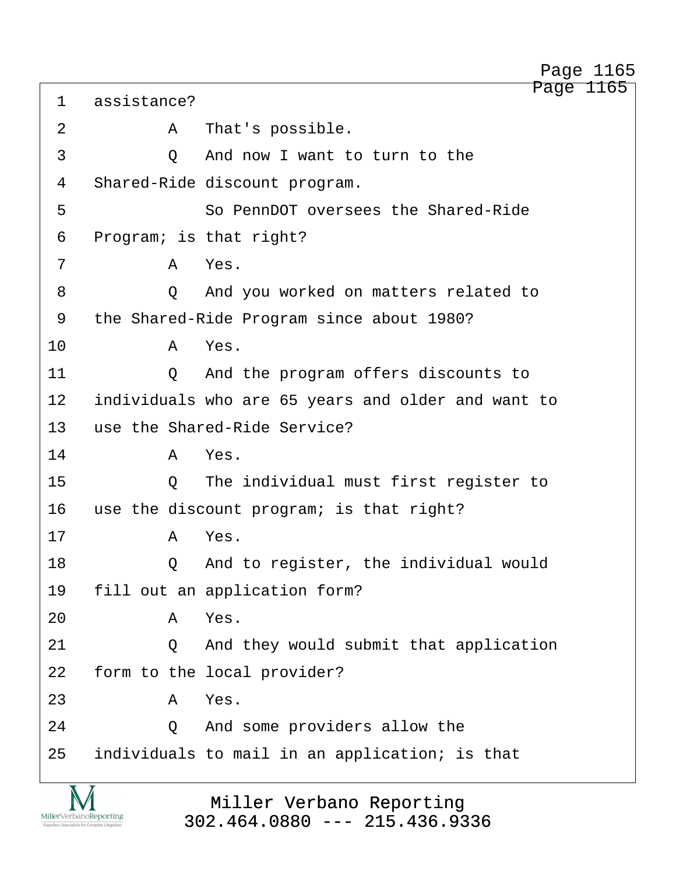Page 1165 1 assistance? 2 A That's possible. 3 0 And now I want to turn to the 4 Shared-Ride discount program. ·5· · · · · · · ·So PennDOT oversees the Shared-Ride 6 Program; is that right? ·7· · · · · ·A· ·Yes. ·8· · · · · ·Q· ·And you worked on matters related to 9 the Shared-Ride Program since about 1980? 10· · · · · ·A· ·Yes. 11· · · · · ·Q· ·And the program offers discounts to 12 individuals who are 65 years and older and want to 13 use the Shared-Ride Service? 14· · · · · ·A· ·Yes. 15 0 The individual must first register to 16 use the discount program; is that right? 17· · · · · ·A· ·Yes. 18 Q And to register, the individual would 19 fill out an application form? 20· · · · · ·A· ·Yes. 21 0 And they would submit that application 22 form to the local provider?  $23$   $A$   $Yes$ . 24· · · · · ·Q· ·And some providers allow the 25 individuals to mail in an application; is that

> Miller Verbano Reporting [302.464.0880 --- 215.436.9336](http://www.miller-verbano.com)

MillerVerbanoReporting

Page 1165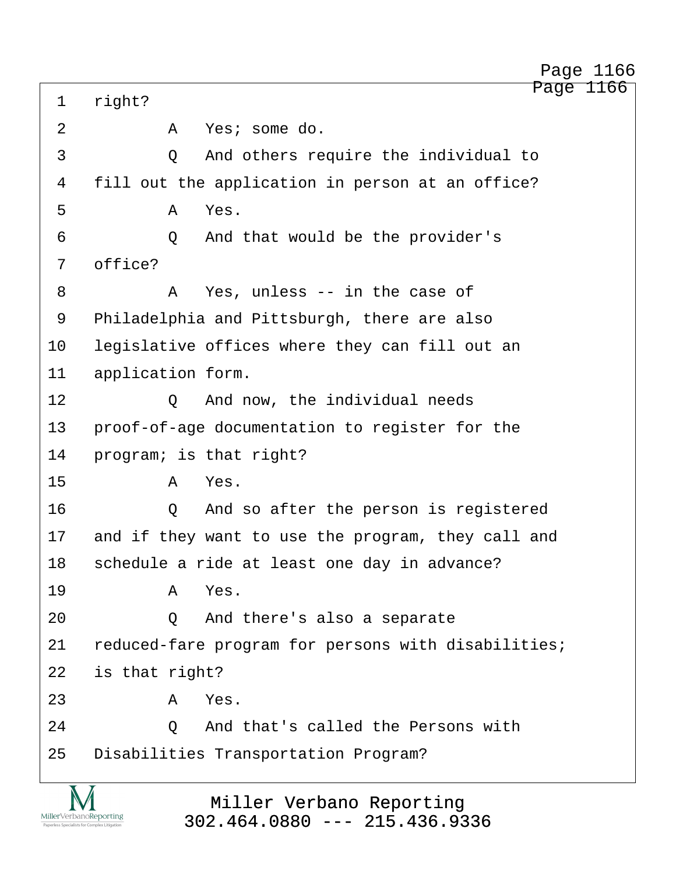1 right? ·2· · · · · ·A· ·Yes; some do. ·3· · · · · ·Q· ·And others require the individual to 4 fill out the application in person at an office?  $5$   $A$   $Yes$ . ·6· · · · · ·Q· ·And that would be the provider's 7 office? ·8· · · · · ·A· ·Yes, unless -- in the case of 9 Philadelphia and Pittsburgh, there are also 10 legislative offices where they can fill out an 11 application form. 12 0 And now, the individual needs 13 • proof-of-age documentation to register for the 14 program; is that right?  $15$   $A$   $Yes.$ 16· · · · · ·Q· ·And so after the person is registered 17 and if they want to use the program, they call and 18 schedule a ride at least one day in advance? 19· · · · · ·A· ·Yes. 20 · · · · · Q · And there's also a separate 21 reduced-fare program for persons with disabilities; 22 is that right?  $23$   $A$   $Yes$ . 24 0 And that's called the Persons with 25 Disabilities Transportation Program?

> Miller Verbano Reporting [302.464.0880 --- 215.436.9336](http://www.miller-verbano.com)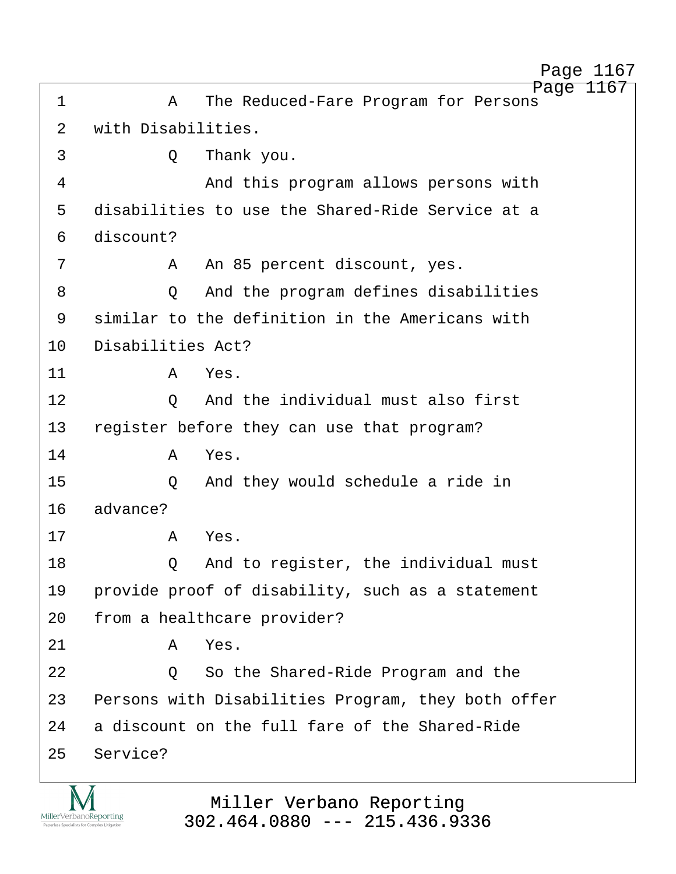Page 1167 ·1· · · · · ·A· ·The Reduced-Fare Program for Persons 2 with Disabilities. ·3· · · · · ·Q· ·Thank you. 4 and this program allows persons with 5 disabilities to use the Shared-Ride Service at a 6 discount? ·7· · · · · ·A· ·An 85 percent discount, yes. ·8· · · · · ·Q· ·And the program defines disabilities 9 similar to the definition in the Americans with 10 Disabilities Act?  $11$   $A$   $Yes$ . 12 0 And the individual must also first 13 register before they can use that program? 14· · · · · ·A· ·Yes. 15· · · · · ·Q· ·And they would schedule a ride in 16 advance? 17· · · · · ·A· ·Yes. 18 Q And to register, the individual must 19 · provide proof of disability, such as a statement 20 from a healthcare provider?  $21$   $A$   $Yes$ . 22 · · · · · · · · · · · · So the Shared-Ride Program and the 23 Persons with Disabilities Program, they both offer 24 a discount on the full fare of the Shared-Ride 25 Service?

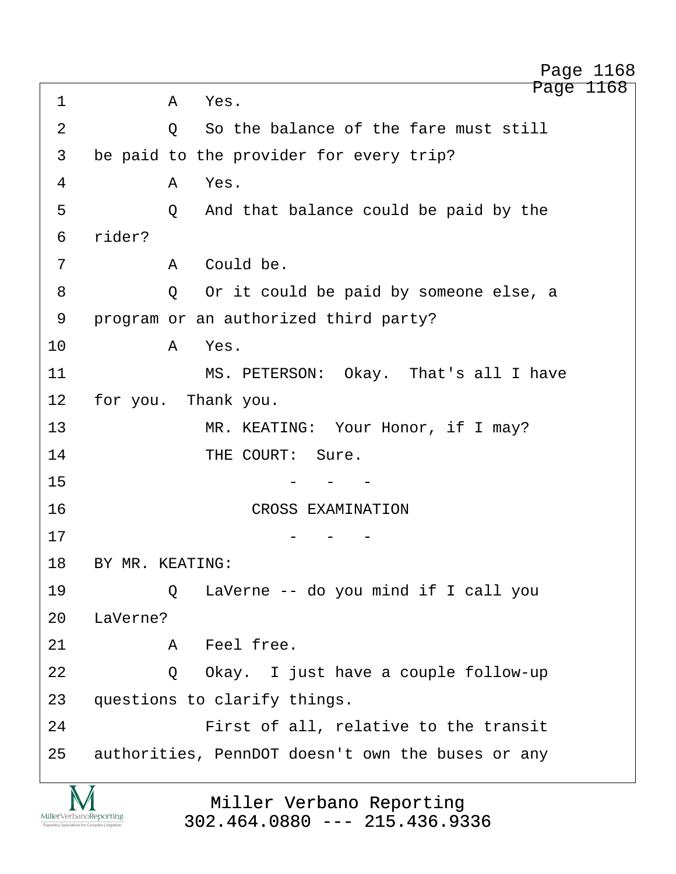Page 1168 1 a Yes. 2 0 So the balance of the fare must still 3 be paid to the provider for every trip? ·4· · · · · ·A· ·Yes. 5 · · · · · · Q · And that balance could be paid by the 6 rider? ·7· · · · · ·A· ·Could be. ·8· · · · · ·Q· ·Or it could be paid by someone else, a 9 • program or an authorized third party? 10 a Yes. 11 MS. PETERSON: Okay. That's all I have 12 for you. Thank you. 13· · · · · · · ·MR. KEATING:· Your Honor, if I may? 14 THE COURT: Sure.  $15$   $-$ 16· · · · · · · · · · CROSS EXAMINATION  $17$  - - -18 BY MR. KEATING: 19· · · · · ·Q· ·LaVerne -- do you mind if I call you 20 LaVerne? 21· · · · · ·A· ·Feel free. 22 · · · · Q Okay. I just have a couple follow-up 23 questions to clarify things. 24· · · · · · · ·First of all, relative to the transit 25 authorities, PennDOT doesn't own the buses or any Page 1168

MillerVerbanoReporting

Miller Verbano Reporting [302.464.0880 --- 215.436.9336](http://www.miller-verbano.com) http://www.yeslaw.net/help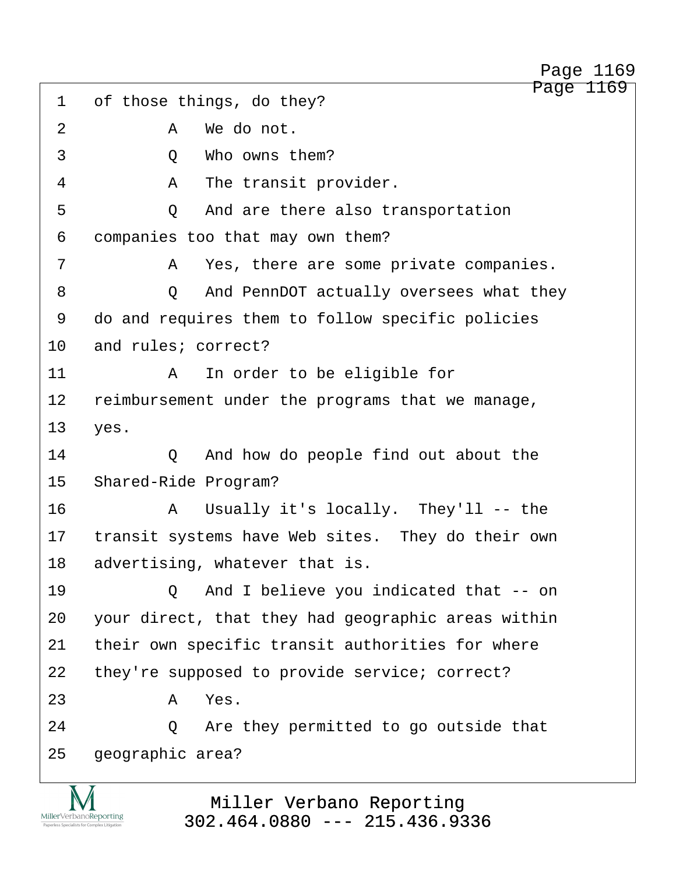Page 1169 1 of those things, do they? ·2· · · · · ·A· ·We do not. 3 0 Who owns them? ·4· · · · · ·A· ·The transit provider. 5 · · · · · · Q · And are there also transportation 6 companies too that may own them? ·7· · · · · ·A· ·Yes, there are some private companies. ·8· · · · · ·Q· ·And PennDOT actually oversees what they 9 do and requires them to follow specific policies 10 and rules; correct? 11· · · · · ·A· ·In order to be eligible for 12 reimbursement under the programs that we manage, 13 yes. 14 **2** And how do people find out about the 15 Shared-Ride Program? 16· · · · · ·A· ·Usually it's locally.· They'll -- the 17 transit systems have Web sites. They do their own 18 advertising, whatever that is. 19· · · · · ·Q· ·And I believe you indicated that -- on 20 your direct, that they had geographic areas within 21 their own specific transit authorities for where 22 they're supposed to provide service; correct?  $23$   $A$   $Yes$ . 24 **24** 24 **2** Are they permitted to go outside that 25 geographic area?

> Miller Verbano Reporting [302.464.0880 --- 215.436.9336](http://www.miller-verbano.com)

MillerVerbanoReporting

Page 1169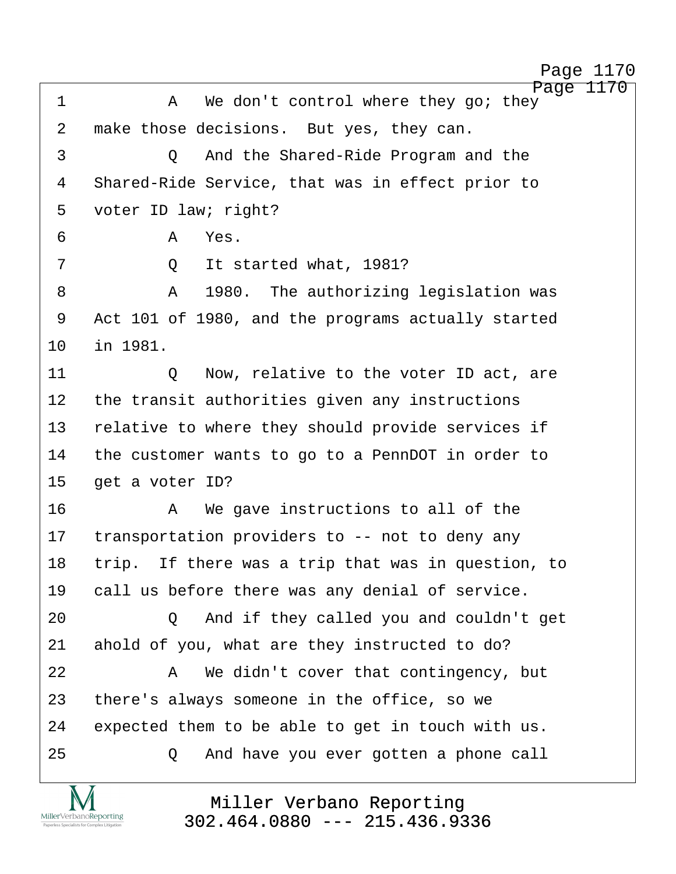http://www.yeslaw.net/help

Page 1170 ·1· · · · · ·A· ·We don't control where they go; they 2 make those decisions. But yes, they can. ·3· · · · · ·Q· ·And the Shared-Ride Program and the 4 Shared-Ride Service, that was in effect prior to 5 voter ID law; right? ·6· · · · · ·A· ·Yes. ·7· · · · · ·Q· ·It started what, 1981? ·8· · · · · ·A· ·1980.· The authorizing legislation was 9 Act 101 of 1980, and the programs actually started 10 in 1981. 11· · · · · ·Q· ·Now, relative to the voter ID act, are 12 the transit authorities given any instructions 13 relative to where they should provide services if 14 the customer wants to go to a PennDOT in order to 15 get a voter ID? 16· · · · · ·A· ·We gave instructions to all of the 17 transportation providers to -- not to deny any 18 trip. If there was a trip that was in question, to 19 call us before there was any denial of service. 20 · · · · Q · And if they called you and couldn't get 21 ahold of you, what are they instructed to do? 22 A We didn't cover that contingency, but 23 there's always someone in the office, so we 24 expected them to be able to get in touch with us. 25 · 20 · And have you ever gotten a phone call

> Miller Verbano Reporting [302.464.0880 --- 215.436.9336](http://www.miller-verbano.com)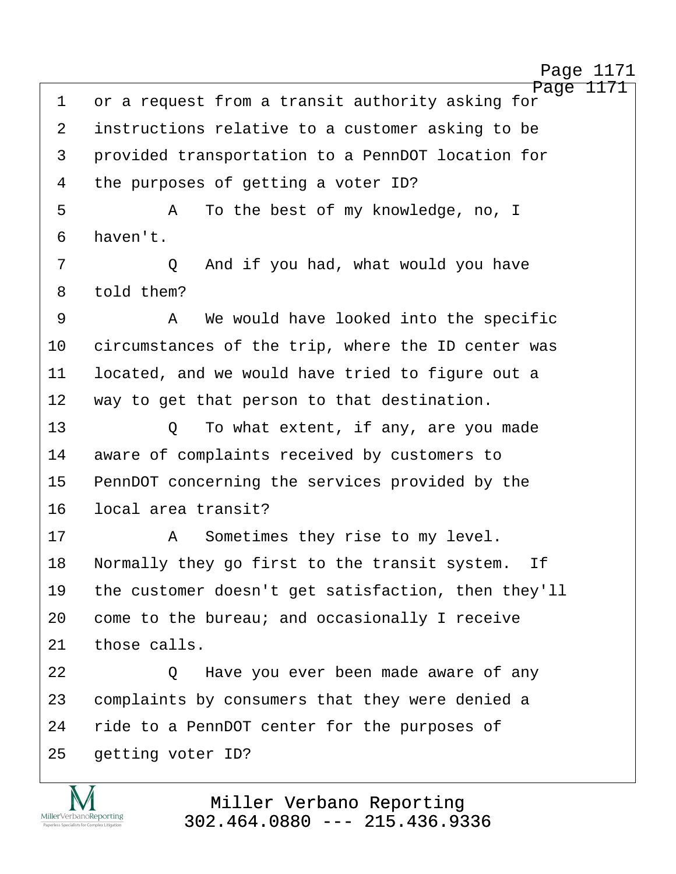http://www.yeslaw.net/help

Page 1171 1 or a request from a transit authority asking for 2 instructions relative to a customer asking to be 3 · provided transportation to a PennDOT location for 4 the purposes of getting a voter ID? ·5· · · · · ·A· ·To the best of my knowledge, no, I 6 haven't. 7 · · · · · · Q · And if you had, what would you have 8 told them? ·9· · · · · ·A· ·We would have looked into the specific 10 circumstances of the trip, where the ID center was 11 located, and we would have tried to figure out a 12 way to get that person to that destination. 13 · · · · Q · To what extent, if any, are you made 14 aware of complaints received by customers to 15 PennDOT concerning the services provided by the 16 local area transit? 17· · · · · ·A· ·Sometimes they rise to my level. 18 Normally they go first to the transit system. If 19 the customer doesn't get satisfaction, then they'll 20 come to the bureau; and occasionally I receive  $21$  those calls. 22 **22 2** D Have you ever been made aware of any 23 complaints by consumers that they were denied a 24 ride to a PennDOT center for the purposes of 25 getting voter ID?

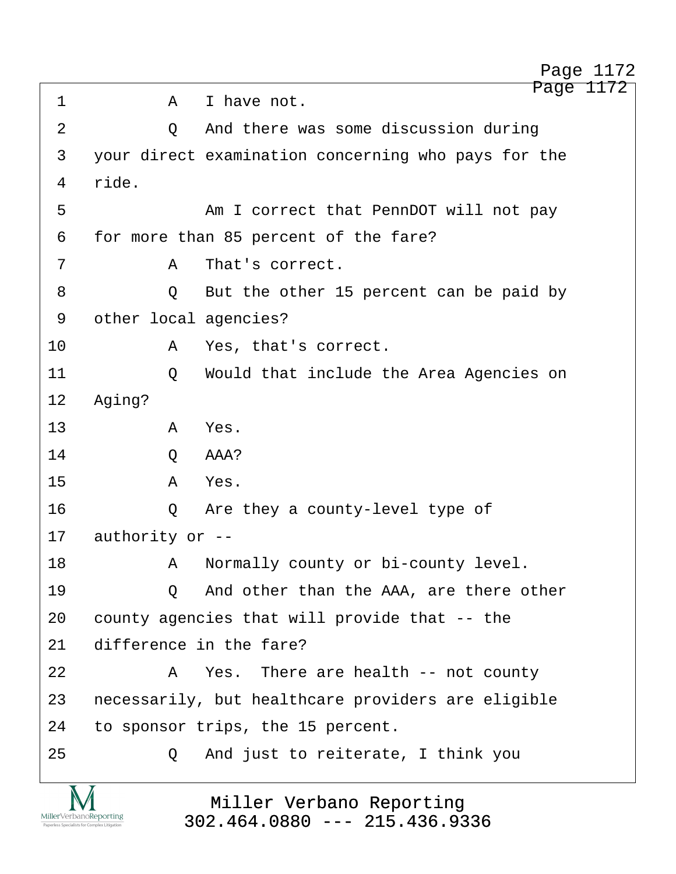Page 1172 ·1· · · · · ·A· ·I have not. 2 0 And there was some discussion during 3 your direct examination concerning who pays for the 4 ride. ·5· · · · · · · ·Am I correct that PennDOT will not pay 6 for more than 85 percent of the fare? ·7· · · · · ·A· ·That's correct. 8 · · · · · Q · But the other 15 percent can be paid by 9 other local agencies? 10· · · · · ·A· ·Yes, that's correct. 11· · · · · ·Q· ·Would that include the Area Agencies on 12 Aging? 13· · · · · ·A· ·Yes. 14· · · · · ·Q· ·AAA? 15· · · · · ·A· ·Yes. 16· · · · · ·Q· ·Are they a county-level type of  $17$  authority or  $-$ -18· · · · · ·A· ·Normally county or bi-county level. 19 · · · · · Q · And other than the AAA, are there other 20 county agencies that will provide that -- the 21 difference in the fare? 22· · · · · ·A· ·Yes.· There are health -- not county 23 necessarily, but healthcare providers are eligible 24 to sponsor trips, the 15 percent. 25 · 20 · And just to reiterate, I think you

> Miller Verbano Reporting [302.464.0880 --- 215.436.9336](http://www.miller-verbano.com)

MillerVerbanoReporting

http://www.yeslaw.net/help

Page 1172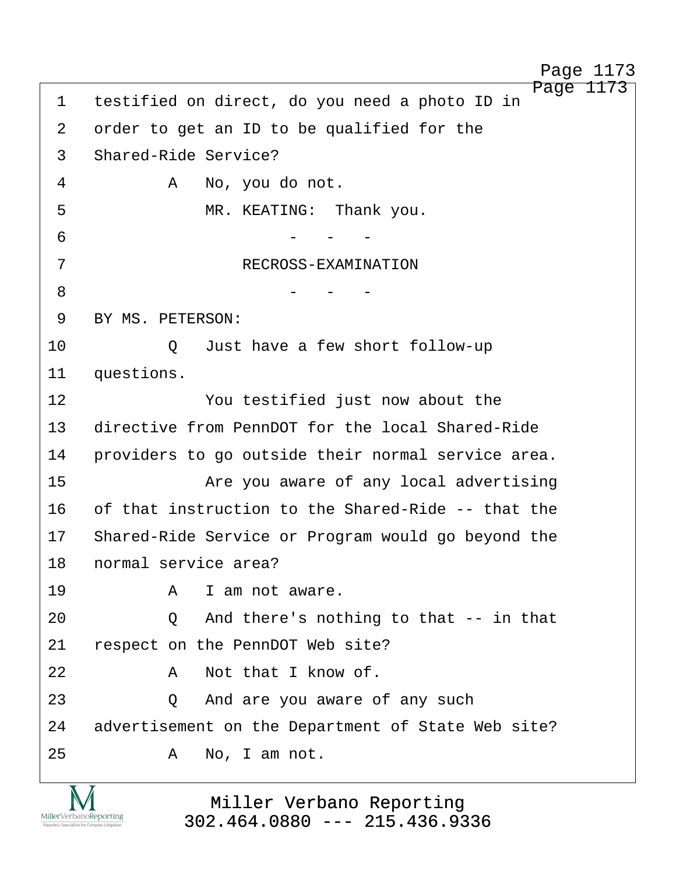Page 1173 1 testified on direct, do you need a photo ID in 2 order to get an ID to be qualified for the 3 Shared-Ride Service? ·4· · · · · ·A· ·No, you do not. ·5· · · · · · · ·MR. KEATING:· Thank you.  $\overline{6}$   $-$ ·7· · · · · · · · · ·RECROSS-EXAMINATION  $8\qquad \qquad - \qquad - \qquad -$ 9 BY MS. PETERSON: 10 0 Just have a few short follow-up 11 questions. 12· · · · · · · ·You testified just now about the 13 directive from PennDOT for the local Shared-Ride 14 · providers to go outside their normal service area. 15· · · · · · · ·Are you aware of any local advertising 16 of that instruction to the Shared-Ride -- that the 17 Shared-Ride Service or Program would go beyond the 18 normal service area? 19· · · · · ·A· ·I am not aware. 20· · · · · ·Q· ·And there's nothing to that -- in that 21 respect on the PennDOT Web site? 22· · · · · ·A· ·Not that I know of. 23 · 20 · And are you aware of any such 24 advertisement on the Department of State Web site? 25· · · · · ·A· ·No, I am not. Page 1173

> Miller Verbano Reporting [302.464.0880 --- 215.436.9336](http://www.miller-verbano.com)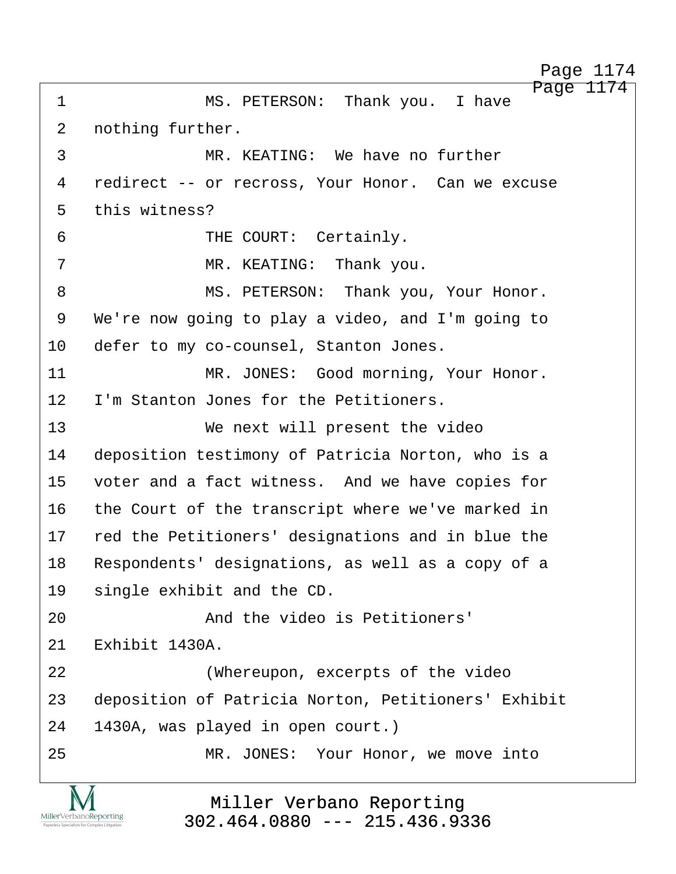Page 1174 ·1· · · · · · · ·MS. PETERSON:· Thank you.· I have 2 nothing further. 3 The MR. KEATING: We have no further 4 redirect -- or recross, Your Honor. Can we excuse 5 this witness? 6 · · · · · · · · THE COURT: Certainly. ·7· · · · · · · ·MR. KEATING:· Thank you. 8 MS. PETERSON: Thank you, Your Honor. 9 We're now going to play a video, and I'm going to 10 defer to my co-counsel, Stanton Jones. 11· · · · · · · ·MR. JONES:· Good morning, Your Honor. 12 I'm Stanton Jones for the Petitioners. 13· · · · · · · ·We next will present the video 14 deposition testimony of Patricia Norton, who is a 15 voter and a fact witness. And we have copies for 16 the Court of the transcript where we've marked in 17 red the Petitioners' designations and in blue the 18 Respondents' designations, as well as a copy of a 19 single exhibit and the CD. 20· · · · · · · ·And the video is Petitioners'  $21$   $Rxhithit$  1430A. 22· · · · · · · ·(Whereupon, excerpts of the video 23 deposition of Patricia Norton, Petitioners' Exhibit 24 1430A, was played in open court.) 25 MR. JONES: Your Honor, we move into

> Miller Verbano Reporting [302.464.0880 --- 215.436.9336](http://www.miller-verbano.com)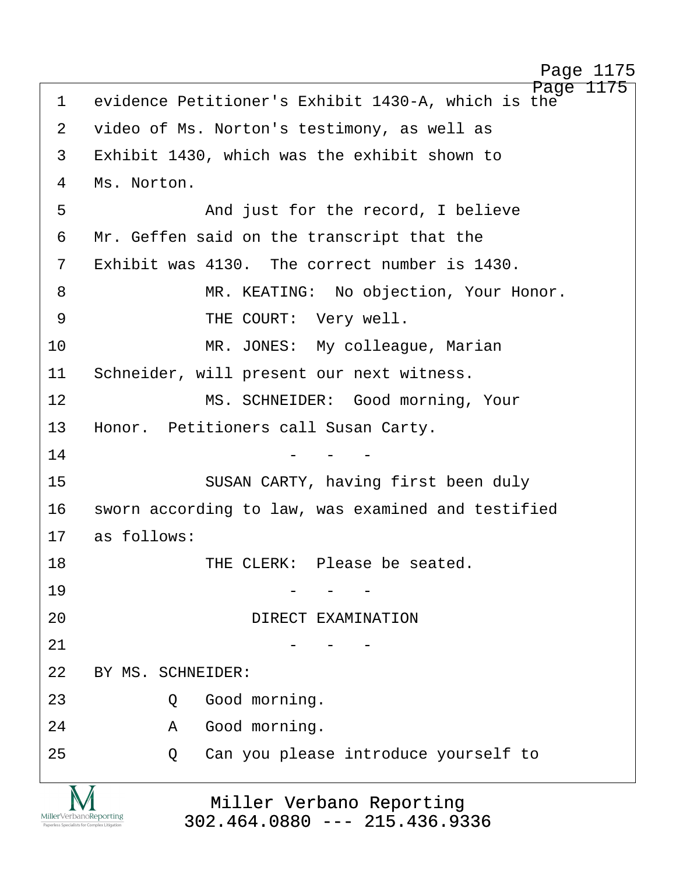http://www.yeslaw.net/help

/www.yeslaw.net/help

http:

| $\mathbf 1$                                                            | Page 1175<br>evidence Petitioner's Exhibit 1430-A, which is the |  |  |  |  |
|------------------------------------------------------------------------|-----------------------------------------------------------------|--|--|--|--|
| 2                                                                      | video of Ms. Norton's testimony, as well as                     |  |  |  |  |
| 3                                                                      | Exhibit 1430, which was the exhibit shown to                    |  |  |  |  |
| 4                                                                      | Ms. Norton.                                                     |  |  |  |  |
| 5                                                                      | And just for the record, I believe                              |  |  |  |  |
| 6                                                                      | Mr. Geffen said on the transcript that the                      |  |  |  |  |
| 7                                                                      | Exhibit was 4130. The correct number is 1430.                   |  |  |  |  |
| 8                                                                      | MR. KEATING: No objection, Your Honor.                          |  |  |  |  |
| 9                                                                      | THE COURT: Very well.                                           |  |  |  |  |
| 10                                                                     | MR. JONES: My colleague, Marian                                 |  |  |  |  |
| 11                                                                     | Schneider, will present our next witness.                       |  |  |  |  |
| 12                                                                     | MS. SCHNEIDER: Good morning, Your                               |  |  |  |  |
| 13                                                                     | Honor. Petitioners call Susan Carty.                            |  |  |  |  |
| 14                                                                     |                                                                 |  |  |  |  |
| 15                                                                     | SUSAN CARTY, having first been duly                             |  |  |  |  |
| 16                                                                     | sworn according to law, was examined and testified              |  |  |  |  |
| 17                                                                     | as follows:                                                     |  |  |  |  |
| 18                                                                     | THE CLERK: Please be seated.                                    |  |  |  |  |
| 19                                                                     |                                                                 |  |  |  |  |
| 20                                                                     | DIRECT EXAMINATION                                              |  |  |  |  |
| 21                                                                     |                                                                 |  |  |  |  |
| 22                                                                     | BY MS. SCHNEIDER:                                               |  |  |  |  |
| 23                                                                     | Good morning.<br>Q                                              |  |  |  |  |
| 24                                                                     | Good morning.<br>Α                                              |  |  |  |  |
| 25                                                                     | Can you please introduce yourself to<br>Q                       |  |  |  |  |
| MillerVerbanoReporting<br>Paperless Specialists for Complex Litigation | Miller Verbano Reporting<br>$302.464.0880$ --- 215.436.9336     |  |  |  |  |

[302.464.0880 --- 215.436.9336](http://www.miller-verbano.com)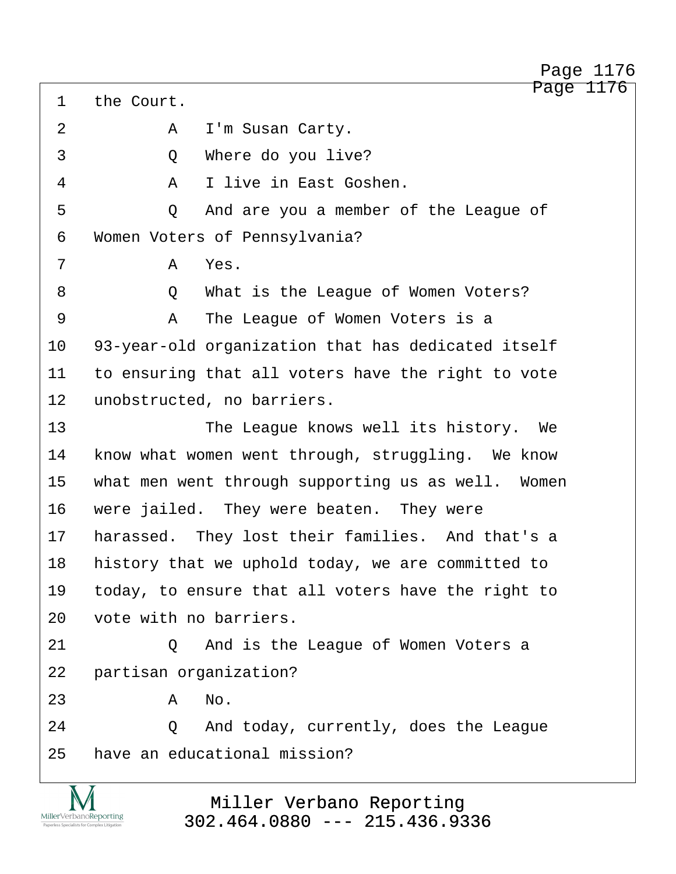Page 1176 1 the Court. 2 A I'm Susan Carty. 3 0 Where do you live? ·4· · · · · ·A· ·I live in East Goshen. 5 · · · · · · Q · And are you a member of the League of 6 Women Voters of Pennsylvania? ·7· · · · · ·A· ·Yes. ·8· · · · · ·Q· ·What is the League of Women Voters? ·9· · · · · ·A· ·The League of Women Voters is a 10 93-year-old organization that has dedicated itself 11 to ensuring that all voters have the right to vote 12 unobstructed, no barriers. 13 · · · · · · · · The League knows well its history. We 14 know what women went through, struggling. We know 15 what men went through supporting us as well. Women 16 were jailed. They were beaten. They were 17 harassed. They lost their families. And that's a 18 history that we uphold today, we are committed to 19 today, to ensure that all voters have the right to 20 vote with no barriers. 21 0 And is the League of Women Voters a 22 partisan organization?  $23$   $A$   $No$ . 24 · · · · Q · And today, currently, does the League 25 · have an educational mission?

> Miller Verbano Reporting [302.464.0880 --- 215.436.9336](http://www.miller-verbano.com)

MillerVerbanoReporting

http://www.yeslaw.net/help

Page 1176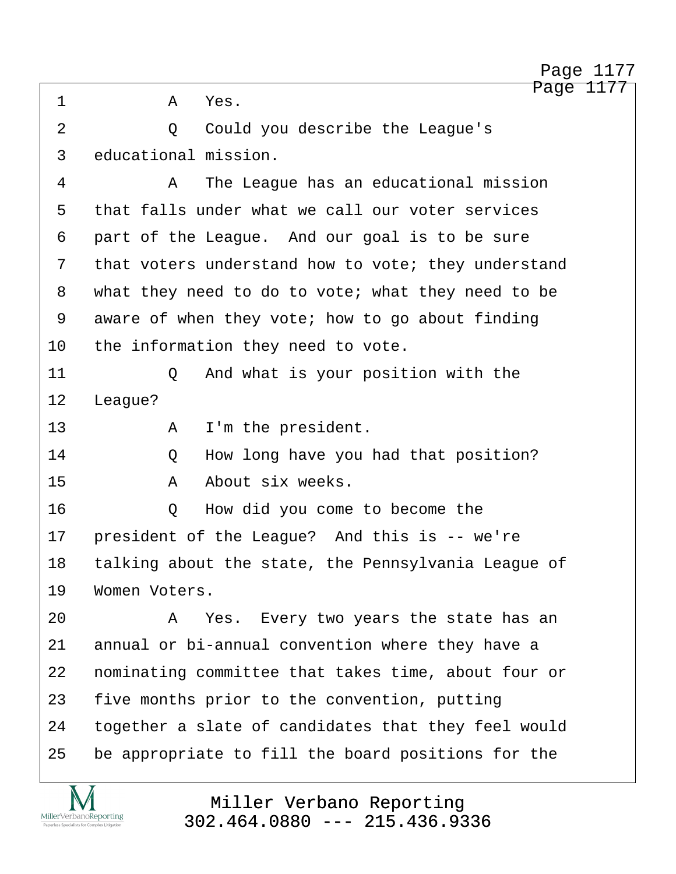2 0 Could you describe the League's ·4· · · · · ·A· ·The League has an educational mission 5 that falls under what we call our voter services 6 part of the League. And our goal is to be sure 7 that voters understand how to vote; they understand 8 what they need to do to vote; what they need to be 9 aware of when they vote; how to go about finding 10 the information they need to vote. 11· · · · · ·Q· ·And what is your position with the 13· · · · · ·A· ·I'm the president. 14 0 How long have you had that position? 15· · · · · ·A· ·About six weeks.

Page 1177

Page 1177

16· · · · · ·Q· ·How did you come to become the 17 president of the League? And this is -- we're 18 talking about the state, the Pennsylvania League of 19 Women Voters.

·1· · · · · ·A· ·Yes.

12 League?

MillerVerbanoReporting

3 educational mission.

20· · · · · ·A· ·Yes.· Every two years the state has an 21 annual or bi-annual convention where they have a 22 · nominating committee that takes time, about four or 23 five months prior to the convention, putting 24 together a slate of candidates that they feel would 25 be appropriate to fill the board positions for the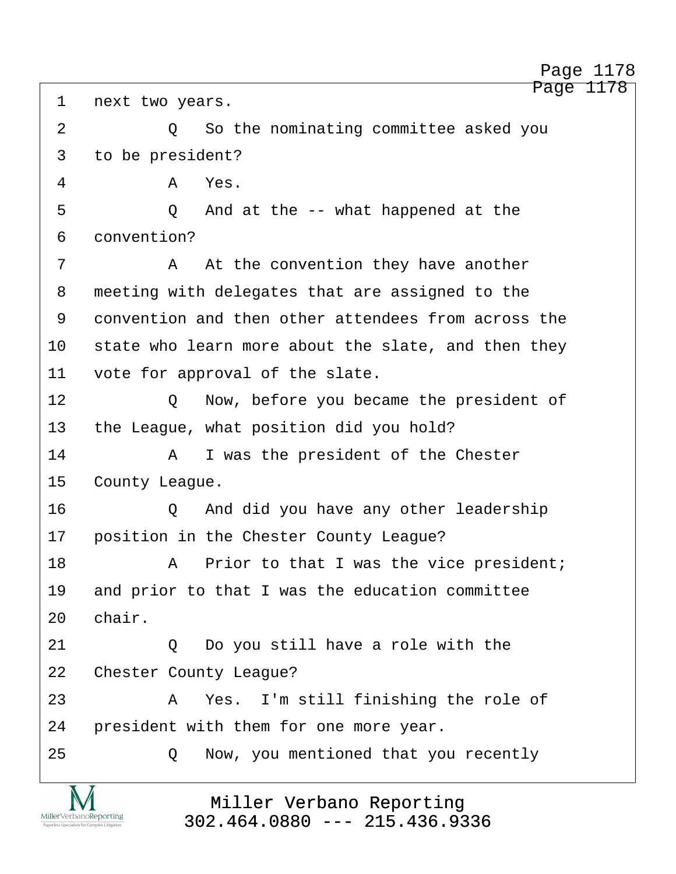Page 1178

| asked you |  |  |
|-----------|--|--|
|           |  |  |

1 next two years. 2 a comminating committee 2 and you so the nominating committee 3 to be president? ·4· · · · · ·A· ·Yes. ·5· · · · · ·Q· ·And at the -- what happened at the 6 convention? 7 · · · · · · · At the convention they have another 8 meeting with delegates that are assigned to the 9 convention and then other attendees from across the 10 state who learn more about the slate, and then they 11 vote for approval of the slate. 12 0 Now, before you became the president of 13 the League, what position did you hold? 14· · · · · ·A· ·I was the president of the Chester 15 County League. 16· · · · · ·Q· ·And did you have any other leadership 17 position in the Chester County League? 18· · · · · ·A· ·Prior to that I was the vice president; 19 and prior to that I was the education committee 20 chair. 21 0 Do you still have a role with the 22 Chester County League? 23· · · · · ·A· ·Yes.· I'm still finishing the role of 24 • president with them for one more year. 25 **25 2** Now, you mentioned that you recently

> Miller Verbano Reporting [302.464.0880 --- 215.436.9336](http://www.miller-verbano.com)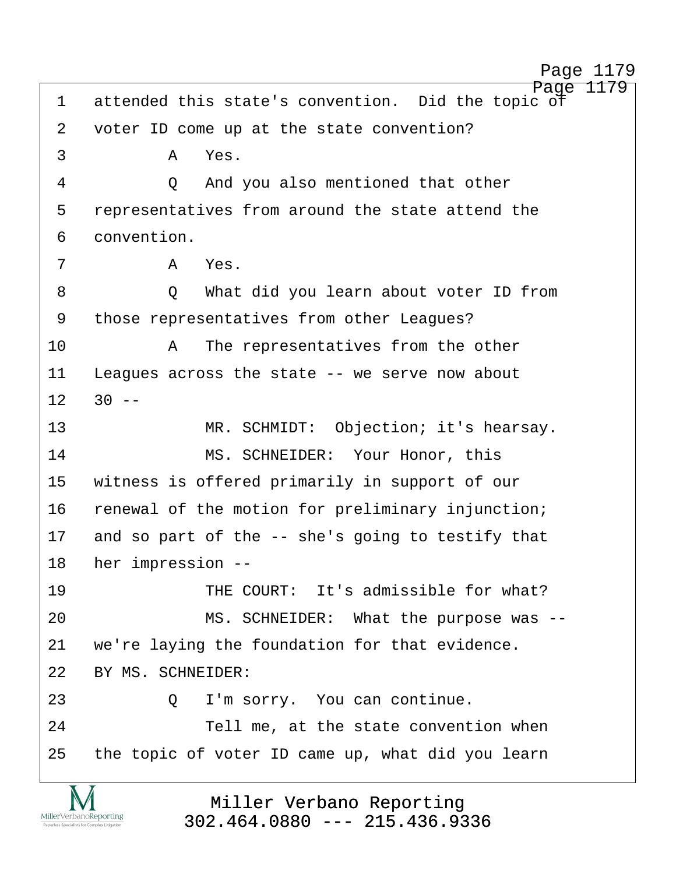http://www.yeslaw.net/help

Page 1179 1 attended this state's convention. Did the topic of 2 voter ID come up at the state convention?  $\overline{3}$   $\overline{A}$   $\overline{Y}$ es. 4 0 And you also mentioned that other 5 representatives from around the state attend the 6 convention. ·7· · · · · ·A· ·Yes. ·8· · · · · ·Q· ·What did you learn about voter ID from 9 those representatives from other Leagues? 10· · · · · ·A· ·The representatives from the other 11 Leagues across the state -- we serve now about  $12$   $30$  --13 **MR. SCHMIDT:** Objection; it's hearsay. 14 MS. SCHNEIDER: Your Honor, this 15 witness is offered primarily in support of our 16 renewal of the motion for preliminary injunction; 17 and so part of the  $-$  she's going to testify that 18 her impression --19 • THE COURT: It's admissible for what? 20 MS. SCHNEIDER: What the purpose was --21 we're laying the foundation for that evidence. 22 BY MS. SCHNEIDER: 23 0 I'm sorry. You can continue. 24 Tell me, at the state convention when 25 the topic of voter ID came up, what did you learn

> Miller Verbano Reporting [302.464.0880 --- 215.436.9336](http://www.miller-verbano.com)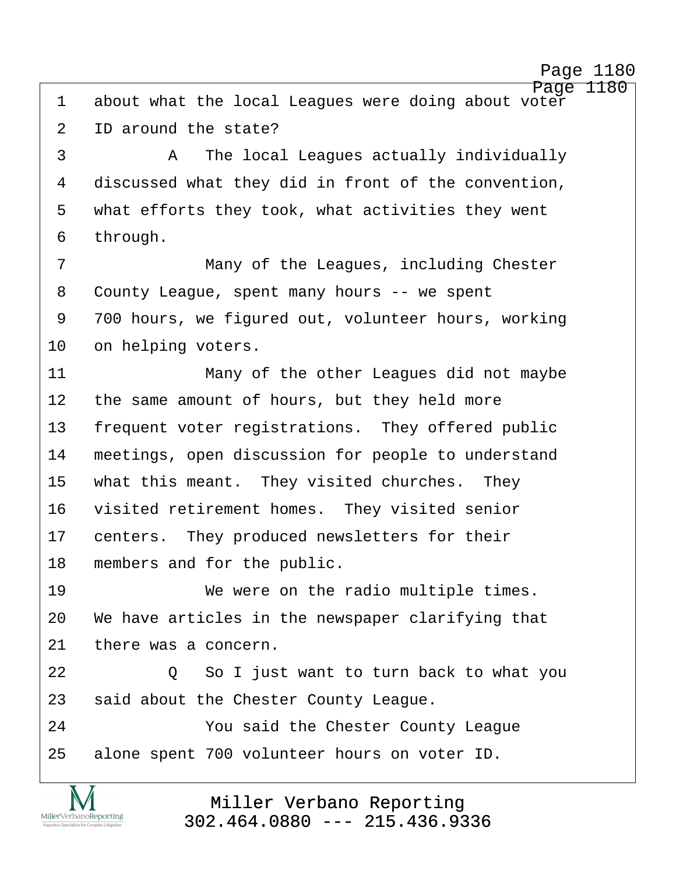http://www.yeslaw.net/help

Page 1180 1 about what the local Leagues were doing about voter 2 ID around the state? ·3· · · · · ·A· ·The local Leagues actually individually 4 discussed what they did in front of the convention, 5 what efforts they took, what activities they went 6 through. ·7· · · · · · · ·Many of the Leagues, including Chester 8 County League, spent many hours -- we spent 9 700 hours, we figured out, volunteer hours, working 10 on helping voters. 11· · · · · · · ·Many of the other Leagues did not maybe 12 the same amount of hours, but they held more 13 frequent voter registrations. They offered public 14 meetings, open discussion for people to understand 15 what this meant. They visited churches. They 16 visited retirement homes. They visited senior 17 centers. They produced newsletters for their 18 members and for the public. 19 We were on the radio multiple times. 20 We have articles in the newspaper clarifying that 21 there was a concern. 22· · · · · ·Q· ·So I just want to turn back to what you 23 said about the Chester County League. 24 · · · · · You said the Chester County League 25 alone spent 700 volunteer hours on voter ID.

> Miller Verbano Reporting [302.464.0880 --- 215.436.9336](http://www.miller-verbano.com)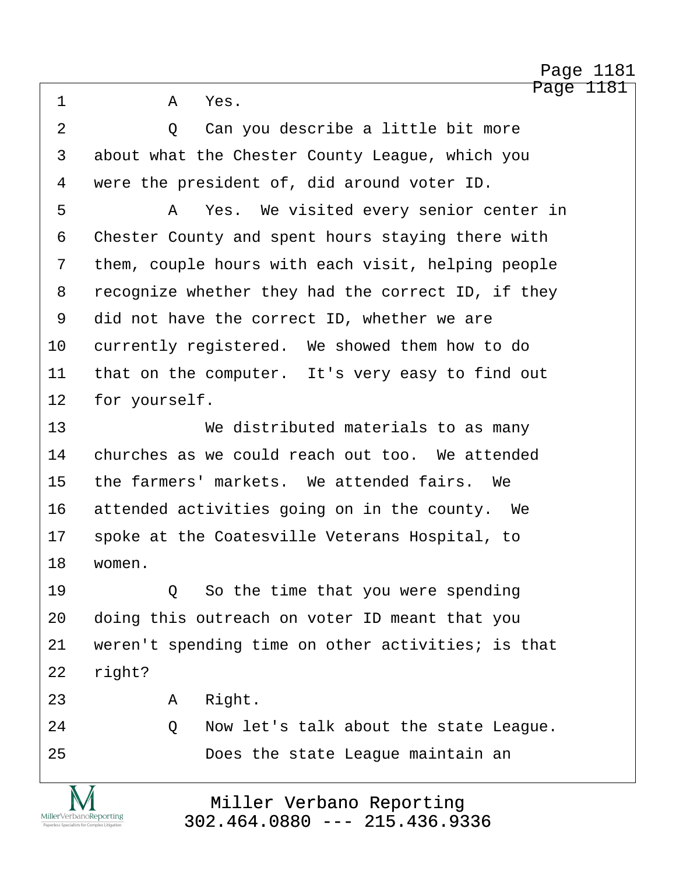·1· · · · · ·A· ·Yes.

2 access 10 and you describe a little bit more 3 about what the Chester County League, which you 4 were the president of, did around voter ID.

·5· · · · · ·A· ·Yes.· We visited every senior center in 6 Chester County and spent hours staying there with 7 them, couple hours with each visit, helping people 8 recognize whether they had the correct ID, if they 9 did not have the correct ID, whether we are 10 currently registered. We showed them how to do 11 that on the computer. It's very easy to find out 12 for yourself.

13· · · · · · · ·We distributed materials to as many 14 churches as we could reach out too. We attended 15 the farmers' markets. We attended fairs. We 16 attended activities going on in the county. We 17 spoke at the Coatesville Veterans Hospital, to 18 women.

19 · · · · · Q · So the time that you were spending 20 doing this outreach on voter ID meant that you 21 veren't spending time on other activities; is that 22 right?

- 23· · · · · ·A· ·Right.
- 24 · · · · · Q · Now let's talk about the state League.
- 25 · · · · · · · · Does the state League maintain an

MillerVerbanoReporting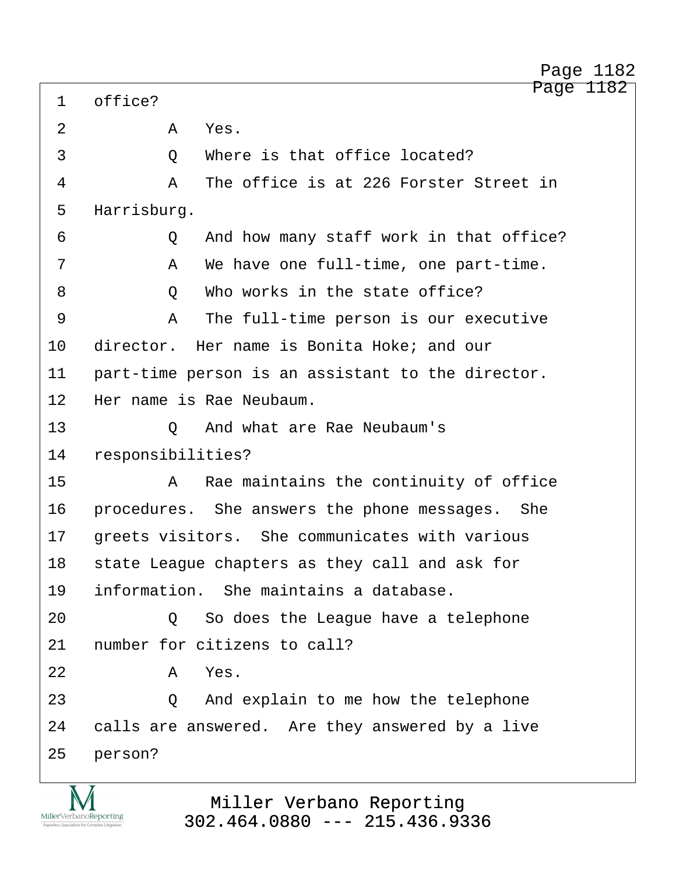1 office? 2 · **A Yes**. ·3· · · · · ·Q· ·Where is that office located? ·4· · · · · ·A· ·The office is at 226 Forster Street in 5 Harrisburg. ·6· · · · · ·Q· ·And how many staff work in that office? ·7· · · · · ·A· ·We have one full-time, one part-time. 8 0 Who works in the state office? ·9· · · · · ·A· ·The full-time person is our executive 10 director. Her name is Bonita Hoke; and our 11 part-time person is an assistant to the director. 12 Her name is Rae Neubaum. 13· · · · · ·Q· ·And what are Rae Neubaum's 14 responsibilities? 15· · · · · ·A· ·Rae maintains the continuity of office 16 · procedures. She answers the phone messages. She 17 Greets visitors. She communicates with various 18 state League chapters as they call and ask for 19 information. She maintains a database. 20 · · · · · Q · So does the League have a telephone 21 I number for citizens to call?  $22$  **A** Yes. 23· · · · · ·Q· ·And explain to me how the telephone 24 calls are answered. Are they answered by a live 25 person?

http://www.yeslaw.net/help

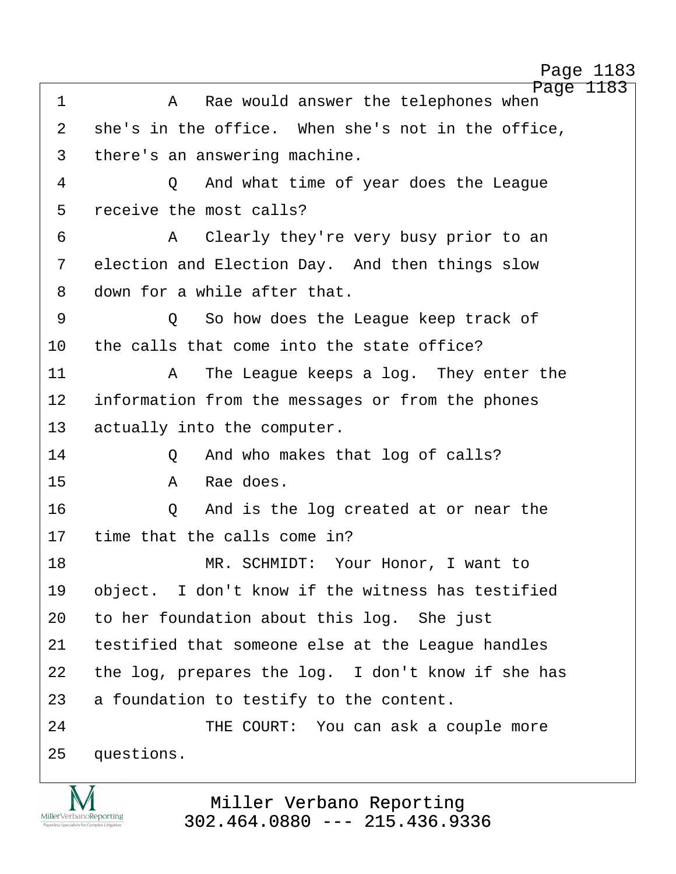http://www.yeslaw.net/help

Page 1183 ·1· · · · · ·A· ·Rae would answer the telephones when 2 she's in the office. When she's not in the office, 3 there's an answering machine. 4 0 And what time of year does the League 5 receive the most calls? ·6· · · · · ·A· ·Clearly they're very busy prior to an 7 election and Election Day. And then things slow 8 down for a while after that. ·9· · · · · ·Q· ·So how does the League keep track of 10 the calls that come into the state office? 11· · · · · ·A· ·The League keeps a log.· They enter the 12 information from the messages or from the phones 13 actually into the computer. 14 **2** And who makes that log of calls? 15· · · · · ·A· ·Rae does. 16· · · · · ·Q· ·And is the log created at or near the 17 time that the calls come in? 18 MR. SCHMIDT: Your Honor, I want to 19 object. I don't know if the witness has testified 20 to her foundation about this log. She just 21 testified that someone else at the League handles 22 the log, prepares the log. I don't know if she has 23 a foundation to testify to the content. 24 THE COURT: You can ask a couple more 25 questions.

> Miller Verbano Reporting [302.464.0880 --- 215.436.9336](http://www.miller-verbano.com)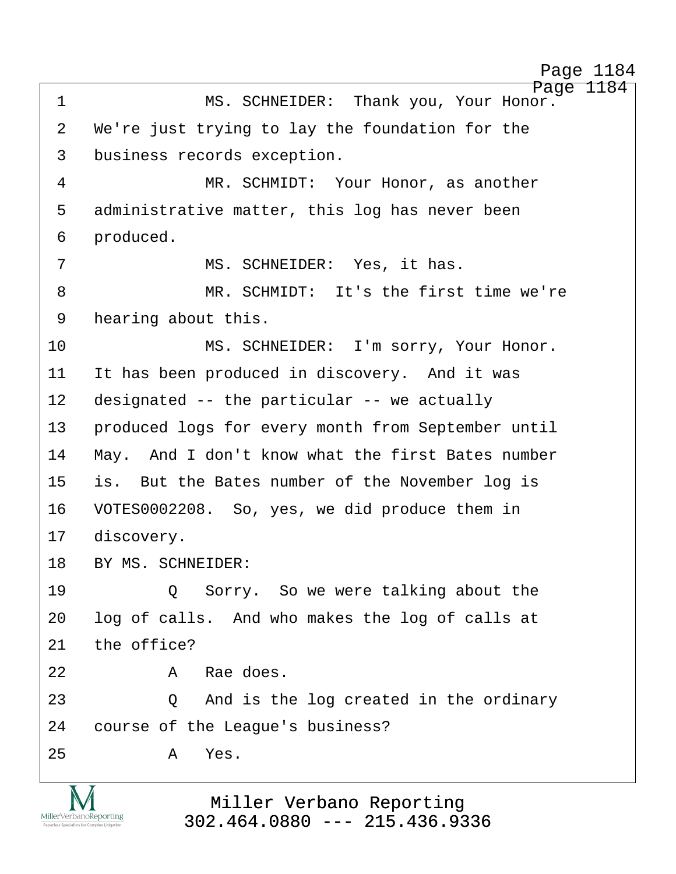Page 1184 1 MS. SCHNEIDER: Thank you, Your Honor. 2 We're just trying to lay the foundation for the 3 business records exception. ·4· · · · · · · ·MR. SCHMIDT:· Your Honor, as another 5 administrative matter, this log has never been 6 produced. 7 MS. SCHNEIDER: Yes, it has. ·8· · · · · · · ·MR. SCHMIDT:· It's the first time we're 9 hearing about this. 10 · · · · · · · MS. SCHNEIDER: I'm sorry, Your Honor. 11 It has been produced in discovery. And it was 12 designated -- the particular -- we actually 13 • produced logs for every month from September until 14 May. And I don't know what the first Bates number 15 is. But the Bates number of the November log is 16 VOTES0002208. So, yes, we did produce them in 17 discovery. 18 BY MS. SCHNEIDER: 19· · · · · ·Q· ·Sorry.· So we were talking about the 20 log of calls. And who makes the log of calls at  $21$  the office? 22· · · · · ·A· ·Rae does. 23· · · · · ·Q· ·And is the log created in the ordinary 24 course of the League's business?  $25$   $A$   $Yes$ .

http://www.yeslaw.net/help

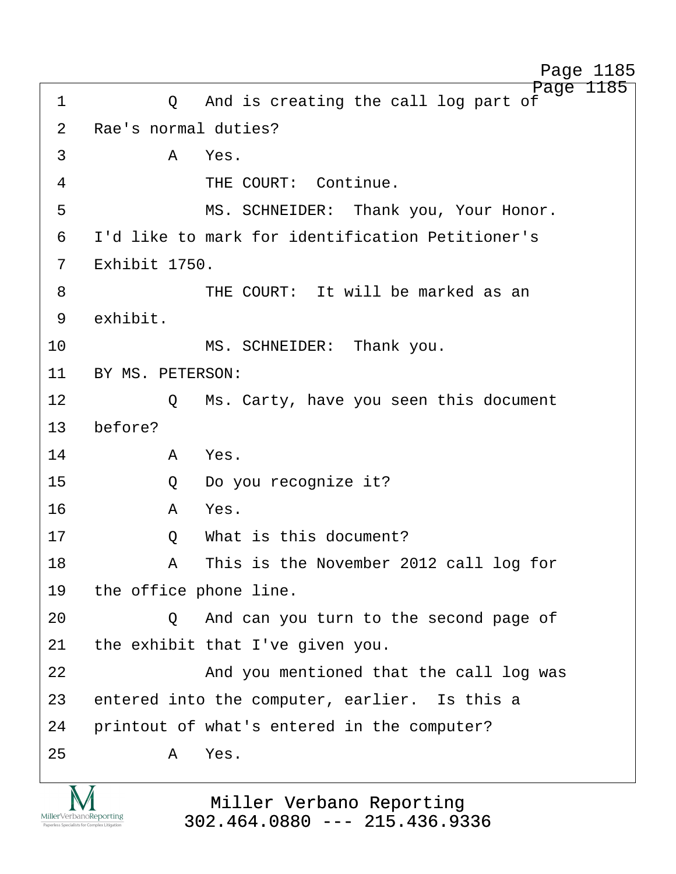Page 1185 ·1· · · · · ·Q· ·And is creating the call log part of 2 Rae's normal duties? ·3· · · · · ·A· ·Yes. 4 THE COURT: Continue. 5 · · · · · · · · MS. SCHNEIDER: Thank you, Your Honor. ·6· ·I'd like to mark for identification Petitioner's 7 Exhibit 1750. 8 · · · · · · · · · THE COURT: It will be marked as an 9 exhibit. 10 **MS. SCHNEIDER:** Thank you. 11 BY MS. PETERSON: 12 · · · · Q · Ms. Carty, have you seen this document 13 before? 14· · · · · ·A· ·Yes. 15· · · · · ·Q· ·Do you recognize it? 16· · · · · ·A· ·Yes. 17· · · · · ·Q· ·What is this document? 18· · · · · ·A· ·This is the November 2012 call log for 19 the office phone line. 20 · · · · · Q · And can you turn to the second page of 21 the exhibit that I've given you. 22 · · · · · · · · And you mentioned that the call log was 23 entered into the computer, earlier. Is this a 24 printout of what's entered in the computer?  $25$   $A$   $Yes$ . Page 1185

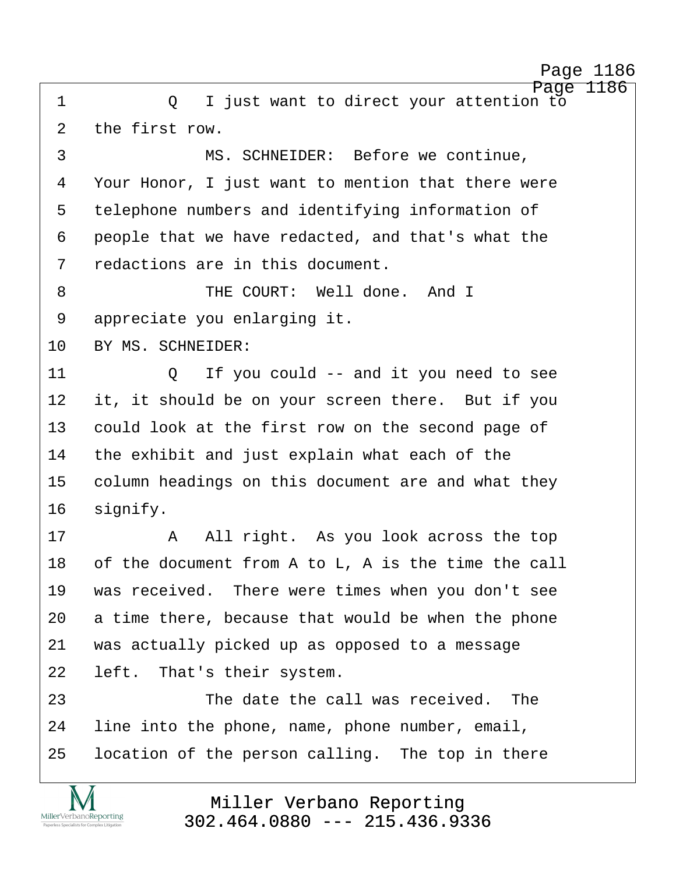Page 1186 ·1· · · · · ·Q· ·I just want to direct your attention to 2 the first row.

3 · · · · · · · · · MS. SCHNEIDER: Before we continue, 4 Your Honor, I just want to mention that there were 5 telephone numbers and identifying information of 6 people that we have redacted, and that's what the 7 redactions are in this document.

8 · · · · · · · · · · · · THE COURT: Well done. And I 9 appreciate you enlarging it.

10 BY MS. SCHNEIDER:

MillerVerbanoReporting

11· · · · · ·Q· ·If you could -- and it you need to see 12 it, it should be on your screen there. But if you 13 could look at the first row on the second page of 14 the exhibit and just explain what each of the 15 column headings on this document are and what they 16 signify.

17· · · · · ·A· ·All right.· As you look across the top 18 of the document from A to  $L$ , A is the time the call 19 was received. There were times when you don't see 20 a time there, because that would be when the phone 21 was actually picked up as opposed to a message 22 left. That's their system.

23· · · · · · · ·The date the call was received.· The 24 Iine into the phone, name, phone number, email, 25 location of the person calling. The top in there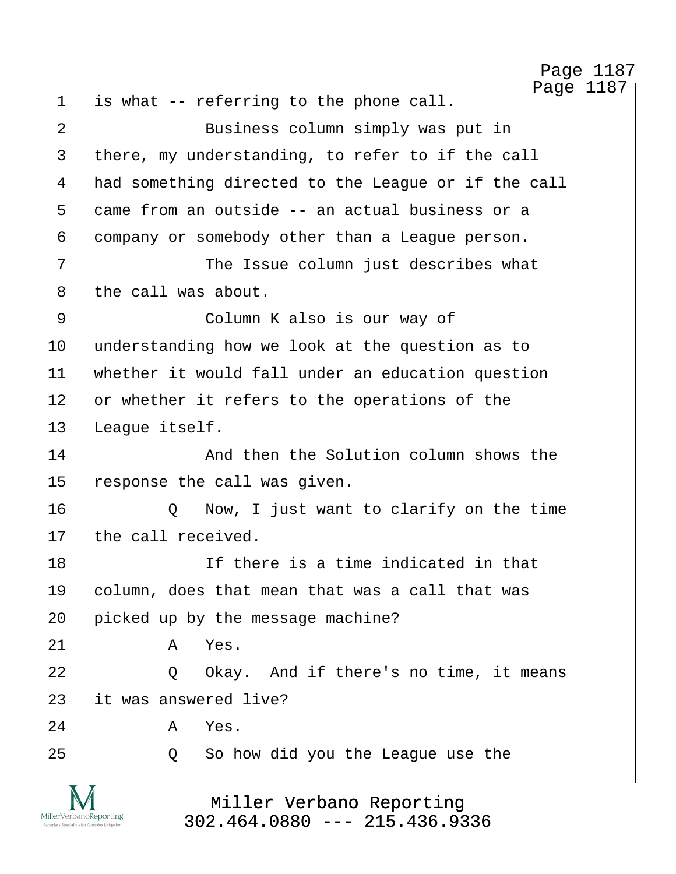http://www.yeslaw.net/help

Page 1187 1 is what -- referring to the phone call. 2 Business column simply was put in 3 there, my understanding, to refer to if the call 4 had something directed to the League or if the call 5 came from an outside -- an actual business or a 6 company or somebody other than a League person. 7 The Issue column just describes what 8 the call was about. 9 · · · · · · · Column K also is our way of 10 understanding how we look at the question as to 11 whether it would fall under an education question 12 or whether it refers to the operations of the 13 League itself. 14 and then the Solution column shows the 15 response the call was given. 16 · · · · · Q · Now, I just want to clarify on the time 17 the call received. 18 **18 11** If there is a time indicated in that 19 · column, does that mean that was a call that was 20 picked up by the message machine?  $21$   $A$   $Yes$ . 22 · 20 Okay. And if there's no time, it means 23 it was answered live?  $24$  **A** Yes. 25 · 20 · So how did you the League use the

> Miller Verbano Reporting [302.464.0880 --- 215.436.9336](http://www.miller-verbano.com)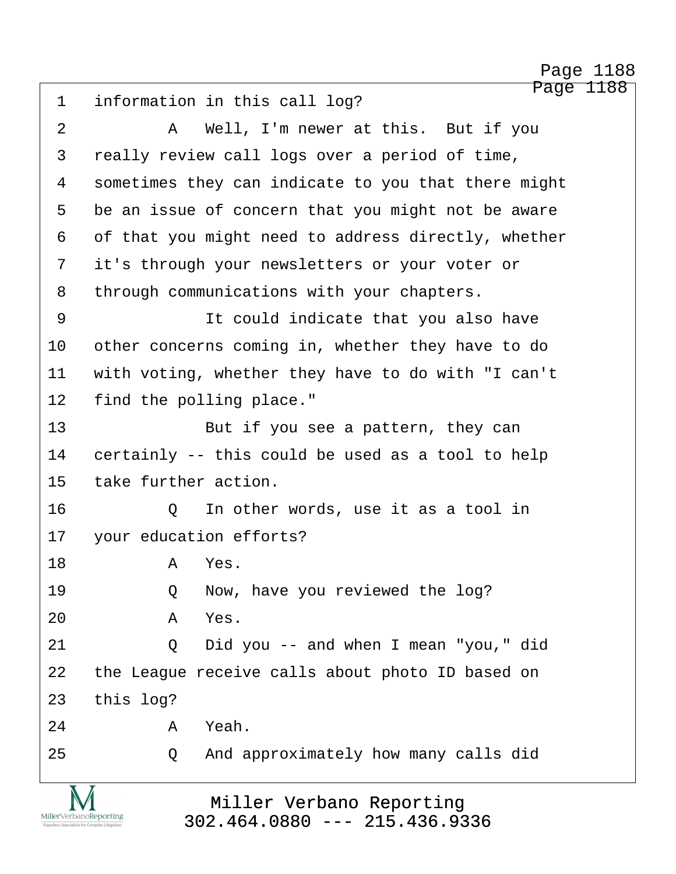Page 1188 1 information in this call log? ·2· · · · · ·A· ·Well, I'm newer at this.· But if you 3 really review call logs over a period of time, 4 sometimes they can indicate to you that there might 5 be an issue of concern that you might not be aware 6 of that you might need to address directly, whether 7 it's through your newsletters or your voter or 8 through communications with your chapters. 9 · · · · · · · It could indicate that you also have 10 other concerns coming in, whether they have to do 11 with voting, whether they have to do with "I can't 12 find the polling place." 13· · · · · · · ·But if you see a pattern, they can 14 certainly -- this could be used as a tool to help 15 take further action. 16· · · · · ·Q· ·In other words, use it as a tool in 17 your education efforts? 18· · · · · ·A· ·Yes. 19 · · · · · Q · · Now, have you reviewed the log? 20· · · · · ·A· ·Yes. 21 0 Did you -- and when I mean "you," did 22 the League receive calls about photo ID based on 23 this log? 24· · · · · ·A· ·Yeah. 25 Q And approximately how many calls did Page 1188

> Miller Verbano Reporting [302.464.0880 --- 215.436.9336](http://www.miller-verbano.com)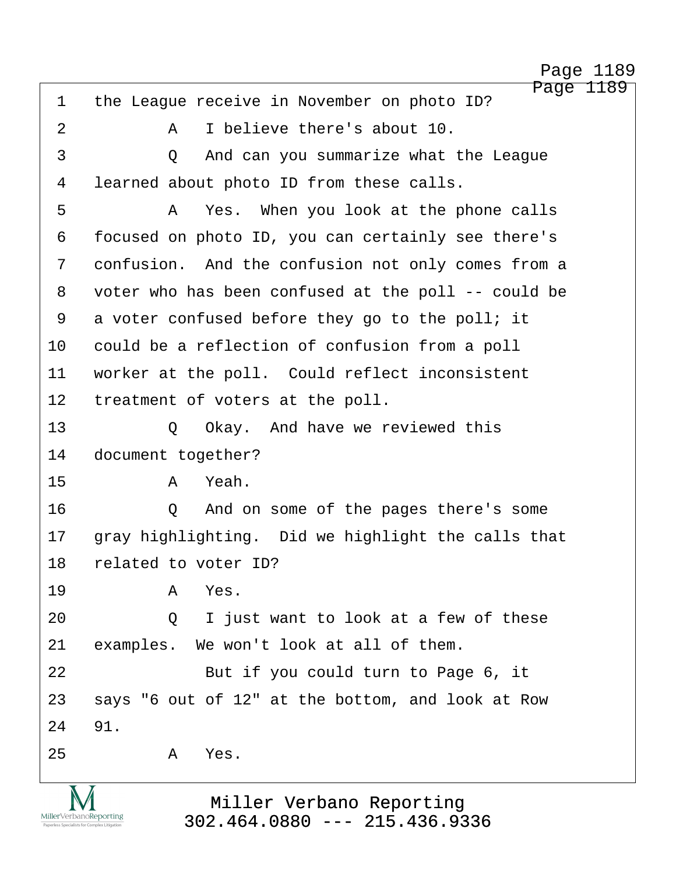Page 1189 1 the League receive in November on photo ID? ·2· · · · · ·A· ·I believe there's about 10. ·3· · · · · ·Q· ·And can you summarize what the League 4 learned about photo ID from these calls. ·5· · · · · ·A· ·Yes.· When you look at the phone calls 6 focused on photo ID, you can certainly see there's 7 confusion. And the confusion not only comes from a 8 voter who has been confused at the poll -- could be 9 a voter confused before they go to the poll; it 10 could be a reflection of confusion from a poll 11 worker at the poll. Could reflect inconsistent 12 treatment of voters at the poll. 13 · · · · · O · Okay. And have we reviewed this 14 document together? 15· · · · · ·A· ·Yeah. 16· · · · · ·Q· ·And on some of the pages there's some 17 · gray highlighting. Did we highlight the calls that 18 related to voter ID? 19· · · · · ·A· ·Yes. 20 Q I just want to look at a few of these 21 examples. We won't look at all of them. 22 But if you could turn to Page 6, it 23 says "6 out of 12" at the bottom, and look at Row 24 91.  $25$   $A$   $Yes$ .

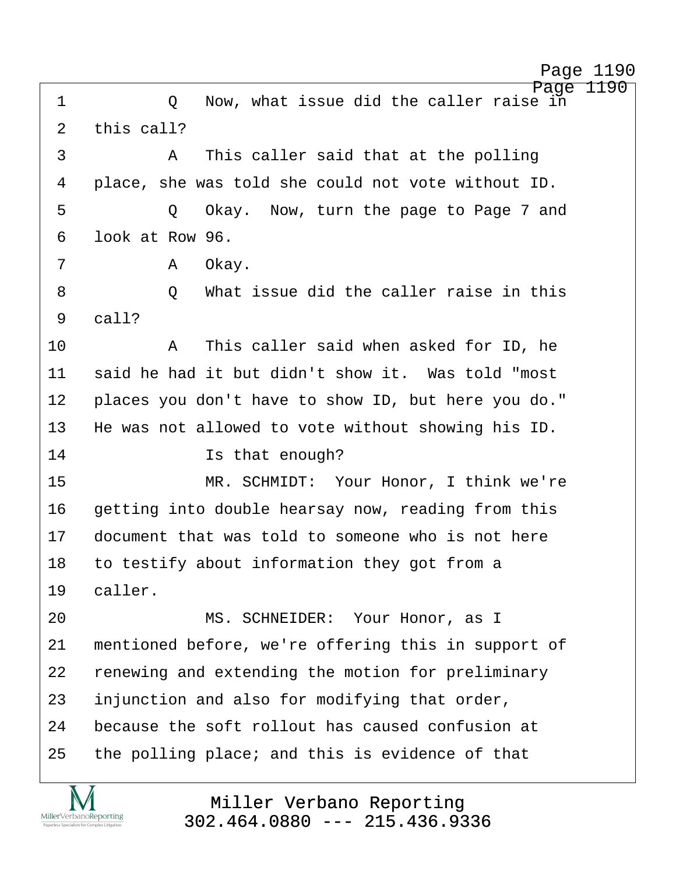Page 1190 ·1· · · · · ·Q· ·Now, what issue did the caller raise in 2  $this$  call? ·3· · · · · ·A· ·This caller said that at the polling 4 place, she was told she could not vote without ID. 5 · · · · · Q Okay. Now, turn the page to Page 7 and ·6· ·look at Row 96. 7 · · · · · · · A 0kay. ·8· · · · · ·Q· ·What issue did the caller raise in this  $9$   $ca11?$ 10· · · · · ·A· ·This caller said when asked for ID, he 11 said he had it but didn't show it. Was told "most 12 places you don't have to show ID, but here you do." 13 He was not allowed to vote without showing his ID. 14 and 15 results that enough? 15· · · · · · · ·MR. SCHMIDT:· Your Honor, I think we're 16 getting into double hearsay now, reading from this 17· ·document that was told to someone who is not here 18 to testify about information they got from a 19 caller. 20 MS. SCHNEIDER: Your Honor, as I 21 mentioned before, we're offering this in support of 22 renewing and extending the motion for preliminary 23 injunction and also for modifying that order, 24 because the soft rollout has caused confusion at 25 the polling place; and this is evidence of that

MillerVerbanoReporting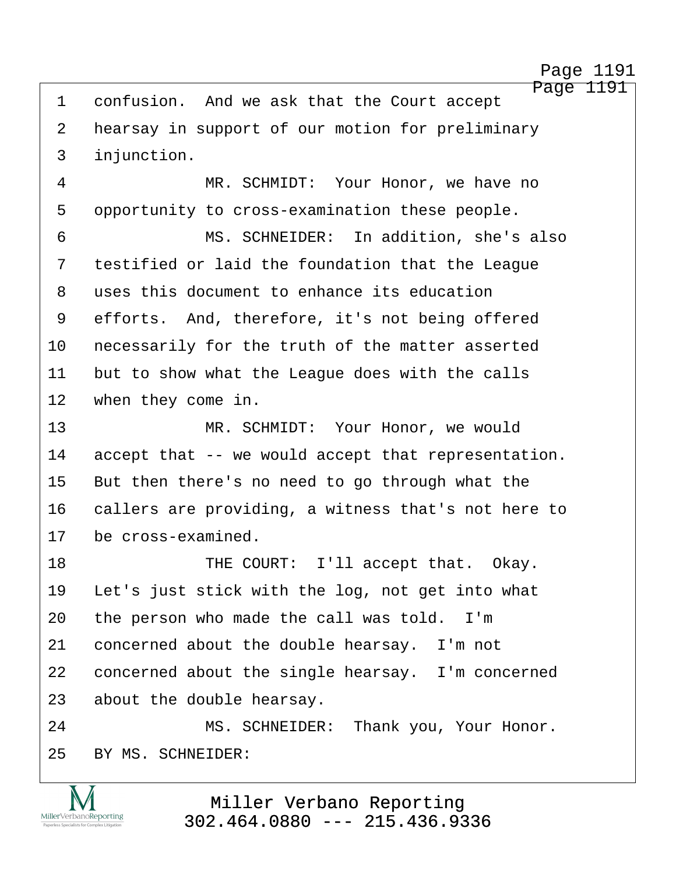http://www.yeslaw.net/help

Page 1191 1 confusion. And we ask that the Court accept 2 hearsay in support of our motion for preliminary 3 injunction. ·4· · · · · · · ·MR. SCHMIDT:· Your Honor, we have no 5 opportunity to cross-examination these people. ·6· · · · · · · ·MS. SCHNEIDER:· In addition, she's also 7 testified or laid the foundation that the League 8 uses this document to enhance its education 9 efforts. And, therefore, it's not being offered 10 necessarily for the truth of the matter asserted 11 but to show what the League does with the calls 12 when they come in. 13· · · · · · · ·MR. SCHMIDT:· Your Honor, we would 14 accept that -- we would accept that representation. 15 But then there's no need to go through what the 16 callers are providing, a witness that's not here to 17 be cross-examined. 18 THE COURT: I'll accept that. Okay. 19 Let's just stick with the log, not get into what 20 the person who made the call was told. I'm 21 concerned about the double hearsay. I'm not 22 concerned about the single hearsay. I'm concerned 23 about the double hearsay. 24 MS. SCHNEIDER: Thank you, Your Honor. 25 BY MS. SCHNEIDER: Miller Verbano Reporting MillerVerbanoReporting [302.464.0880 --- 215.436.9336](http://www.miller-verbano.com)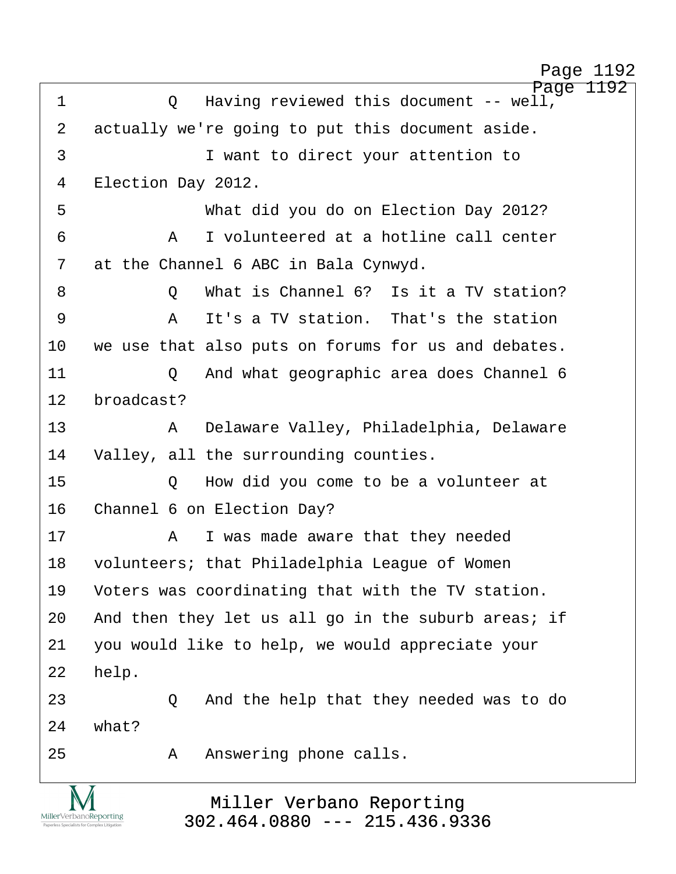http://www.yeslaw.net/help

| $\mathbf 1$ | Page 1192<br>Having reviewed this document -- well,<br>Q |
|-------------|----------------------------------------------------------|
| 2           | actually we're going to put this document aside.         |
| 3           | I want to direct your attention to                       |
| 4           | Election Day 2012.                                       |
| 5           | What did you do on Election Day 2012?                    |
| 6           | I volunteered at a hotline call center<br>Α              |
| 7           | at the Channel 6 ABC in Bala Cynwyd.                     |
| 8           | What is Channel 6? Is it a TV station?<br>Q              |
| 9           | It's a TV station. That's the station<br>A               |
| 10          | we use that also puts on forums for us and debates.      |
| 11          | And what geographic area does Channel 6<br>Q             |
| 12          | broadcast?                                               |
| 13          | Delaware Valley, Philadelphia, Delaware<br>A             |
| 14          | Valley, all the surrounding counties.                    |
| 15          | How did you come to be a volunteer at<br>Q               |
| 16          | Channel 6 on Election Day?                               |
| 17          | I was made aware that they needed<br>A                   |
| 18          | volunteers; that Philadelphia League of Women            |
| 19          | Voters was coordinating that with the TV station.        |
| 20          | And then they let us all go in the suburb areas; if      |
| 21          | you would like to help, we would appreciate your         |
| 22          | help.                                                    |
| 23          | And the help that they needed was to do<br>$\circ$       |
| 24          | what?                                                    |
| 25          | Answering phone calls.<br>A                              |
|             |                                                          |
|             | Miller Verbano Reporting                                 |

Miller Verbano Reporting [302.464.0880 --- 215.436.9336](http://www.miller-verbano.com)

 $\underset{\text{Paperless Specialists for Complex Litigation}}{\text{MillerVerbanoReporting}}$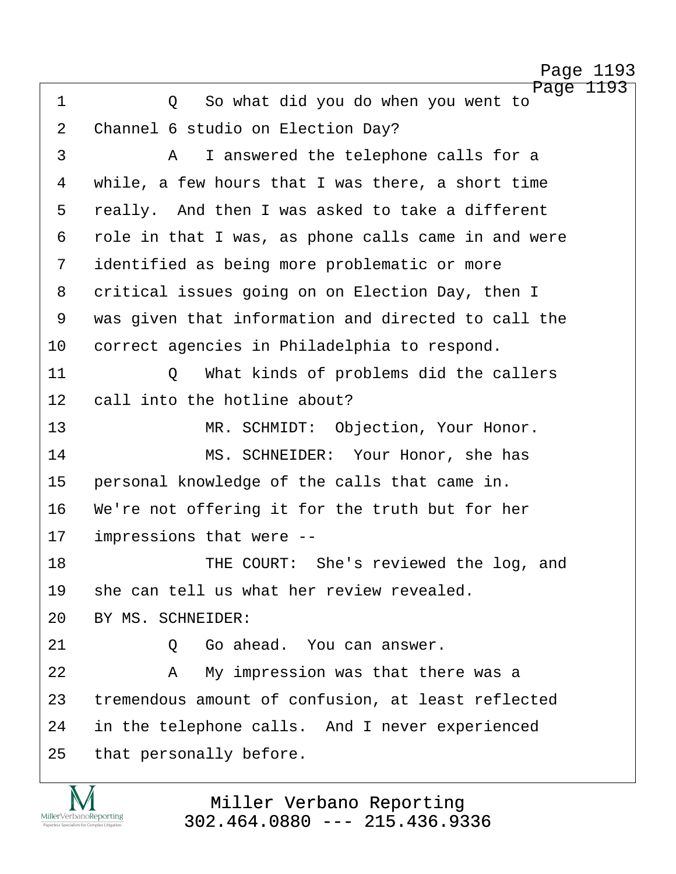Page 1193 ·1· · · · · ·Q· ·So what did you do when you went to 2 Channel 6 studio on Election Day? ·3· · · · · ·A· ·I answered the telephone calls for a 4 while, a few hours that I was there, a short time 5 really. And then I was asked to take a different 6 role in that I was, as phone calls came in and were 7 identified as being more problematic or more 8 critical issues going on on Election Day, then I 9 was given that information and directed to call the 10 correct agencies in Philadelphia to respond. 11· · · · · ·Q· ·What kinds of problems did the callers 12 call into the hotline about? 13 MR. SCHMIDT: Objection, Your Honor. 14 MS. SCHNEIDER: Your Honor, she has 15 personal knowledge of the calls that came in. 16 We're not offering it for the truth but for her 17 impressions that were --18 THE COURT: She's reviewed the log, and 19 she can tell us what her review revealed. 20 BY MS. SCHNEIDER: 21· · · · · ·Q· ·Go ahead.· You can answer. 22· · · · · ·A· ·My impression was that there was a 23 tremendous amount of confusion, at least reflected 24 in the telephone calls. And I never experienced 25 that personally before.



Miller Verbano Reporting [302.464.0880 --- 215.436.9336](http://www.miller-verbano.com) http://www.yeslaw.net/help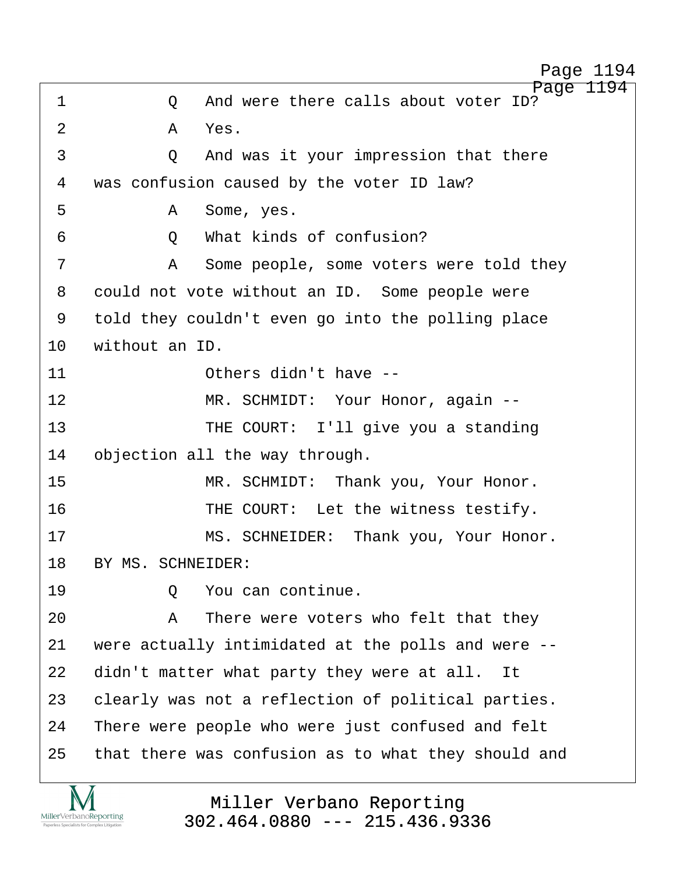http://www.yeslaw.net/help

Page 1194 1 0 And were there calls about voter ID?  $2 \overline{A}$   $Yes$ . ·3· · · · · ·Q· ·And was it your impression that there 4 was confusion caused by the voter ID law? ·5· · · · · ·A· ·Some, yes. ·6· · · · · ·Q· ·What kinds of confusion? 7 · · · · · · · · Some people, some voters were told they 8 could not vote without an ID. Some people were 9 told they couldn't even go into the polling place 10 without an ID. 11 **11** Others didn't have --12 MR. SCHMIDT: Your Honor, again --13 **• THE COURT:** I'll give you a standing 14 objection all the way through. 15 · · · · · · · · · MR. SCHMIDT: · Thank you, Your Honor. 16 THE COURT: Let the witness testify. 17 MS. SCHNEIDER: Thank you, Your Honor. 18 BY MS. SCHNEIDER: 19· · · · · ·Q· ·You can continue. 20· · · · · ·A· ·There were voters who felt that they 21  $\mu$  were actually intimidated at the polls and were --22 didn't matter what party they were at all. It 23 clearly was not a reflection of political parties. 24 There were people who were just confused and felt 25 that there was confusion as to what they should and

> Miller Verbano Reporting [302.464.0880 --- 215.436.9336](http://www.miller-verbano.com)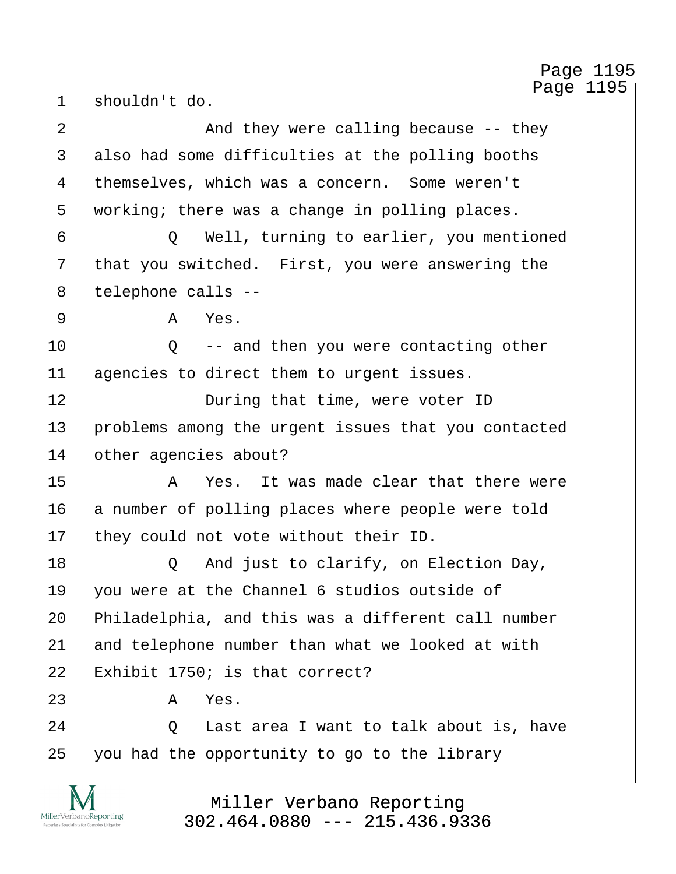Page 1195 1 shouldn't do. 2 and they were calling because -- they 3 also had some difficulties at the polling booths 4 themselves, which was a concern. Some weren't 5 working; there was a change in polling places. ·6· · · · · ·Q· ·Well, turning to earlier, you mentioned 7 that you switched. First, you were answering the 8 telephone calls --·9· · · · · ·A· ·Yes. 10 · · · and then you were contacting other 11 agencies to direct them to urgent issues. 12 **During that time, were voter ID** 13 • problems among the urgent issues that you contacted 14 other agencies about? 15· · · · · ·A· ·Yes.· It was made clear that there were 16 a number of polling places where people were told 17 they could not vote without their ID. 18 Q And just to clarify, on Election Day, 19 you were at the Channel 6 studios outside of 20 Philadelphia, and this was a different call number 21 and telephone number than what we looked at with  $22$  Exhibit 1750; is that correct?  $23$   $A$   $Yes$ . 24 0 Last area I want to talk about is, have 25 you had the opportunity to go to the library Page 1195

> Miller Verbano Reporting [302.464.0880 --- 215.436.9336](http://www.miller-verbano.com)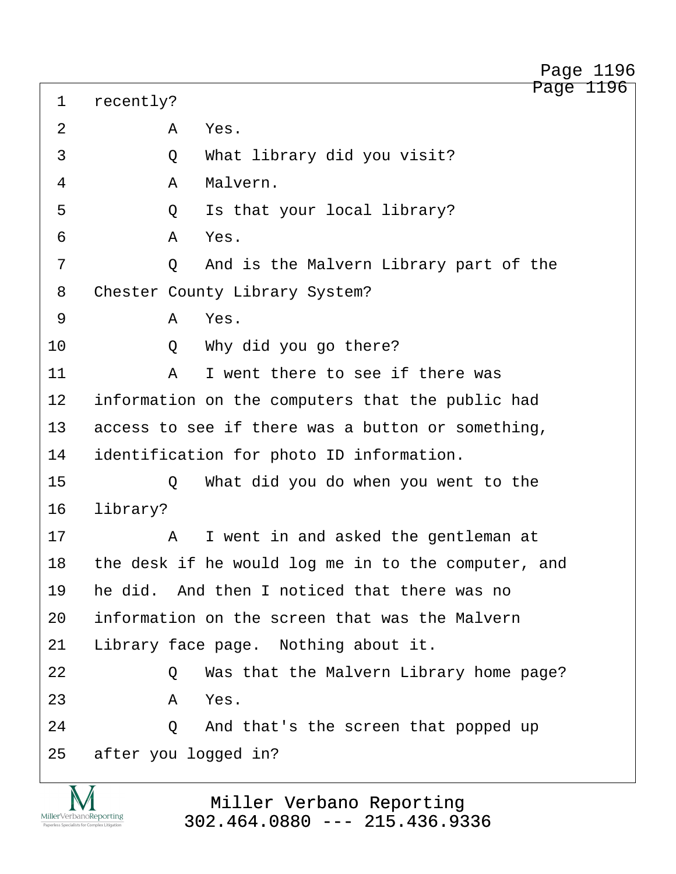| 2  |          | Α | Yes.                                                |
|----|----------|---|-----------------------------------------------------|
| 3  |          | Q | What library did you visit?                         |
| 4  |          | Α | Malvern.                                            |
| 5  |          | Q | Is that your local library?                         |
| 6  |          | Α | Yes.                                                |
| 7  |          | Q | And is the Malvern Library part of the              |
| 8  |          |   | Chester County Library System?                      |
| 9  |          | A | Yes.                                                |
| 10 |          | Q | Why did you go there?                               |
| 11 |          | Α | I went there to see if there was                    |
| 12 |          |   | information on the computers that the public had    |
| 13 |          |   | access to see if there was a button or something,   |
| 14 |          |   | identification for photo ID information.            |
| 15 |          | Q | What did you do when you went to the                |
| 16 | library? |   |                                                     |
| 17 |          | Α | I went in and asked the gentleman at                |
| 18 |          |   | the desk if he would log me in to the computer, and |
| 19 |          |   | he did. And then I noticed that there was no        |
| 20 |          |   | information on the screen that was the Malvern      |
| 21 |          |   | Library face page. Nothing about it.                |
| 22 |          | Q | Was that the Malvern Library home page?             |
| 23 |          | Α | Yes.                                                |
| 24 |          | Q | And that's the screen that popped up                |
| 25 |          |   | after you logged in?                                |
|    |          |   |                                                     |

1 recently?

<u>IVI</u> MillerVerbanoReporting Paperless Specialists for Com

Miller Verbano Reporting [302.464.0880 --- 215.436.9336](http://www.miller-verbano.com)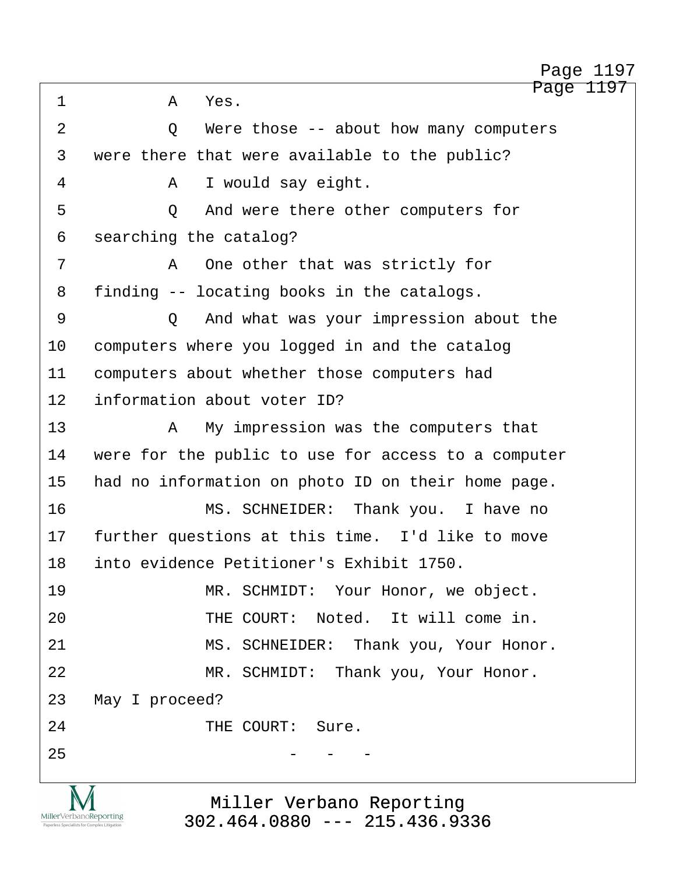Page 1197 ·1· · · · · ·A· ·Yes. 2 0 Were those -- about how many computers 3 were there that were available to the public? ·4· · · · · ·A· ·I would say eight. 5 · · · · · · Q · And were there other computers for 6 searching the catalog? 7 · · · · · · A · One other that was strictly for 8 finding -- locating books in the catalogs. ·9· · · · · ·Q· ·And what was your impression about the 10 computers where you logged in and the catalog 11 computers about whether those computers had 12 information about voter ID? 13· · · · · ·A· ·My impression was the computers that 14 were for the public to use for access to a computer 15 had no information on photo ID on their home page. 16 · · · · · · · · MS. SCHNEIDER: Thank you. I have no 17 further questions at this time. I'd like to move 18· ·into evidence Petitioner's Exhibit 1750. 19· · · · · · · ·MR. SCHMIDT:· Your Honor, we object. 20 THE COURT: Noted. It will come in. 21 MS. SCHNEIDER: Thank you, Your Honor. 22 MR. SCHMIDT: Thank you, Your Honor. 23 May I proceed? 24 THE COURT: Sure.  $25$  - - -

> Miller Verbano Reporting [302.464.0880 --- 215.436.9336](http://www.miller-verbano.com)

MillerVerbanoReporting

http://www.yeslaw.net/help

Page 1197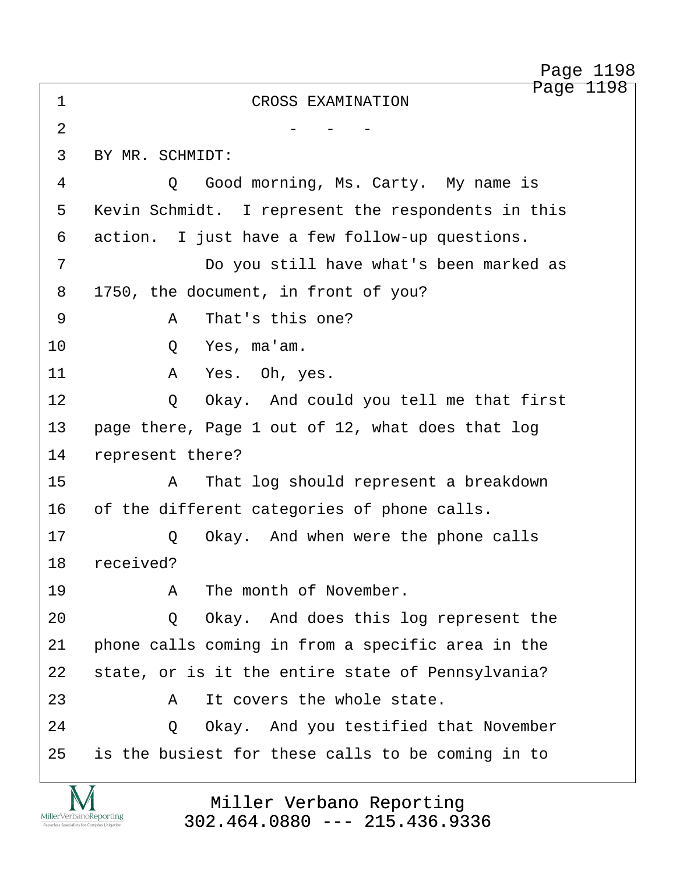Page 1198 Page 1198

http://www.yeslaw.net/help

| 1              | Page<br>CROSS EXAMINATION                          |
|----------------|----------------------------------------------------|
| $\overline{2}$ |                                                    |
| 3              | BY MR. SCHMIDT:                                    |
| 4              | Good morning, Ms. Carty. My name is<br>$\circ$     |
| 5              | Kevin Schmidt. I represent the respondents in this |
| 6              | action. I just have a few follow-up questions.     |
| 7              | Do you still have what's been marked as            |
| 8              | 1750, the document, in front of you?               |
| 9              | That's this one?<br>A                              |
| 10             | Yes, ma'am.<br>Q                                   |
| 11             | Yes. Oh, yes.<br>Α                                 |
| 12             | Okay. And could you tell me that first<br>Q        |
| 13             | page there, Page 1 out of 12, what does that log   |
| 14             | represent there?                                   |
| 15             | That log should represent a breakdown<br>Α         |
| 16             | of the different categories of phone calls.        |
| 17             | Okay. And when were the phone calls<br>Q           |
| 18             | received?                                          |
| 19             | The month of November.<br>Α                        |
| 20             | Okay. And does this log represent the<br>Q         |
| 21             | phone calls coming in from a specific area in the  |
| 22             | state, or is it the entire state of Pennsylvania?  |
| 23             | It covers the whole state.<br>Α                    |
| 24             | Okay. And you testified that November<br>Q         |
| 25             | is the busiest for these calls to be coming in to  |

Miller Verbano Reporting [302.464.0880 --- 215.436.9336](http://www.miller-verbano.com)

TVI  $\underset{\text{Paperless Specialists for Complex Litigation}}{\text{MillerVerbanoReporting}}$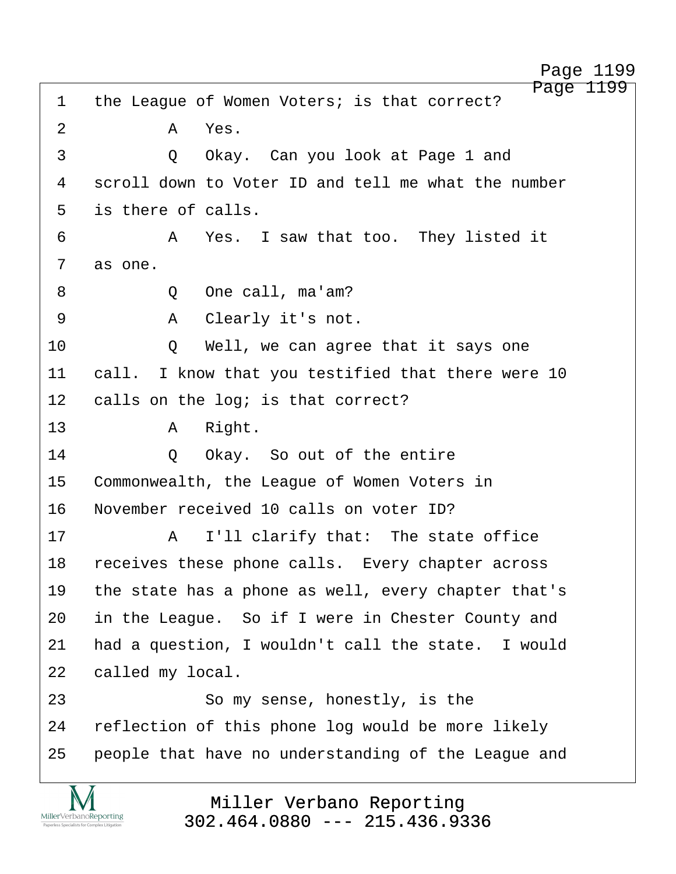Page 1199 1 the League of Women Voters; is that correct? 2 · **A Yes**. 3 · · · · · · · · O · · Okay. Can you look at Page 1 and 4 scroll down to Voter ID and tell me what the number 5 is there of calls. ·6· · · · · ·A· ·Yes.· I saw that too.· They listed it 7 as one. ·8· · · · · ·Q· ·One call, ma'am? ·9· · · · · ·A· ·Clearly it's not. 10 · · · · Q · · Well, we can agree that it says one 11 call. I know that you testified that there were 10 12 calls on the log; is that correct? 13· · · · · ·A· ·Right. 14· · · · · ·Q· ·Okay.· So out of the entire 15 Commonwealth, the League of Women Voters in 16 November received 10 calls on voter ID? 17· · · · · ·A· ·I'll clarify that:· The state office 18 receives these phone calls. Every chapter across 19 the state has a phone as well, every chapter that's 20 in the League. So if I were in Chester County and 21 had a question, I wouldn't call the state. I would 22 called my local. 23 · · · · · · So my sense, honestly, is the 24 reflection of this phone log would be more likely 25 · people that have no understanding of the League and

> Miller Verbano Reporting [302.464.0880 --- 215.436.9336](http://www.miller-verbano.com)

MillerVerbanoReporting

Page 1199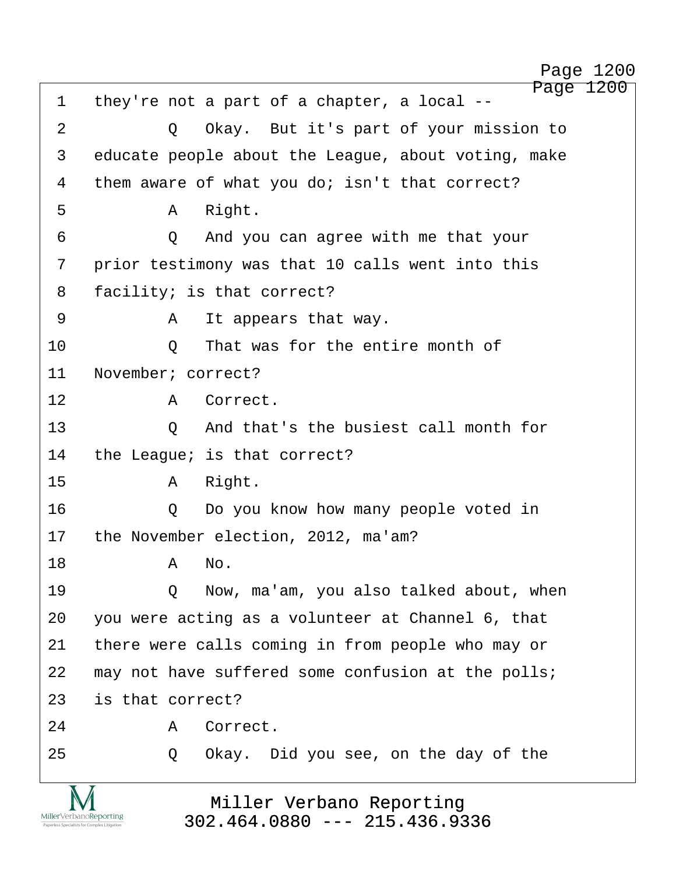Page 1200 1 they're not a part of a chapter, a local --2 0 Okay. But it's part of your mission to 3 educate people about the League, about voting, make 4 them aware of what you do; isn't that correct? ·5· · · · · ·A· ·Right. ·6· · · · · ·Q· ·And you can agree with me that your 7 · prior testimony was that 10 calls went into this 8 facility; is that correct? ·9· · · · · ·A· ·It appears that way. 10· · · · · ·Q· ·That was for the entire month of 11 November; correct? 12 · · · · · A Correct. 13· · · · · ·Q· ·And that's the busiest call month for 14 the League; is that correct? 15· · · · · ·A· ·Right. 16 · · · · · Q · Do you know how many people voted in 17 the November election, 2012, ma'am? 18· · · · · ·A· ·No. 19 · · · · · Q · · Now, ma'am, you also talked about, when 20 you were acting as a volunteer at Channel 6, that 21 there were calls coming in from people who may or 22 may not have suffered some confusion at the polls; 23 is that correct? 24· · · · · ·A· ·Correct. 25 · 20 Okay. Did you see, on the day of the

> Miller Verbano Reporting [302.464.0880 --- 215.436.9336](http://www.miller-verbano.com)

MillerVerbanoReporting

http://www.yeslaw.net/help

Page 1200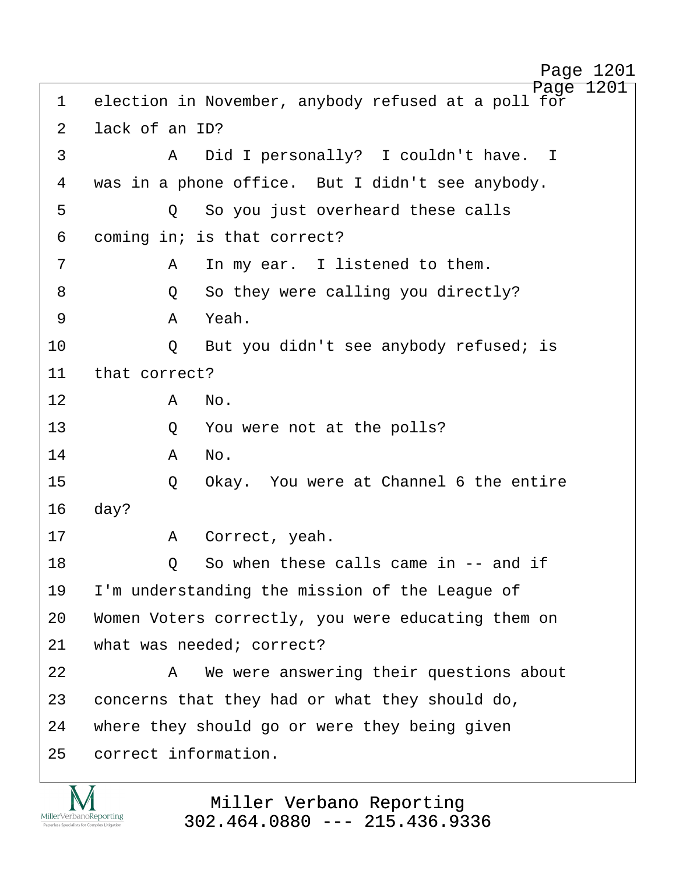Page 1201 1 election in November, anybody refused at a poll for 2 lack of an ID? ·3· · · · · ·A· ·Did I personally?· I couldn't have. I 4 was in a phone office. But I didn't see anybody. ·5· · · · · ·Q· ·So you just overheard these calls 6 coming in; is that correct? ·7· · · · · ·A· ·In my ear.· I listened to them. ·8· · · · · ·Q· ·So they were calling you directly? ·9· · · · · ·A· ·Yeah. 10 · · · · · Q · But you didn't see anybody refused; is 11 that correct? 12· · · · · ·A· ·No. 13 · · · · · Q · You were not at the polls? 14· · · · · ·A· ·No. 15 · · · · · O · Okay. You were at Channel 6 the entire 16 day? 17 · · · · · · · A · Correct, yeah. 18 0 So when these calls came in -- and if 19 I'm understanding the mission of the League of 20 Women Voters correctly, you were educating them on 21 what was needed; correct? 22· · · · · ·A· ·We were answering their questions about 23 concerns that they had or what they should do, 24 where they should go or were they being given 25 correct information.

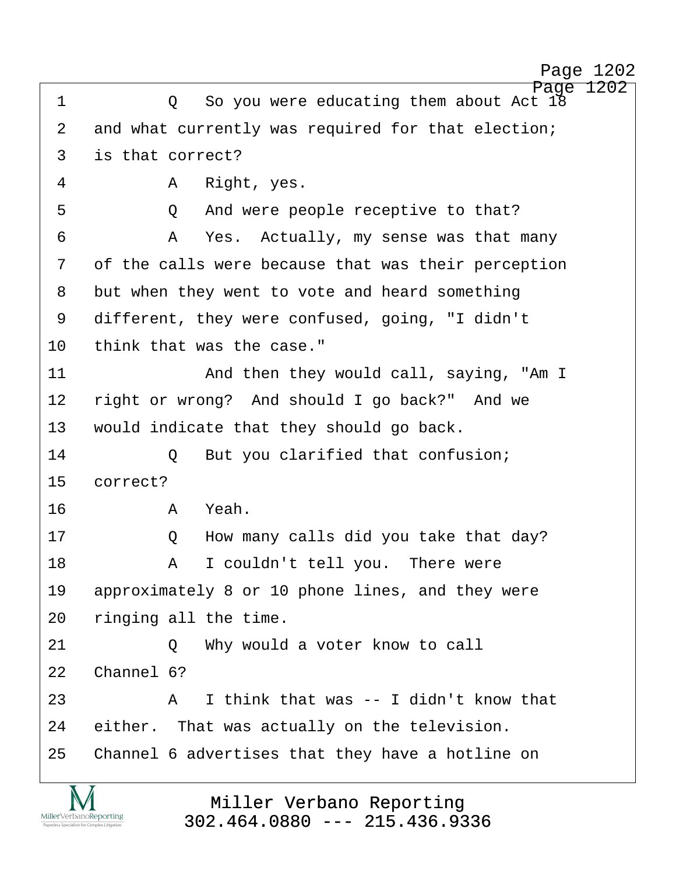```
Page 1202
```
http://www.yeslaw.net/help

Page 1202 ·1· · · · · ·Q· ·So you were educating them about Act 18 2 and what currently was required for that election; 3 is that correct? ·4· · · · · ·A· ·Right, yes. 5 · · · · · · Q · And were people receptive to that? ·6· · · · · ·A· ·Yes.· Actually, my sense was that many 7 of the calls were because that was their perception 8 but when they went to vote and heard something 9 different, they were confused, going, "I didn't 10 think that was the case." 11 · · · · · · · · And then they would call, saying, "Am I 12 right or wrong? And should I go back?" And we 13 · would indicate that they should go back. 14 0 But you clarified that confusion; 15 correct? 16· · · · · ·A· ·Yeah. 17· · · · · ·Q· ·How many calls did you take that day? 18· · · · · ·A· ·I couldn't tell you.· There were 19 approximately 8 or 10 phone lines, and they were 20 ringing all the time. 21 0 Why would a voter know to call 22 Channel 6? 23· · · · · ·A· ·I think that was -- I didn't know that 24 either. That was actually on the television. 25 Channel 6 advertises that they have a hotline on

> Miller Verbano Reporting [302.464.0880 --- 215.436.9336](http://www.miller-verbano.com)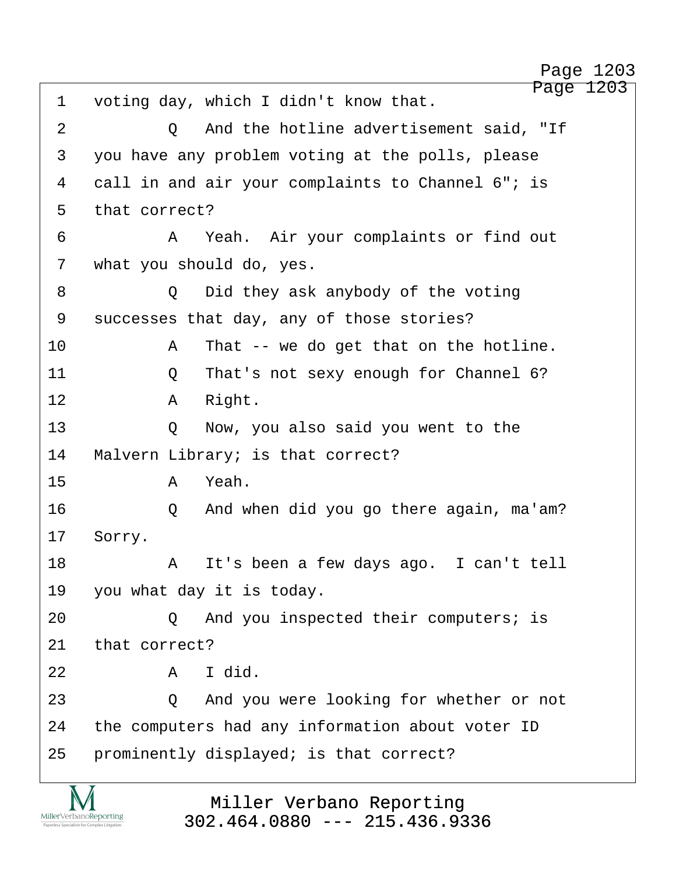Page 1203 1 voting day, which I didn't know that. 2 0 And the hotline advertisement said, "If 3 you have any problem voting at the polls, please 4 call in and air your complaints to Channel 6"; is 5 that correct? ·6· · · · · ·A· ·Yeah.· Air your complaints or find out 7 what you should do, yes. ·8· · · · · ·Q· ·Did they ask anybody of the voting 9 successes that day, any of those stories? 10· · · · · ·A· ·That -- we do get that on the hotline. 11· · · · · ·Q· ·That's not sexy enough for Channel 6? 12· · · · · ·A· ·Right. 13 · · · · Q · Now, you also said you went to the 14 Malvern Library; is that correct? 15· · · · · ·A· ·Yeah. 16· · · · · ·Q· ·And when did you go there again, ma'am? 17 Sorry. 18· · · · · ·A· ·It's been a few days ago.· I can't tell 19 you what day it is today. 20· · · · · ·Q· ·And you inspected their computers; is 21 that correct?  $22$  **A** I did. 23· · · · · ·Q· ·And you were looking for whether or not 24 the computers had any information about voter ID 25 prominently displayed; is that correct?

> Miller Verbano Reporting [302.464.0880 --- 215.436.9336](http://www.miller-verbano.com)

MillerVerbanoReporting

Page 1203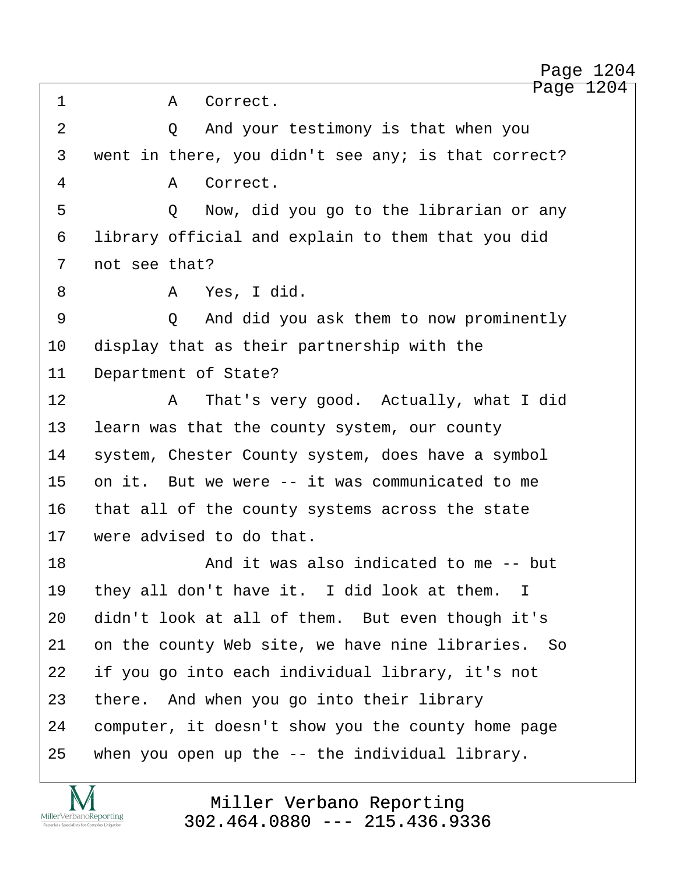Page 1204 ·1· · · · · ·A· ·Correct. 2 0 And your testimony is that when you 3 went in there, you didn't see any; is that correct? ·4· · · · · ·A· ·Correct. ·5· · · · · ·Q· ·Now, did you go to the librarian or any 6 library official and explain to them that you did 7 not see that? ·8· · · · · ·A· ·Yes, I did. ·9· · · · · ·Q· ·And did you ask them to now prominently 10 display that as their partnership with the 11 Department of State? 12· · · · · ·A· ·That's very good.· Actually, what I did 13 learn was that the county system, our county 14 system, Chester County system, does have a symbol 15 on it. But we were -- it was communicated to me 16 that all of the county systems across the state 17 were advised to do that. 18· · · · · · · ·And it was also indicated to me -- but 19 they all don't have it. I did look at them. I 20 didn't look at all of them. But even though it's 21 on the county Web site, we have nine libraries. So 22 if you go into each individual library, it's not 23 there. And when you go into their library 24 computer, it doesn't show you the county home page 25 when you open up the  $-$ - the individual library. Page 1204

> Miller Verbano Reporting [302.464.0880 --- 215.436.9336](http://www.miller-verbano.com)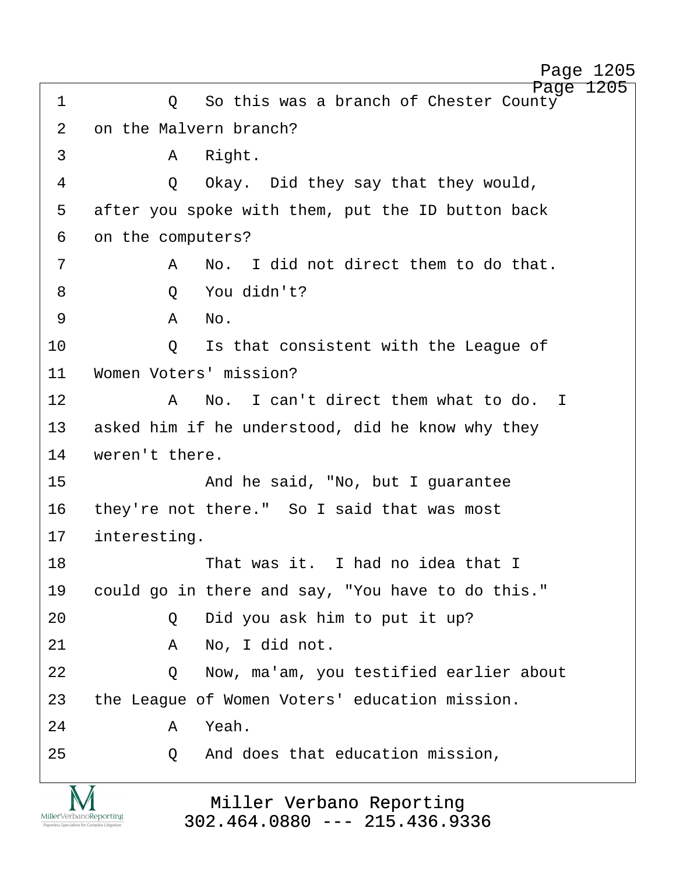http://www.yeslaw.net/help

Page 1205 ·1· · · · · ·Q· ·So this was a branch of Chester County 2 on the Malvern branch? 3 a Right. ·4· · · · · ·Q· ·Okay.· Did they say that they would, 5 after you spoke with them, put the ID button back 6 on the computers? ·7· · · · · ·A· ·No.· I did not direct them to do that. ·8· · · · · ·Q· ·You didn't? ·9· · · · · ·A· ·No. 10 0 Is that consistent with the League of 11 Women Voters' mission? 12· · · · · ·A· ·No.· I can't direct them what to do. I 13 asked him if he understood, did he know why they 14 weren't there. 15· · · · · · · ·And he said, "No, but I guarantee 16 they're not there." So I said that was most 17 interesting. 18· · · · · · · ·That was it.· I had no idea that I 19 could go in there and say, "You have to do this." 20 · · · · · Q · Did you ask him to put it up? 21· · · · · ·A· ·No, I did not. 22 · · · · · Q · · Now, ma'am, you testified earlier about 23 the League of Women Voters' education mission. 24· · · · · ·A· ·Yeah. 25· · · · · ·Q· ·And does that education mission,

> Miller Verbano Reporting [302.464.0880 --- 215.436.9336](http://www.miller-verbano.com)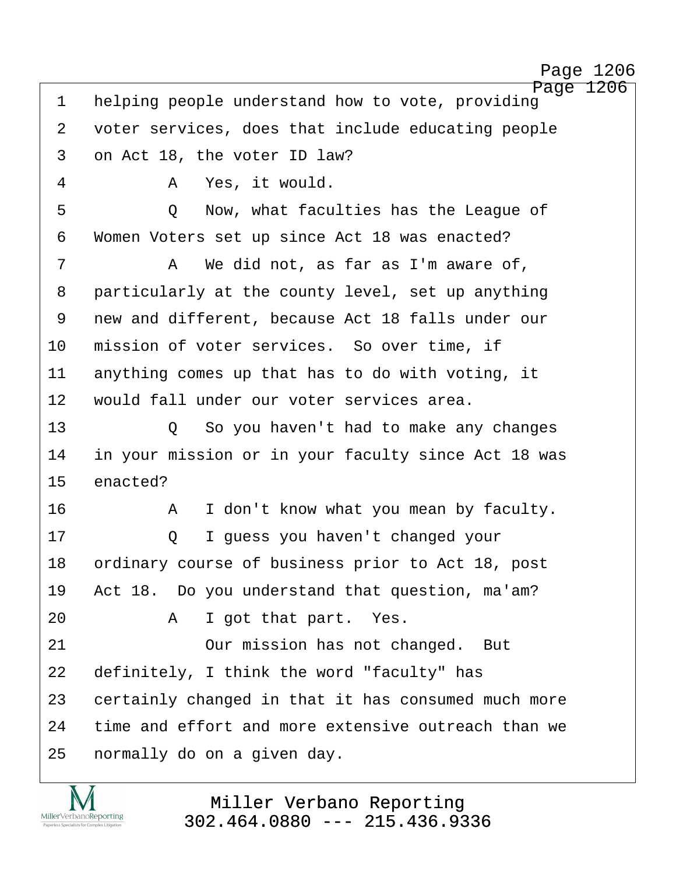http://www.yeslaw.net/help

| $\mathbf 1$    | Page 1206<br>helping people understand how to vote, providing |
|----------------|---------------------------------------------------------------|
| 2              | voter services, does that include educating people            |
| $\mathfrak{Z}$ | on Act 18, the voter ID law?                                  |
| 4              | Yes, it would.<br>A                                           |
| 5              | Now, what faculties has the League of<br>Q                    |
| 6              | Women Voters set up since Act 18 was enacted?                 |
| 7              | We did not, as far as I'm aware of,<br>Α                      |
| 8              | particularly at the county level, set up anything             |
| 9              | new and different, because Act 18 falls under our             |
| 10             | mission of voter services. So over time, if                   |
| 11             | anything comes up that has to do with voting, it              |
| 12             | would fall under our voter services area.                     |
| 13             | So you haven't had to make any changes<br>$\circ$             |
| 14             | in your mission or in your faculty since Act 18 was           |
| 15             | enacted?                                                      |
| 16             | I don't know what you mean by faculty.<br>Α                   |
| 17             | I quess you haven't changed your<br>Q                         |
| 18             | ordinary course of business prior to Act 18, post             |
| 19             | Act 18. Do you understand that question, ma'am?               |
| 20             | I got that part. Yes.<br>Α                                    |
| 21             | Our mission has not changed. But                              |
| 22             | definitely, I think the word "faculty" has                    |
| 23             | certainly changed in that it has consumed much more           |
| 24             | time and effort and more extensive outreach than we           |
| 25             | normally do on a given day.                                   |
|                |                                                               |

Miller Verbano Reporting [302.464.0880 --- 215.436.9336](http://www.miller-verbano.com)

M  $\underset{\text{Paperless Specialists for Complex Litigation}}{\text{MillerVerbanoReporting}}$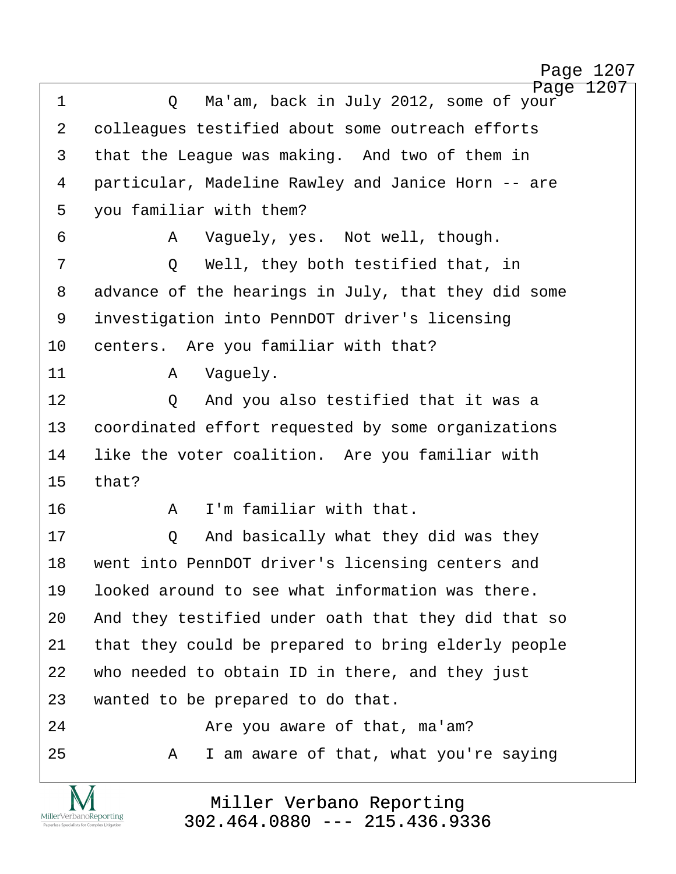http://www.yeslaw.net/help

Page 1207 1 · · · · · Q · Ma'am, back in July 2012, some of your 2 colleagues testified about some outreach efforts 3 that the League was making. And two of them in 4 particular, Madeline Rawley and Janice Horn -- are 5 you familiar with them? ·6· · · · · ·A· ·Vaguely, yes.· Not well, though. 7 · · · · · Q · · Well, they both testified that, in 8 advance of the hearings in July, that they did some 9 investigation into PennDOT driver's licensing 10 centers. Are you familiar with that? 11· · · · · ·A· ·Vaguely. 12 0 And you also testified that it was a 13 coordinated effort requested by some organizations 14 Iike the voter coalition. Are you familiar with 15· ·that? 16· · · · · ·A· ·I'm familiar with that. 17· · · · · ·Q· ·And basically what they did was they 18 went into PennDOT driver's licensing centers and 19· ·looked around to see what information was there. 20 And they testified under oath that they did that so 21 that they could be prepared to bring elderly people 22 who needed to obtain ID in there, and they just 23 wanted to be prepared to do that. 24 are you aware of that, ma'am? 25· · · · · ·A· ·I am aware of that, what you're saying

> Miller Verbano Reporting [302.464.0880 --- 215.436.9336](http://www.miller-verbano.com)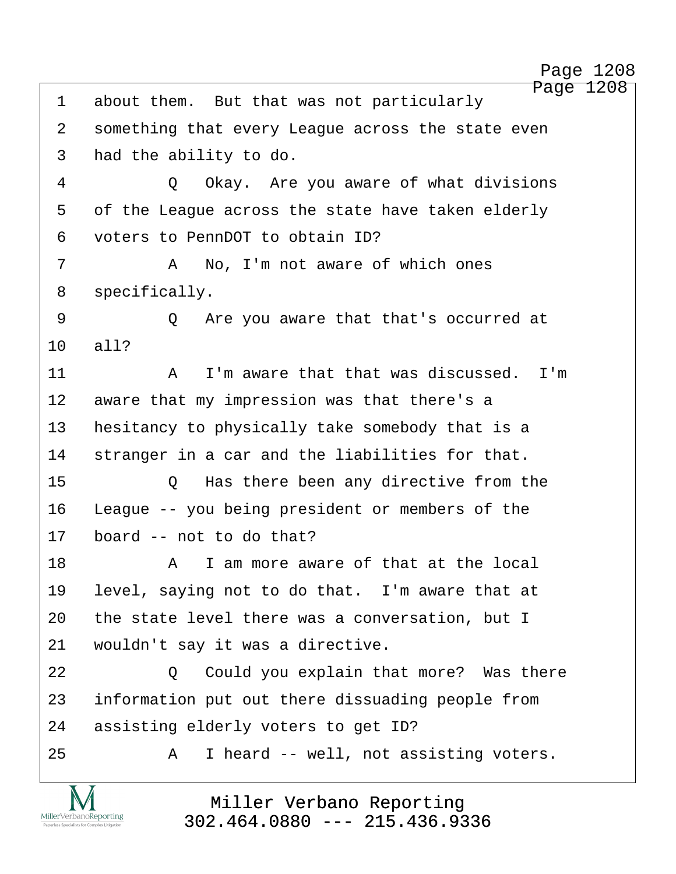Page 1208 1 about them. But that was not particularly Page 1208

2 something that every League across the state even 3 had the ability to do. 4 0 Okay. Are you aware of what divisions 5 of the League across the state have taken elderly ·6· ·voters to PennDOT to obtain ID? ·7· · · · · ·A· ·No, I'm not aware of which ones 8 specifically. ·9· · · · · ·Q· ·Are you aware that that's occurred at 10 all? 11· · · · · ·A· ·I'm aware that that was discussed.· I'm 12 aware that my impression was that there's a 13 hesitancy to physically take somebody that is a 14 stranger in a car and the liabilities for that. 15· · · · · ·Q· ·Has there been any directive from the 16 League -- you being president or members of the  $17$  board  $-$  not to do that? 18· · · · · ·A· ·I am more aware of that at the local 19 level, saying not to do that. I'm aware that at 20 the state level there was a conversation, but I 21 vouldn't say it was a directive. 22 · · · · · · · · · · · Could you explain that more? Was there 23 information put out there dissuading people from 24 assisting elderly voters to get ID? 25 A I heard -- well, not assisting voters.

> Miller Verbano Reporting [302.464.0880 --- 215.436.9336](http://www.miller-verbano.com)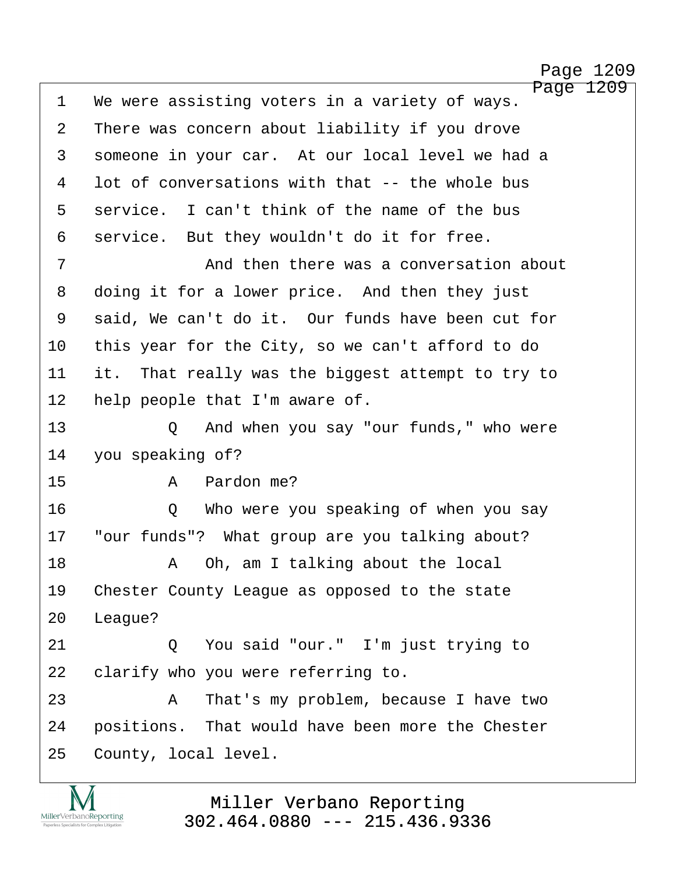http://www.yeslaw.net/help

Page 1209 1 We were assisting voters in a variety of ways. 2 There was concern about liability if you drove 3 someone in your car. At our local level we had a 4 lot of conversations with that -- the whole bus 5 service. I can't think of the name of the bus 6 service. But they wouldn't do it for free. 7 · · · · · · · · And then there was a conversation about 8 doing it for a lower price. And then they just 9 said, We can't do it. Our funds have been cut for 10 this year for the City, so we can't afford to do 11 it. That really was the biggest attempt to try to 12 help people that I'm aware of. 13 · · · · · Q · And when you say "our funds," who were 14 you speaking of? 15· · · · · ·A· ·Pardon me? 16· · · · · ·Q· ·Who were you speaking of when you say 17 "our funds"? What group are you talking about? 18· · · · · ·A· ·Oh, am I talking about the local 19 Chester County League as opposed to the state 20 League? 21 0 You said "our." I'm just trying to 22 clarify who you were referring to. 23· · · · · ·A· ·That's my problem, because I have two 24 · positions. That would have been more the Chester 25 County, local level.

> Miller Verbano Reporting [302.464.0880 --- 215.436.9336](http://www.miller-verbano.com)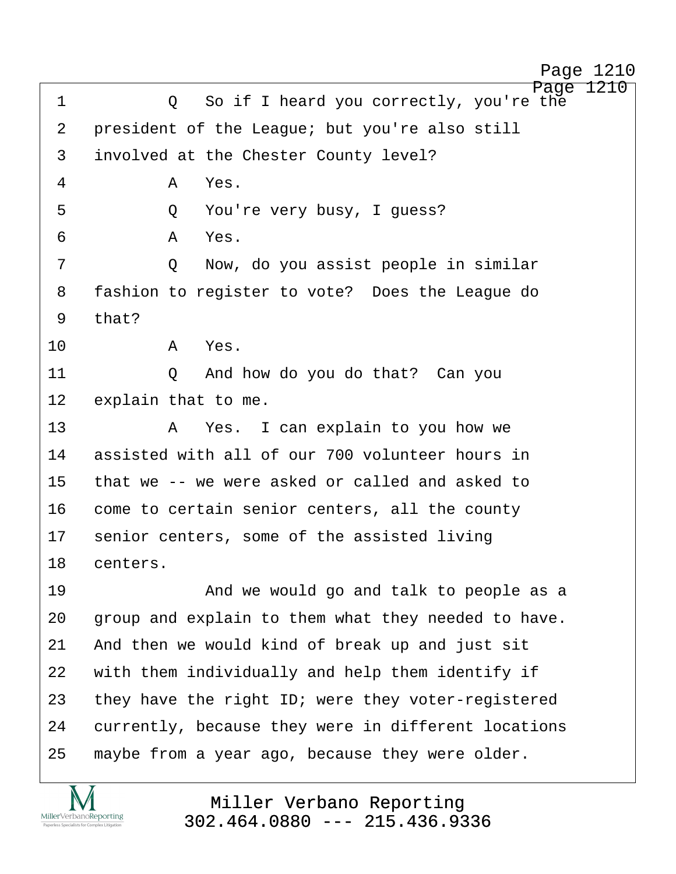http://www.yeslaw.net/help

| $\mathbf 1$    | 1210<br>Page<br>So if I heard you correctly, you're the<br>$\circ$ |
|----------------|--------------------------------------------------------------------|
| $\overline{2}$ | president of the League; but you're also still                     |
| 3              | involved at the Chester County level?                              |
| $\overline{4}$ | A<br>Yes.                                                          |
| 5              | You're very busy, I guess?<br>Q                                    |
| 6              | Yes.<br>A                                                          |
| 7              | Now, do you assist people in similar<br>Q                          |
| 8              | fashion to register to vote? Does the League do                    |
| 9              | that?                                                              |
| 10             | Yes.<br>Α                                                          |
| 11             | Q And how do you do that? Can you                                  |
| 12             | explain that to me.                                                |
| 13             | Yes. I can explain to you how we<br>Α                              |
| 14             | assisted with all of our 700 volunteer hours in                    |
| 15             | that we -- we were asked or called and asked to                    |
| 16             | come to certain senior centers, all the county                     |
| 17             | senior centers, some of the assisted living                        |
| 18             | centers.                                                           |
| 19             | And we would go and talk to people as a                            |
| 20             | group and explain to them what they needed to have.                |
| 21             | And then we would kind of break up and just sit                    |
| 22             | with them individually and help them identify if                   |
| 23             | they have the right ID; were they voter-registered                 |
| 24             | currently, because they were in different locations                |
| 25             | maybe from a year ago, because they were older.                    |
|                |                                                                    |

Miller Verbano Reporting [302.464.0880 --- 215.436.9336](http://www.miller-verbano.com)

M  $\underset{\text{Paperless Specialists for Complex Litigation}}{\text{MillerVerbanoReporting}}$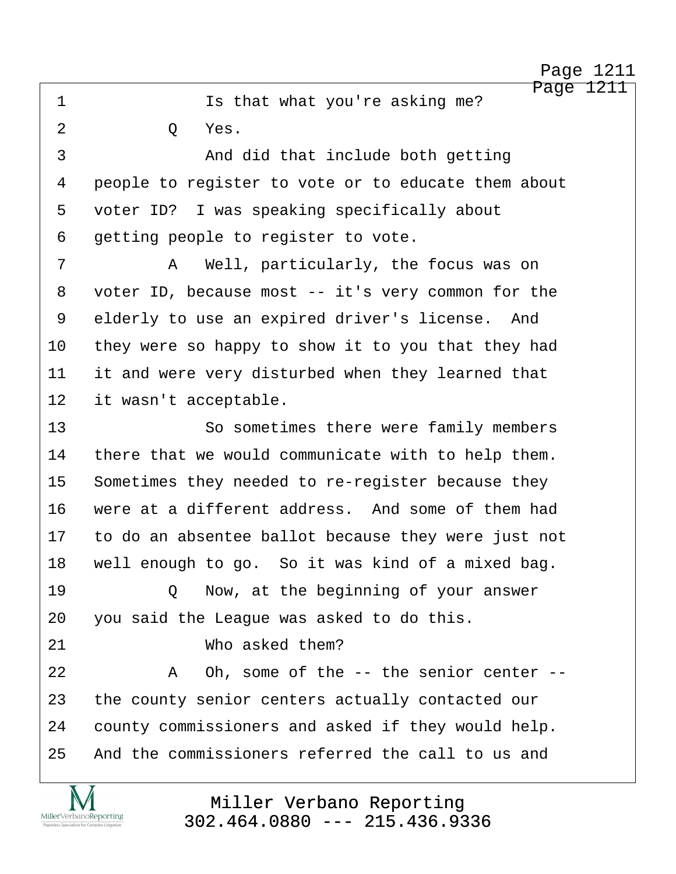Page 1211 ·1· · · · · · · ·Is that what you're asking me? 2 0 Yes. 3 and did that include both getting 4 people to register to vote or to educate them about 5 voter ID? I was speaking specifically about 6 getting people to register to vote. ·7· · · · · ·A· ·Well, particularly, the focus was on 8 voter ID, because most -- it's very common for the 9 elderly to use an expired driver's license. And 10 they were so happy to show it to you that they had 11 it and were very disturbed when they learned that 12 it wasn't acceptable. 13 · · · · · So sometimes there were family members 14 there that we would communicate with to help them. 15 Sometimes they needed to re-register because they 16 were at a different address. And some of them had 17 to do an absentee ballot because they were just not 18 well enough to go. So it was kind of a mixed bag. 19· · · · · ·Q· ·Now, at the beginning of your answer 20 you said the League was asked to do this. 21 **b** Who asked them? 22 A Oh, some of the -- the senior center --23 the county senior centers actually contacted our 24 county commissioners and asked if they would help. 25 and the commissioners referred the call to us and

MillerVerbanoReporting

## Miller Verbano Reporting [302.464.0880 --- 215.436.9336](http://www.miller-verbano.com)

http://www.yeslaw.net/help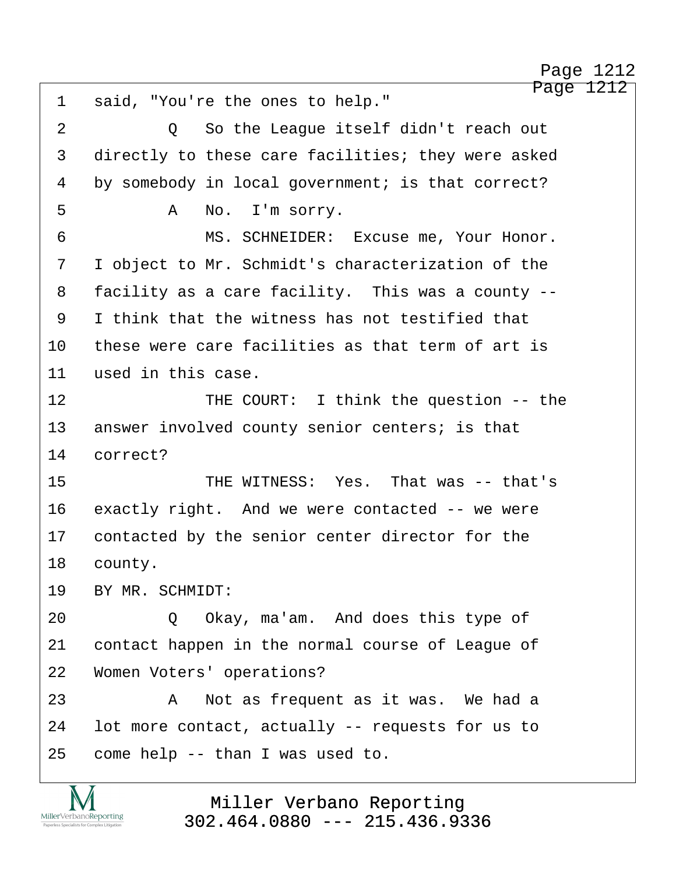Page 1212 1 said, "You're the ones to help." ·2· · · · · ·Q· ·So the League itself didn't reach out 3 directly to these care facilities; they were asked 4 by somebody in local government; is that correct? ·5· · · · · ·A· ·No.· I'm sorry. 6 MS. SCHNEIDER: Excuse me, Your Honor. 7 I object to Mr. Schmidt's characterization of the 8 facility as a care facility. This was a county --·9· ·I think that the witness has not testified that 10 these were care facilities as that term of art is 11 used in this case. 12 THE COURT: I think the question -- the 13 answer involved county senior centers; is that 14 correct? 15 · · · · · · · · THE WITNESS: Yes. That was -- that's 16 exactly right. And we were contacted -- we were 17 contacted by the senior center director for the 18 county. 19 BY MR. SCHMIDT: 20 · · · · Q Okay, ma'am. And does this type of 21 contact happen in the normal course of League of 22 Women Voters' operations? 23· · · · · ·A· ·Not as frequent as it was.· We had a 24 lot more contact, actually -- requests for us to  $25$  come help  $-$ - than I was used to. Page 1212

> Miller Verbano Reporting [302.464.0880 --- 215.436.9336](http://www.miller-verbano.com)

MillerVerbanoReporting

http://www.yeslaw.net/help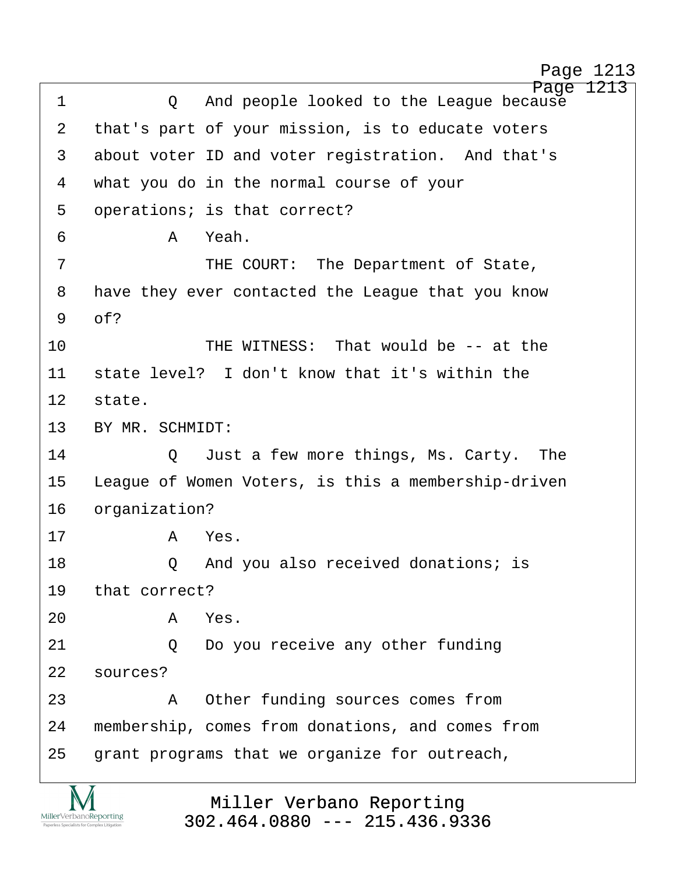http://www.yeslaw.net/help

Page 1213 ·1· · · · · ·Q· ·And people looked to the League because 2 that's part of your mission, is to educate voters 3 about voter ID and voter registration. And that's 4 what you do in the normal course of your 5 operations; is that correct? ·6· · · · · ·A· ·Yeah. ·7· · · · · · · ·THE COURT:· The Department of State, 8 have they ever contacted the League that you know  $9$   $0<sup>5</sup>$ 10 THE WITNESS: That would be -- at the 11· ·state level?· I don't know that it's within the 12 state. 13 BY MR. SCHMIDT: 14 Just a few more things, Ms. Carty. The 15 League of Women Voters, is this a membership-driven 16 organization? 17· · · · · ·A· ·Yes. 18· · · · · ·Q· ·And you also received donations; is 19 that correct? 20· · · · · ·A· ·Yes. 21 0 Do you receive any other funding 22 sources? 23 · · · · · A Other funding sources comes from 24 membership, comes from donations, and comes from 25 grant programs that we organize for outreach,

> Miller Verbano Reporting [302.464.0880 --- 215.436.9336](http://www.miller-verbano.com)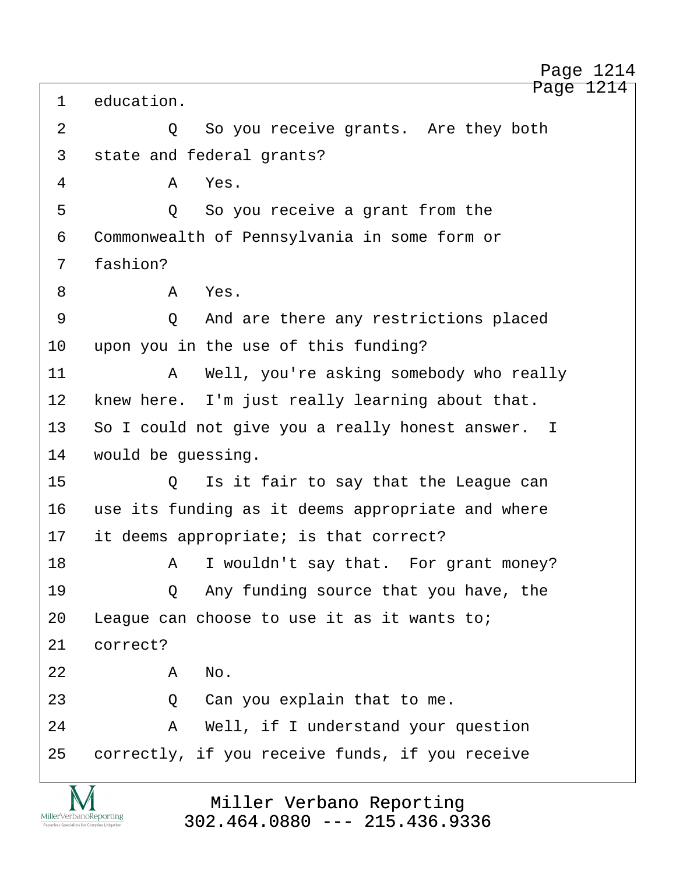Page 1214 1 education. 2 0 So you receive grants. Are they both 3 state and federal grants? ·4· · · · · ·A· ·Yes. 5 · · · · · · Q · So you receive a grant from the 6 Commonwealth of Pennsylvania in some form or 7 fashion? ·8· · · · · ·A· ·Yes. ·9· · · · · ·Q· ·And are there any restrictions placed 10 upon you in the use of this funding? 11· · · · · ·A· ·Well, you're asking somebody who really 12 knew here. I'm just really learning about that. 13 So I could not give you a really honest answer. I 14 would be quessing. 15 0 Is it fair to say that the League can 16 use its funding as it deems appropriate and where 17 it deems appropriate; is that correct? 18· · · · · ·A· ·I wouldn't say that.· For grant money? 19· · · · · ·Q· ·Any funding source that you have, the 20 League can choose to use it as it wants to; 21 correct?  $22$  **A** No. 23 · 20 · Can you explain that to me. 24· · · · · ·A· ·Well, if I understand your question 25 correctly, if you receive funds, if you receive

> Miller Verbano Reporting [302.464.0880 --- 215.436.9336](http://www.miller-verbano.com)

MillerVerbanoReporting

Page 1214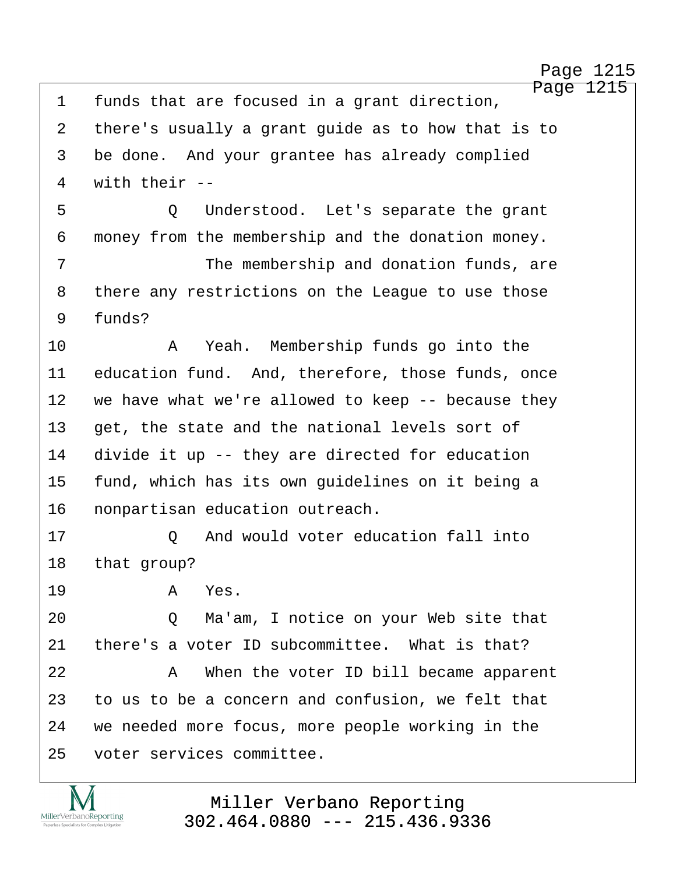http://www.yeslaw.net/help

Page 1215 1 funds that are focused in a grant direction, 2 there's usually a grant guide as to how that is to 3 be done. And your grantee has already complied 4 with their --5 · · · · · Q Understood. Let's separate the grant 6 money from the membership and the donation money. 7 The membership and donation funds, are 8 there any restrictions on the League to use those 9 funds? 10· · · · · ·A· ·Yeah.· Membership funds go into the 11 education fund. And, therefore, those funds, once 12 we have what we're allowed to keep -- because they 13 get, the state and the national levels sort of 14 divide it up -- they are directed for education 15 fund, which has its own quidelines on it being a 16 nonpartisan education outreach. 17· · · · · ·Q· ·And would voter education fall into 18 that group? 19· · · · · ·A· ·Yes. 20 · · · · Q · Ma'am, I notice on your Web site that 21 there's a voter ID subcommittee. What is that? 22· · · · · ·A· ·When the voter ID bill became apparent 23 to us to be a concern and confusion, we felt that 24 we needed more focus, more people working in the 25 voter services committee.

> Miller Verbano Reporting [302.464.0880 --- 215.436.9336](http://www.miller-verbano.com)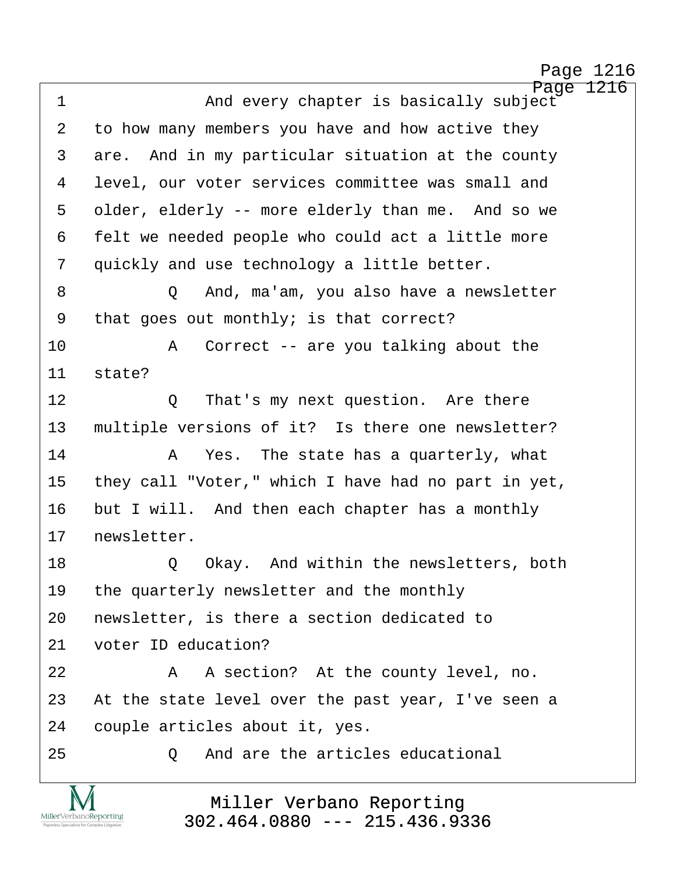http://www.yeslaw.net/help

Page 1216 1 · · · · · · · · And every chapter is basically subject 2 to how many members you have and how active they 3 are. And in my particular situation at the county 4 · level, our voter services committee was small and 5 older, elderly -- more elderly than me. And so we 6 felt we needed people who could act a little more 7 guickly and use technology a little better. ·8· · · · · ·Q· ·And, ma'am, you also have a newsletter 9 that goes out monthly; is that correct? 10 · · · · A Correct -- are you talking about the 11 state? 12 0 That's my next question. Are there 13 multiple versions of it? Is there one newsletter? 14· · · · · ·A· ·Yes.· The state has a quarterly, what 15 they call "Voter," which I have had no part in yet, 16 but I will. And then each chapter has a monthly 17 newsletter. 18· · · · · ·Q· ·Okay.· And within the newsletters, both 19 the quarterly newsletter and the monthly 20 newsletter, is there a section dedicated to 21 voter ID education? 22 A A section? At the county level, no. 23 At the state level over the past year, I've seen a 24 couple articles about it, yes. 25· · · · · ·Q· ·And are the articles educational

> Miller Verbano Reporting [302.464.0880 --- 215.436.9336](http://www.miller-verbano.com)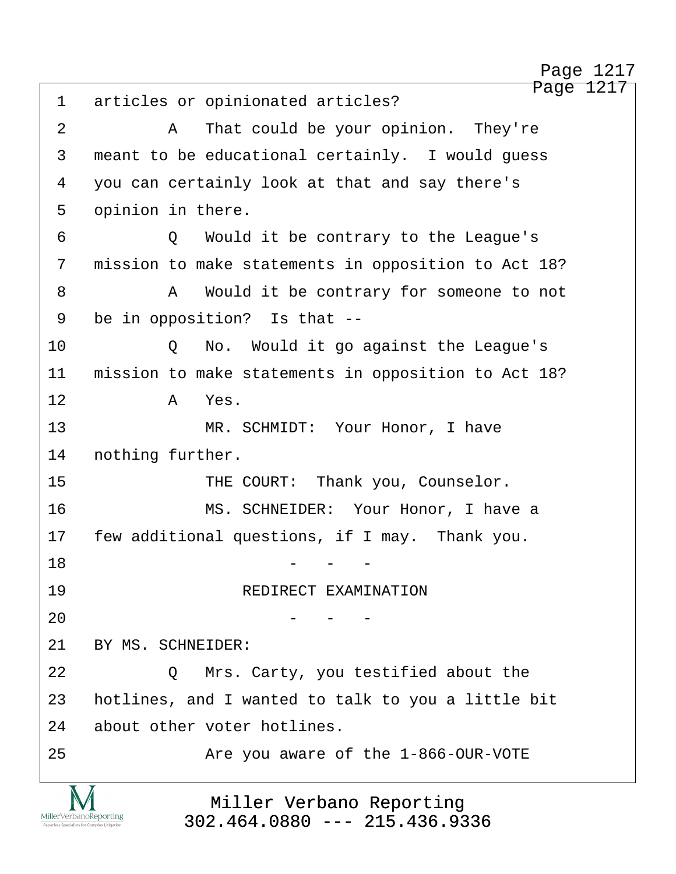Page 1217 1 articles or opinionated articles? ·2· · · · · ·A· ·That could be your opinion.· They're 3 meant to be educational certainly. I would quess 4 you can certainly look at that and say there's 5 opinion in there. ·6· · · · · ·Q· ·Would it be contrary to the League's 7 mission to make statements in opposition to Act 18? ·8· · · · · ·A· ·Would it be contrary for someone to not 9 be in opposition? Is that --10 · · · · Q · No. Would it go against the League's 11 mission to make statements in opposition to Act 18? 12 a Yes. 13· · · · · · · ·MR. SCHMIDT:· Your Honor, I have 14 nothing further. 15 THE COURT: Thank you, Counselor. 16 · · · · · · · · · MS. SCHNEIDER: Your Honor, I have a 17 few additional questions, if I may. Thank you. 18· · · · · · · · · · · · -· ·-· ·- 19 REDIRECT EXAMINATION  $20$  - - -21 BY MS. SCHNEIDER: 22 **22 22 D** Mrs. Carty, you testified about the 23 hotlines, and I wanted to talk to you a little bit 24 about other voter hotlines. 25 are you aware of the 1-866-OUR-VOTE Page 1217

Miller Verbano Reporting [302.464.0880 --- 215.436.9336](http://www.miller-verbano.com)

MillerVerbanoReporting

http://www.yeslaw.net/help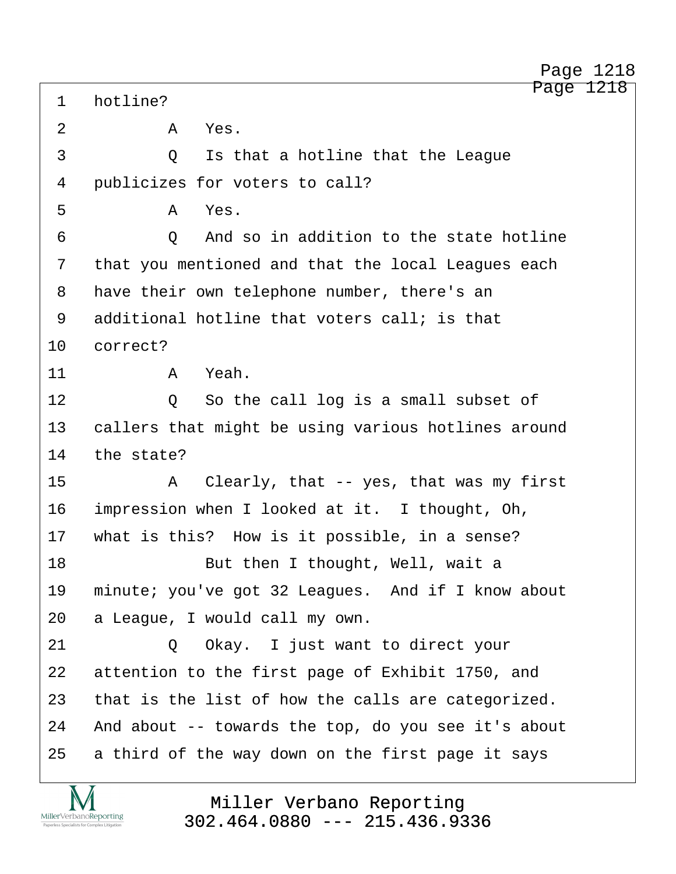1 hotline? 2 · **A Yes**. ·3· · · · · ·Q· ·Is that a hotline that the League 4 · publicizes for voters to call?  $5$   $A$   $Yes$ . ·6· · · · · ·Q· ·And so in addition to the state hotline 7 that you mentioned and that the local Leagues each 8 have their own telephone number, there's an 9 additional hotline that voters call; is that 10 correct? 11· · · · · ·A· ·Yeah. 12 0 So the call log is a small subset of 13 · callers that might be using various hotlines around 14 the state? 15· · · · · ·A· ·Clearly, that -- yes, that was my first 16 impression when I looked at it. I thought, Oh, 17 what is this? How is it possible, in a sense? 18· · · · · · · ·But then I thought, Well, wait a 19 minute; you've got 32 Leagues. And if I know about 20 a League, I would call my own. 21 0 Okay. I just want to direct your 22 attention to the first page of Exhibit 1750, and 23 that is the list of how the calls are categorized. 24 And about -- towards the top, do you see it's about 25 a third of the way down on the first page it says

MillerVerbanoReporting

Miller Verbano Reporting [302.464.0880 --- 215.436.9336](http://www.miller-verbano.com) http://www.yeslaw.net/help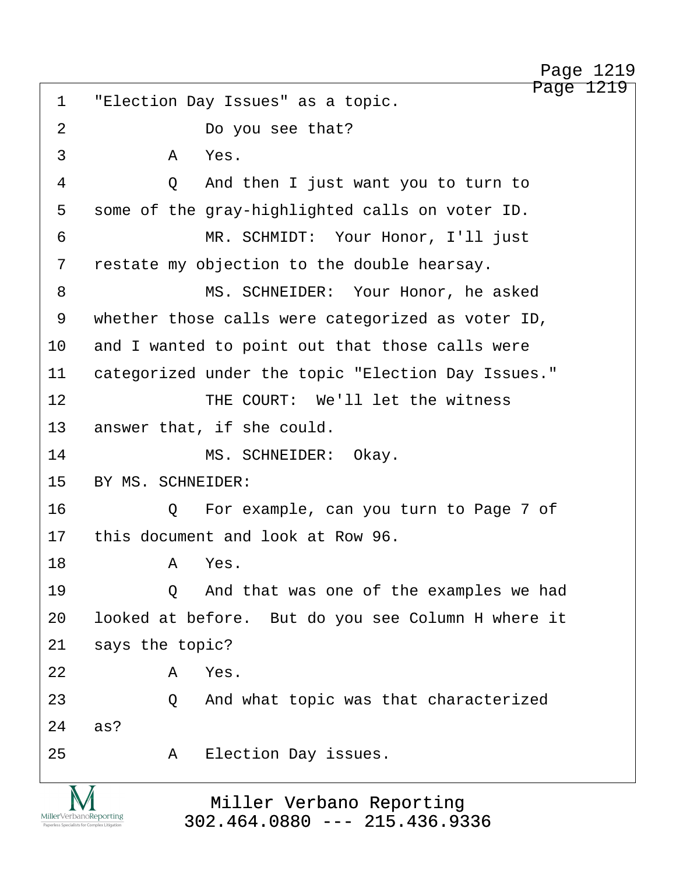http://www.yeslaw.net/help

Page 1219

1 "Election Day Issues" as a topic. 2 bo you see that?  $\overline{3}$   $\overline{A}$   $\overline{Y}$ es. ·4· · · · · ·Q· ·And then I just want you to turn to 5 some of the gray-highlighted calls on voter ID. 6 · · · · · · · · · MR. SCHMIDT: Your Honor, I'll just 7 restate my objection to the double hearsay. 8 · · · · · · · · MS. SCHNEIDER: Your Honor, he asked 9 whether those calls were categorized as voter ID, 10 and I wanted to point out that those calls were 11 categorized under the topic "Election Day Issues." 12 THE COURT: We'll let the witness 13 answer that, if she could. 14 MS. SCHNEIDER: Okay. 15 BY MS. SCHNEIDER: 16· · · · · ·Q· ·For example, can you turn to Page 7 of 17 this document and look at Row 96. 18· · · · · ·A· ·Yes. 19 · · · · · Q · And that was one of the examples we had 20 looked at before. But do you see Column H where it 21 says the topic?  $22$  **A** Yes. 23 **23** 23 **2** And what topic was that characterized  $24$  as? 25· · · · · ·A· ·Election Day issues.

> Miller Verbano Reporting [302.464.0880 --- 215.436.9336](http://www.miller-verbano.com)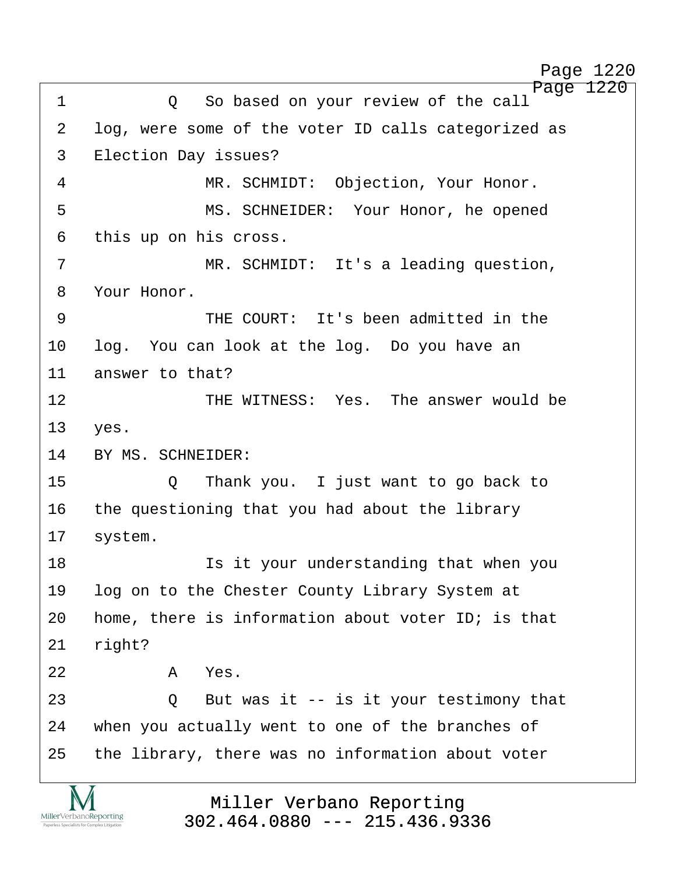http://www.yeslaw.net/help

Page 1220 ·1· · · · · ·Q· ·So based on your review of the call 2 log, were some of the voter ID calls categorized as 3 Election Day issues? 4 MR. SCHMIDT: Objection, Your Honor. 5 · · · · · · · · MS. SCHNEIDER: Your Honor, he opened 6 this up on his cross. ·7· · · · · · · ·MR. SCHMIDT:· It's a leading question, 8 Your Honor. ·9· · · · · · · ·THE COURT:· It's been admitted in the 10 · log. You can look at the log. Do you have an 11 answer to that? 12 **· · · · · · · · THE WITNESS:** Yes. The answer would be 13 yes. 14 BY MS. SCHNEIDER: 15· · · · · ·Q· ·Thank you.· I just want to go back to 16 the questioning that you had about the library 17 system. 18· · · · · · · ·Is it your understanding that when you 19· ·log on to the Chester County Library System at 20 home, there is information about voter ID; is that 21 right?  $22$  **A** Yes. 23 · 20 But was it -- is it your testimony that 24 when you actually went to one of the branches of 25 the library, there was no information about voter

> Miller Verbano Reporting [302.464.0880 --- 215.436.9336](http://www.miller-verbano.com)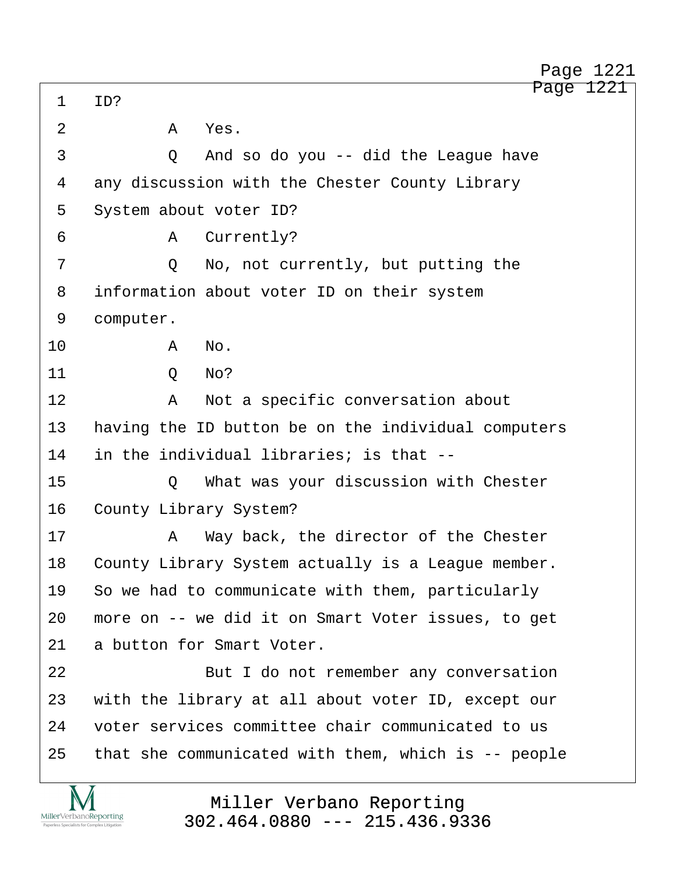Page 1221 1 ID? 2 A Yes. ·3· · · · · ·Q· ·And so do you -- did the League have 4 any discussion with the Chester County Library 5 System about voter ID? 6 · · · · · · · A · Currently? 7 · · · · · Q · · No, not currently, but putting the 8 information about voter ID on their system 9 computer. 10· · · · · ·A· ·No. 11· · · · · ·Q· ·No? 12· · · · · ·A· ·Not a specific conversation about 13 having the ID button be on the individual computers 14 in the individual libraries; is that --15· · · · · ·Q· ·What was your discussion with Chester 16 County Library System? 17· · · · · ·A· ·Way back, the director of the Chester 18 County Library System actually is a League member. 19 So we had to communicate with them, particularly 20 more on -- we did it on Smart Voter issues, to get 21 a button for Smart Voter. 22 But I do not remember any conversation 23 with the library at all about voter ID, except our 24 voter services committee chair communicated to us 25  $-$  that she communicated with them, which is  $-$ - people Page 1221

> Miller Verbano Reporting [302.464.0880 --- 215.436.9336](http://www.miller-verbano.com)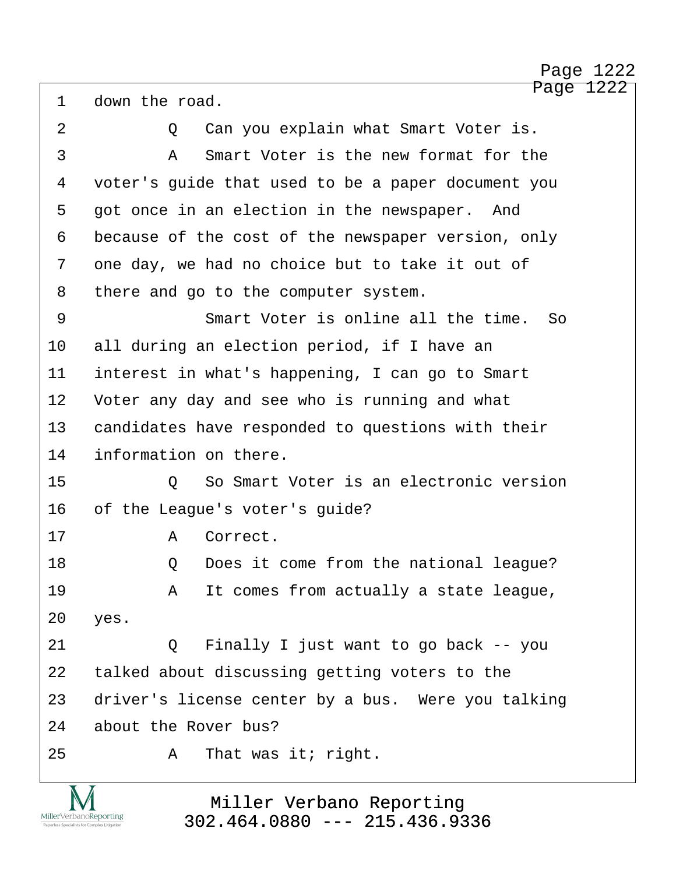http://www.yeslaw.net/help

## Page 1222

1 down the road. 2 0 Can you explain what Smart Voter is. 3 · · · · · A · Smart Voter is the new format for the ·4· ·voter's guide that used to be a paper document you 5 got once in an election in the newspaper. And 6 because of the cost of the newspaper version, only 7 one day, we had no choice but to take it out of 8 there and go to the computer system. 9 · · · · · · Smart Voter is online all the time. So 10 all during an election period, if I have an 11 interest in what's happening, I can go to Smart 12 Voter any day and see who is running and what 13 candidates have responded to questions with their 14 information on there. 15· · · · · ·Q· ·So Smart Voter is an electronic version 16 of the League's voter's guide? 17· · · · · ·A· ·Correct. 18· · · · · ·Q· ·Does it come from the national league? 19· · · · · ·A· ·It comes from actually a state league, 20 yes. 21 Q Finally I just want to go back -- you 22 talked about discussing getting voters to the 23 driver's license center by a bus. Were you talking 24 about the Rover bus? 25· · · · · ·A· ·That was it; right.

> Miller Verbano Reporting [302.464.0880 --- 215.436.9336](http://www.miller-verbano.com)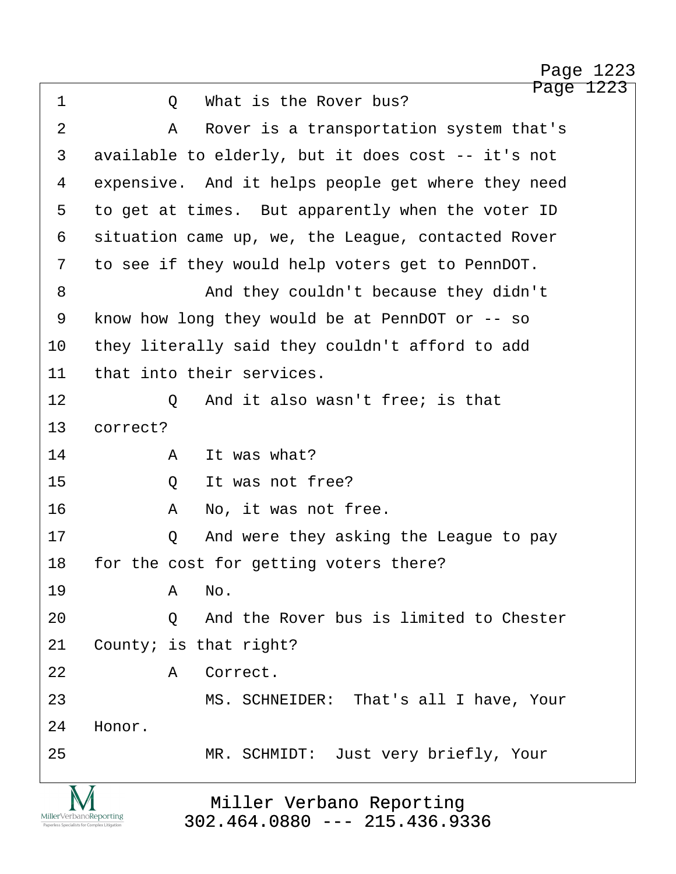http://www.yeslaw.net/help

Page 1223 1 0 What is the Rover bus? 2 A Rover is a transportation system that's 3 available to elderly, but it does cost -- it's not 4 expensive. And it helps people get where they need 5 to get at times. But apparently when the voter ID 6 situation came up, we, the League, contacted Rover 7 to see if they would help voters get to PennDOT. ·8· · · · · · · ·And they couldn't because they didn't 9 know how long they would be at PennDOT or -- so 10 they literally said they couldn't afford to add 11 that into their services. 12 0 And it also wasn't free; is that 13 correct? 14· · · · · ·A· ·It was what? 15 0 It was not free? 16· · · · · ·A· ·No, it was not free. 17· · · · · ·Q· ·And were they asking the League to pay 18 for the cost for getting voters there? 19· · · · · ·A· ·No. 20 0 And the Rover bus is limited to Chester  $21$  County; is that right? 22 A Correct. 23 MS. SCHNEIDER: That's all I have, Your 24 Honor. 25 MR. SCHMIDT: Just very briefly, Your

> Miller Verbano Reporting [302.464.0880 --- 215.436.9336](http://www.miller-verbano.com)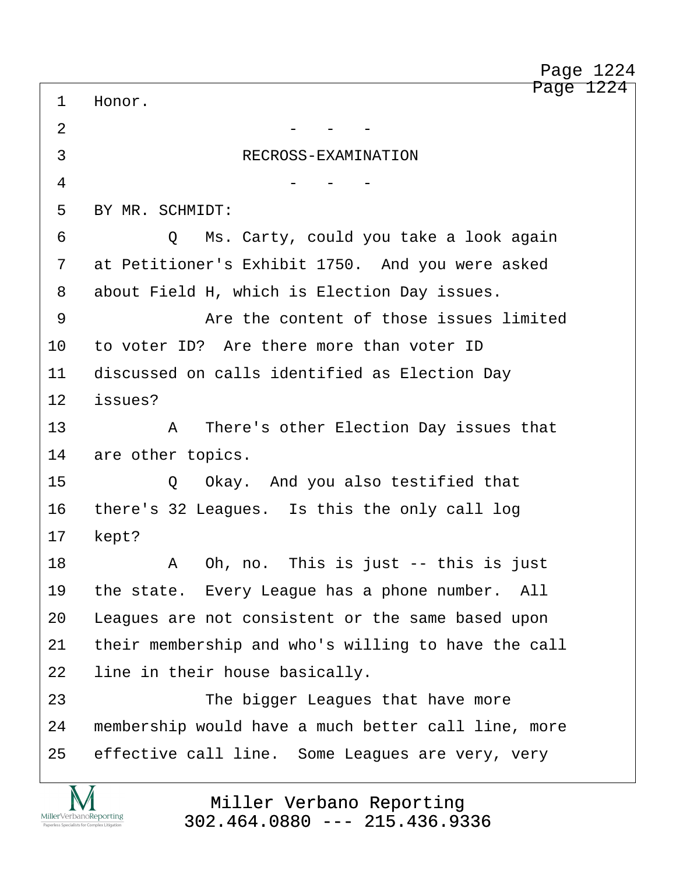Page 1224 1 Honor.  $2$   $-$ 3
BECROSS-EXAMINATION  $4$  - - -5 BY MR. SCHMIDT: 6 · · · · Q · Ms. Carty, could you take a look again 7 at Petitioner's Exhibit 1750. And you were asked 8 about Field H, which is Election Day issues. 9 · · · · · · · · · Are the content of those issues limited 10 to voter ID? Are there more than voter ID 11 discussed on calls identified as Election Day 12 issues? 13· · · · · ·A· ·There's other Election Day issues that 14 are other topics. 15 · · · · · · · · O · · Okay. And you also testified that 16 there's 32 Leagues. Is this the only call log 17 kept? 18· · · · · ·A· ·Oh, no.· This is just -- this is just 19 the state. Every League has a phone number. All 20 Leagues are not consistent or the same based upon 21 their membership and who's willing to have the call 22 line in their house basically. 23 The bigger Leagues that have more 24 membership would have a much better call line, more 25 effective call line. Some Leagues are very, very Page 1224

> Miller Verbano Reporting [302.464.0880 --- 215.436.9336](http://www.miller-verbano.com)

MillerVerbanoReporting

http://www.yeslaw.net/help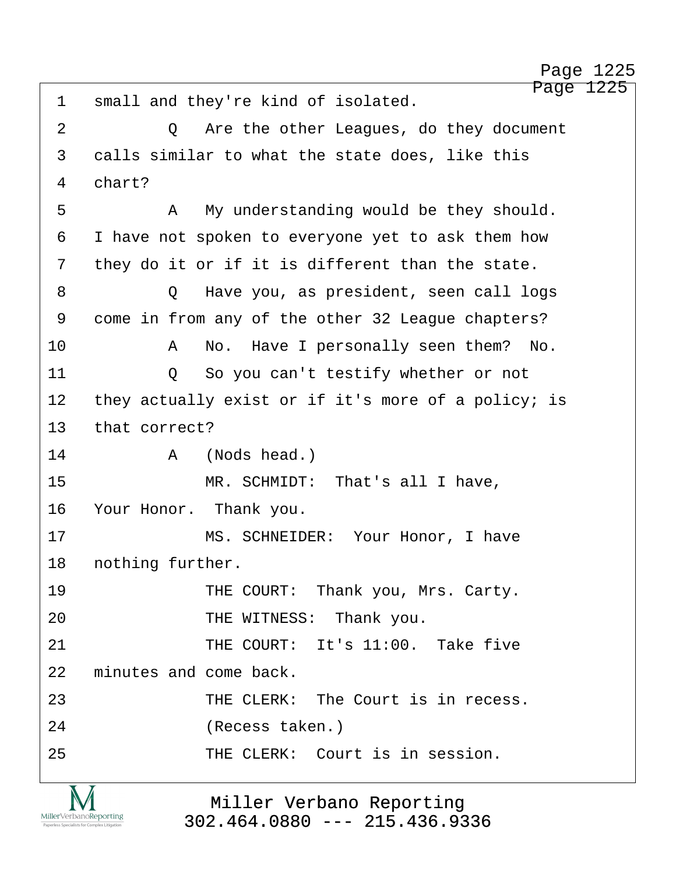Page 1225 1 small and they're kind of isolated. ·2· · · · · ·Q· ·Are the other Leagues, do they document 3 calls similar to what the state does, like this 4 chart? ·5· · · · · ·A· ·My understanding would be they should. 6 I have not spoken to everyone yet to ask them how 7 they do it or if it is different than the state. ·8· · · · · ·Q· ·Have you, as president, seen call logs 9 come in from any of the other 32 League chapters? 10· · · · · ·A· ·No.· Have I personally seen them?· No. 11· · · · · ·Q· ·So you can't testify whether or not 12 they actually exist or if it's more of a policy; is 13 that correct? 14· · · · · ·A· ·(Nods head.) 15 · · · · · · · MR. SCHMIDT: · That's all I have, 16 Your Honor. Thank you. 17 · · · · · · · · MS. SCHNEIDER: Your Honor, I have 18 nothing further. 19 · · · · · · · THE COURT: Thank you, Mrs. Carty. 20 **THE WITNESS:** Thank you. 21 THE COURT: It's 11:00. Take five 22 minutes and come back. 23· · · · · · · ·THE CLERK:· The Court is in recess. 24· · · · · · · ·(Recess taken.) 25· · · · · · · ·THE CLERK:· Court is in session. Page 1225



Miller Verbano Reporting [302.464.0880 --- 215.436.9336](http://www.miller-verbano.com)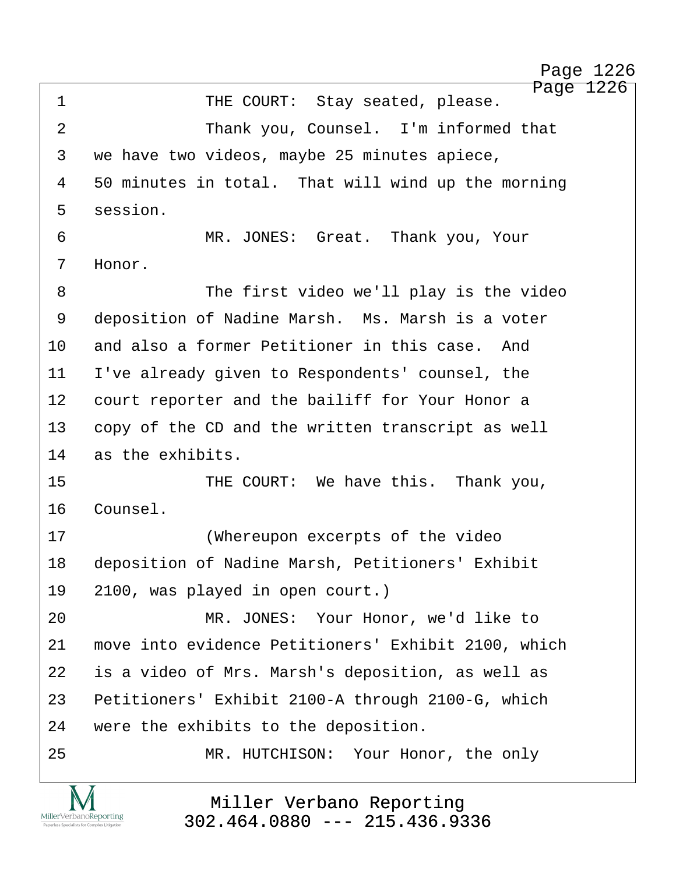Page 1226 ·1· · · · · · · ·THE COURT:· Stay seated, please. 2 Thank you, Counsel. I'm informed that 3 we have two videos, maybe 25 minutes apiece, 4 50 minutes in total. That will wind up the morning 5 session. 6 · · · · · · · · MR. JONES: Great. Thank you, Your 7 Honor. 8 The first video we'll play is the video 9 deposition of Nadine Marsh. Ms. Marsh is a voter 10 and also a former Petitioner in this case. And 11 I've already given to Respondents' counsel, the 12 court reporter and the bailiff for Your Honor a 13 copy of the CD and the written transcript as well 14 as the exhibits. 15 • THE COURT: We have this. Thank you, 16 Counsel. 17· · · · · · · ·(Whereupon excerpts of the video 18 deposition of Nadine Marsh, Petitioners' Exhibit 19 2100, was played in open court.) 20 MR. JONES: Your Honor, we'd like to 21 move into evidence Petitioners' Exhibit 2100, which 22 is a video of Mrs. Marsh's deposition, as well as 23 Petitioners' Exhibit 2100-A through 2100-G, which 24 were the exhibits to the deposition. 25 MR. HUTCHISON: Your Honor, the only

> Miller Verbano Reporting [302.464.0880 --- 215.436.9336](http://www.miller-verbano.com)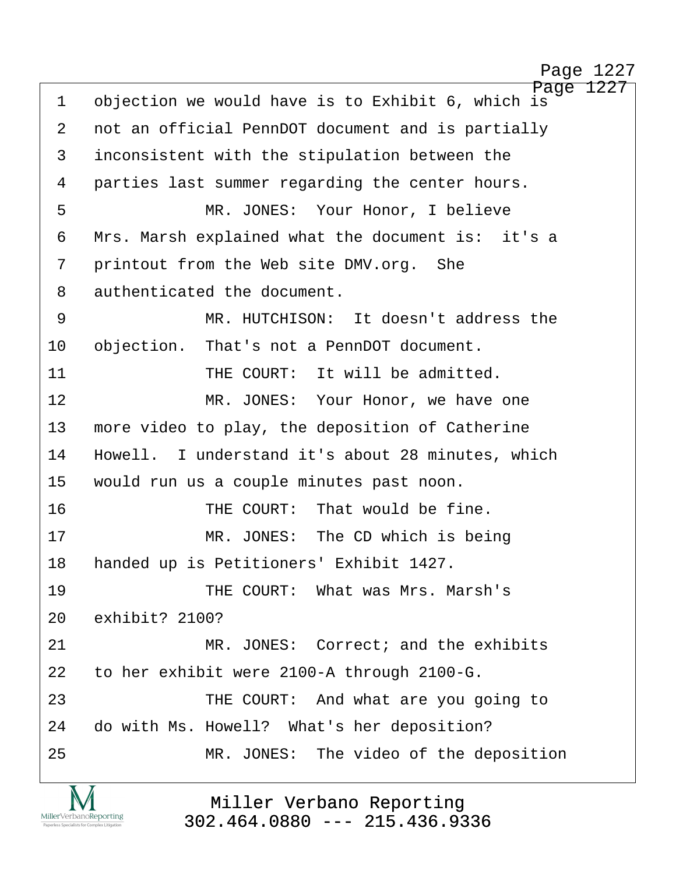Page 1227 1 objection we would have is to Exhibit 6, which is 2 not an official PennDOT document and is partially 3 inconsistent with the stipulation between the 4 parties last summer regarding the center hours. ·5· · · · · · · ·MR. JONES:· Your Honor, I believe 6 Mrs. Marsh explained what the document is: it's a 7 printout from the Web site DMV.org. She 8 authenticated the document. ·9· · · · · · · ·MR. HUTCHISON:· It doesn't address the 10 objection. That's not a PennDOT document. 11· · · · · · · ·THE COURT:· It will be admitted. 12 MR. JONES: Your Honor, we have one 13 more video to play, the deposition of Catherine 14 Howell. I understand it's about 28 minutes, which 15 would run us a couple minutes past noon. 16 **· · · · · · · · · THE COURT:** That would be fine. 17 MR. JONES: The CD which is being 18 handed up is Petitioners' Exhibit 1427. 19 · · · · · · · · · · THE COURT: · What was Mrs. Marsh's 20 exhibit? 2100? 21· · · · · · · ·MR. JONES:· Correct; and the exhibits 22 to her exhibit were 2100-A through 2100-G. 23 THE COURT: And what are you going to 24 do with Ms. Howell? What's her deposition? 25 MR. JONES: The video of the deposition

> Miller Verbano Reporting [302.464.0880 --- 215.436.9336](http://www.miller-verbano.com)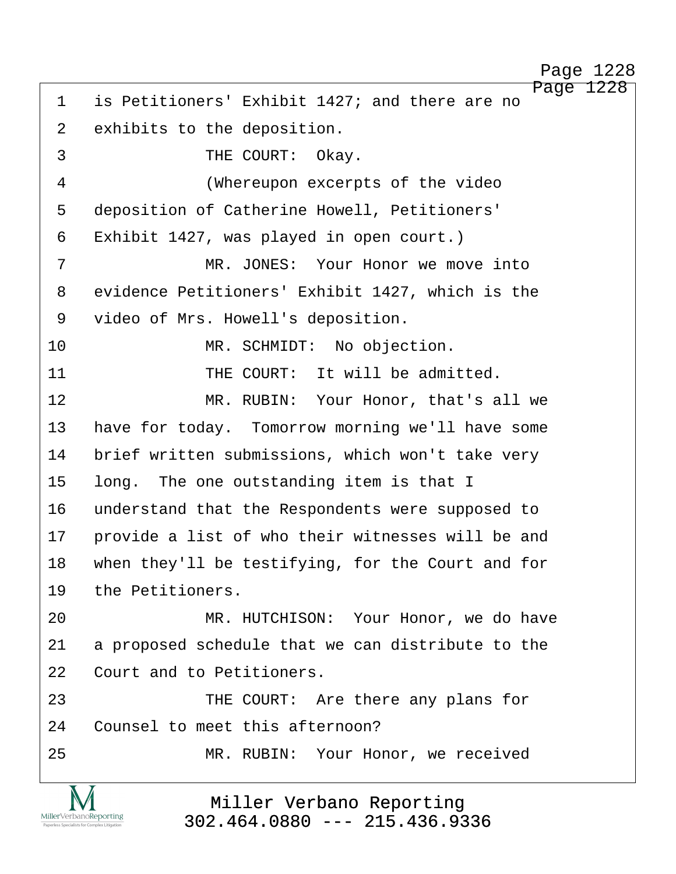Page 1228 1 is Petitioners' Exhibit 1427; and there are no 2 exhibits to the deposition. 3 THE COURT: Okay. 4 (Whereupon excerpts of the video 5 deposition of Catherine Howell, Petitioners' 6 Exhibit 1427, was played in open court.) ·7· · · · · · · ·MR. JONES:· Your Honor we move into 8 evidence Petitioners' Exhibit 1427, which is the 9 video of Mrs. Howell's deposition. 10 MR. SCHMIDT: No objection. 11 THE COURT: It will be admitted. 12 MR. RUBIN: Your Honor, that's all we 13 have for today. Tomorrow morning we'll have some 14 brief written submissions, which won't take very 15 long. The one outstanding item is that I 16 understand that the Respondents were supposed to 17 provide a list of who their witnesses will be and 18 when they'll be testifying, for the Court and for 19 the Petitioners. 20 MR. HUTCHISON: Your Honor, we do have 21 a proposed schedule that we can distribute to the 22 Court and to Petitioners. 23 THE COURT: Are there any plans for 24 Counsel to meet this afternoon? 25 MR. RUBIN: Your Honor, we received

> Miller Verbano Reporting [302.464.0880 --- 215.436.9336](http://www.miller-verbano.com)

MillerVerbanoReporting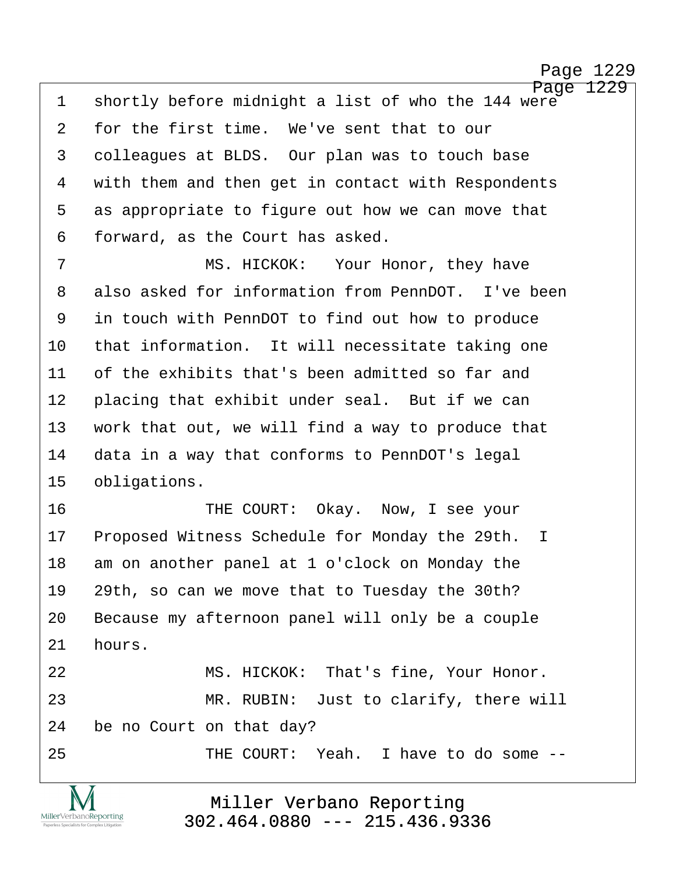Page 1229 1 shortly before midnight a list of who the 144 were 2 for the first time. We've sent that to our 3 · colleagues at BLDS. Our plan was to touch base 4 with them and then get in contact with Respondents 5 as appropriate to figure out how we can move that 6 forward, as the Court has asked.

·7· · · · · · · ·MS. HICKOK:· ·Your Honor, they have 8 also asked for information from PennDOT. I've been 9 in touch with PennDOT to find out how to produce 10 that information. It will necessitate taking one 11 of the exhibits that's been admitted so far and 12 placing that exhibit under seal. But if we can 13 work that out, we will find a way to produce that 14 data in a way that conforms to PennDOT's legal 15 obligations.

16 • • • • • • THE COURT: Okay. Now, I see your 17 Proposed Witness Schedule for Monday the 29th. I 18 am on another panel at 1 o'clock on Monday the 19 29th, so can we move that to Tuesday the 30th? 20 Because my afternoon panel will only be a couple  $21$  hours.

22 MS. HICKOK: That's fine, Your Honor. 23 MR. RUBIN: Just to clarify, there will 24 be no Court on that day?

MillerVerbanoReporting

25· · · · · · · ·THE COURT:· Yeah.· I have to do some --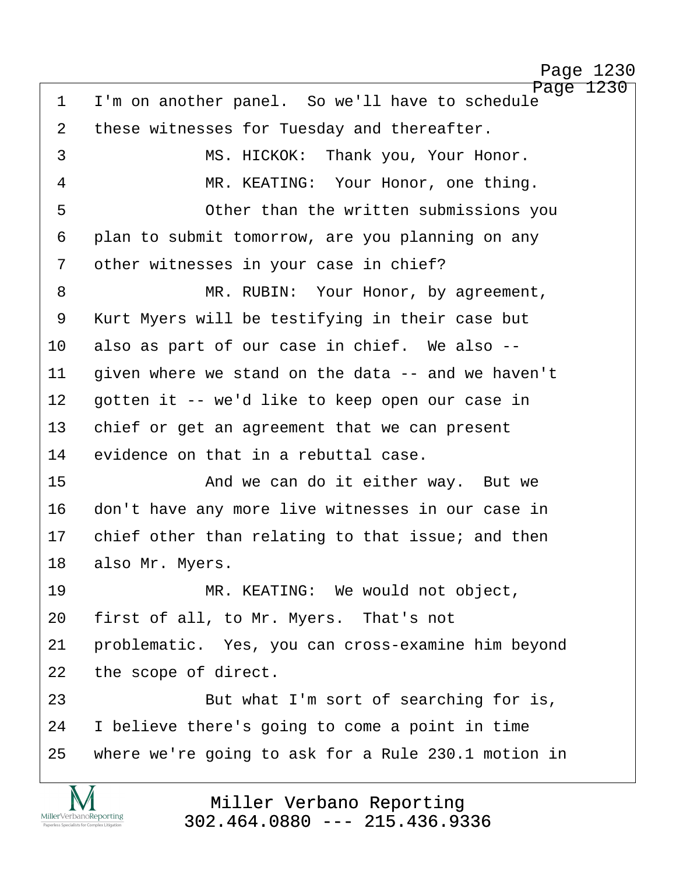Page 1230 1 I'm on another panel. So we'll have to schedule 2 these witnesses for Tuesday and thereafter. ·3· · · · · · · ·MS. HICKOK:· Thank you, Your Honor. 4 MR. KEATING: Your Honor, one thing. 5 · · · · · · · Other than the written submissions you 6 plan to submit tomorrow, are you planning on any 7 other witnesses in your case in chief? 8 MR. RUBIN: Your Honor, by agreement, 9 Kurt Myers will be testifying in their case but 10 also as part of our case in chief. We also -- $11$  given where we stand on the data  $-$  and we haven't 12 gotten it -- we'd like to keep open our case in 13 chief or get an agreement that we can present 14 evidence on that in a rebuttal case. 15· · · · · · · ·And we can do it either way.· But we 16 don't have any more live witnesses in our case in 17 chief other than relating to that issue; and then 18 also Mr. Myers. 19· · · · · · · ·MR. KEATING:· We would not object, 20 first of all, to Mr. Myers. That's not 21 · problematic. Yes, you can cross-examine him beyond 22 the scope of direct. 23· · · · · · · ·But what I'm sort of searching for is, 24 I believe there's going to come a point in time 25· ·where we're going to ask for a Rule 230.1 motion in

> Miller Verbano Reporting [302.464.0880 --- 215.436.9336](http://www.miller-verbano.com)

MillerVerbanoReporting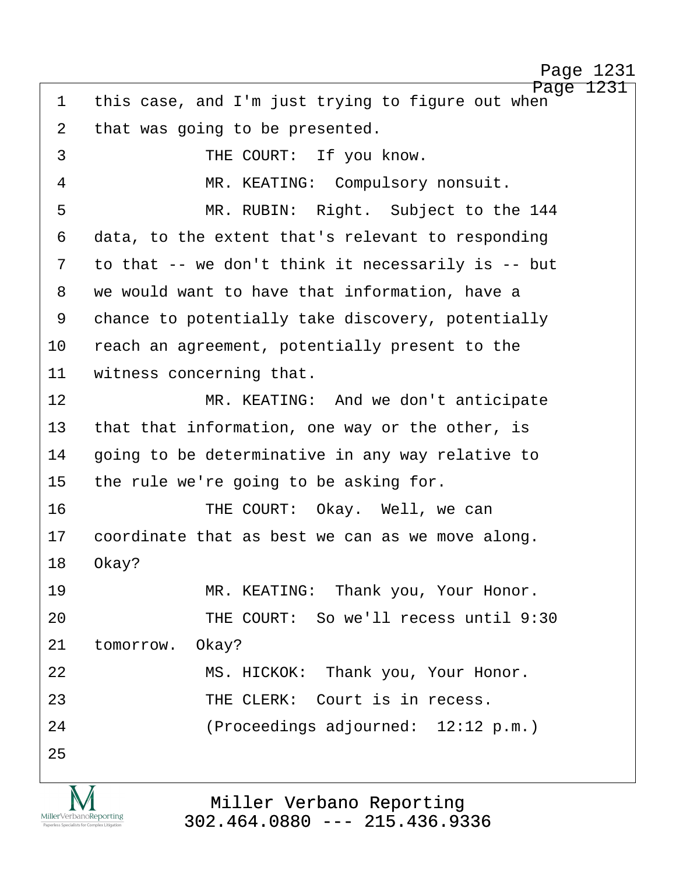Page 1231 1 this case, and I'm just trying to figure out when 2 that was going to be presented. 3 THE COURT: If you know. ·4· · · · · · · ·MR. KEATING:· Compulsory nonsuit. ·5· · · · · · · ·MR. RUBIN:· Right.· Subject to the 144 6 data, to the extent that's relevant to responding 7 to that -- we don't think it necessarily is -- but 8 we would want to have that information, have a 9 chance to potentially take discovery, potentially 10 reach an agreement, potentially present to the 11 witness concerning that. 12 MR. KEATING: And we don't anticipate 13 that that information, one way or the other, is 14 · going to be determinative in any way relative to 15 the rule we're going to be asking for. 16 · · · · · · · · THE COURT: Okay. Well, we can 17 coordinate that as best we can as we move along. 18 Okay? 19· · · · · · · ·MR. KEATING:· Thank you, Your Honor. 20 THE COURT: So we'll recess until 9:30 21 tomorrow. Okay? 22 MS. HICKOK: Thank you, Your Honor. 23 **123** THE CLERK: Court is in recess. 24· · · · · · · ·(Proceedings adjourned:· 12:12 p.m.) 25

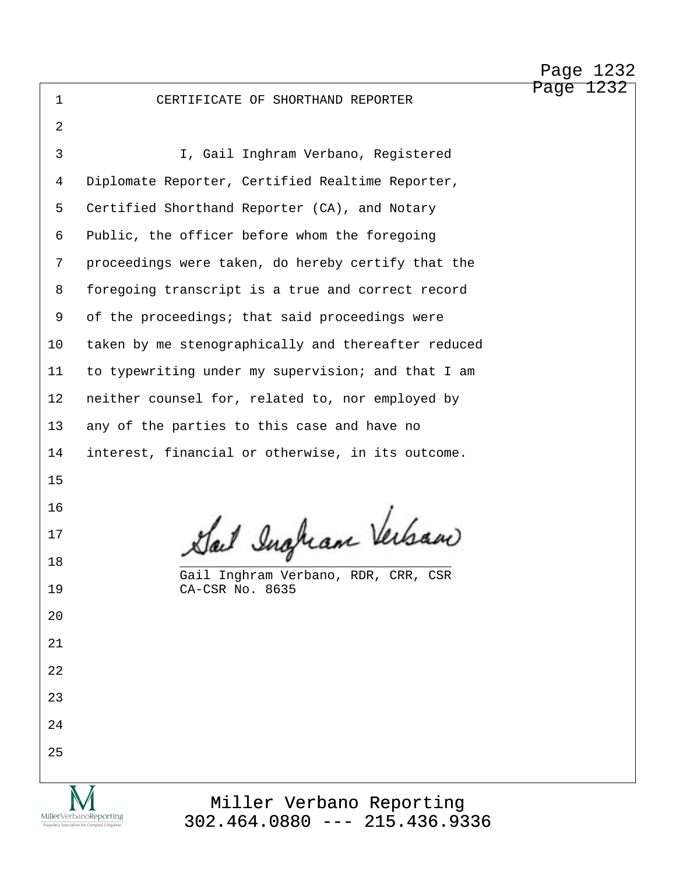·1· · · · · · CERTIFICATE OF SHORTHAND REPORTER

·2 ·3· · · · · · · ·I, Gail Inghram Verbano, Registered 4 Diplomate Reporter, Certified Realtime Reporter, 5 Certified Shorthand Reporter (CA), and Notary 6 Public, the officer before whom the foregoing 7 proceedings were taken, do hereby certify that the 8 foregoing transcript is a true and correct record 9 of the proceedings; that said proceedings were 10 taken by me stenographically and thereafter reduced 11 to typewriting under my supervision; and that I am 12 neither counsel for, related to, nor employed by 13 any of the parties to this case and have no 14 interest, financial or otherwise, in its outcome. 15 16 17 Sail Ingham Verban 17 Gail Inghram Verbano, RDR, CRR, CSR 19<br>CA-CSR No. 8635 CA-CSR No. 8635 20 21 22 23 24 25 Miller Verbano Reporting MillerVerbanoReporting

[302.464.0880 --- 215.436.9336](http://www.miller-verbano.com)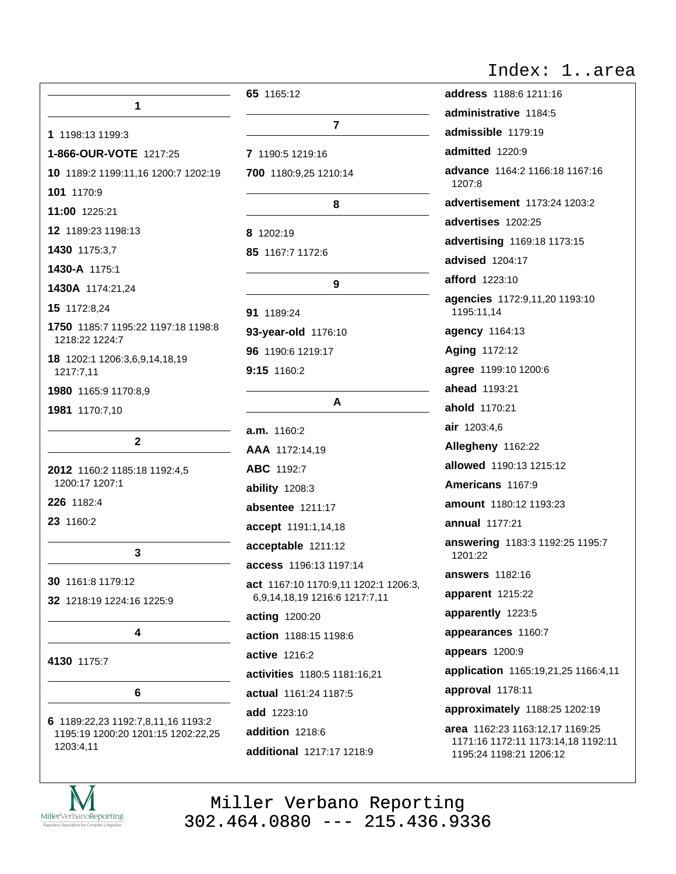| Index: | larea |  |
|--------|-------|--|
|        |       |  |

| 1                                                    | 65 1165:12                           |  |
|------------------------------------------------------|--------------------------------------|--|
| 1 1198:13 1199:3                                     | 7                                    |  |
| 1-866-OUR-VOTE 1217:25                               | 7 1190:5 1219:16                     |  |
| 10 1189:2 1199:11,16 1200:7 1202:19                  | 700 1180:9,25 1210:14                |  |
| 101 1170:9                                           |                                      |  |
| 11:00 1225:21                                        | 8                                    |  |
| 12 1189:23 1198:13                                   | 8 1202:19                            |  |
| 1430 1175:3,7                                        | 85 1167:7 1172:6                     |  |
| 1430-A 1175:1                                        |                                      |  |
| 1430A 1174:21,24                                     | 9                                    |  |
| 15 1172:8,24                                         | 91 1189:24                           |  |
| 1750 1185:7 1195:22 1197:18 1198:8<br>1218:22 1224:7 | 93-year-old 1176:10                  |  |
| 18 1202:1 1206:3,6,9,14,18,19                        | 96 1190:6 1219:17                    |  |
| 1217:7,11                                            | 9:15 1160:2                          |  |
| 1980 1165:9 1170:8,9                                 | A                                    |  |
| 1981 1170:7,10                                       |                                      |  |
| $\mathbf{2}$                                         | $a.m.$ 1160:2                        |  |
|                                                      | AAA 1172:14,19                       |  |
| 2012 1160:2 1185:18 1192:4,5                         | ABC 1192:7                           |  |
| 1200:17 1207:1                                       | ability 1208:3                       |  |
| 226 1182:4                                           | absentee 1211:17                     |  |
| 23 1160:2                                            | accept 1191:1,14,18                  |  |
| 3                                                    | acceptable 1211:12                   |  |
|                                                      | <b>access</b> 1196:13 1197:14        |  |
| 30 1161:8 1179:12                                    | act 1167:10 1170:9,11 1202:1 1206:3, |  |
| 32 1218:19 1224:16 1225:9                            | 6,9,14,18,19 1216:6 1217:7,11        |  |
| 4                                                    | acting 1200:20                       |  |
|                                                      | action 1188:15 1198:6                |  |
| 4130 1175:7                                          | active 1216:2                        |  |
|                                                      | activities 1180:5 1181:16,21         |  |
| 6                                                    | actual 1161:24 1187:5                |  |
| 6 1189:22,23 1192:7,8,11,16 1193:2                   | <b>add</b> 1223:10                   |  |
| 1195:19 1200:20 1201:15 1202:22,25                   | addition 1218:6                      |  |
| 1203:4,11                                            | additional 1217:17 1218:9            |  |

| address 1188:6 1211:16                                                                           |
|--------------------------------------------------------------------------------------------------|
| administrative 1184:5                                                                            |
| admissible 1179:19                                                                               |
| admitted 1220:9                                                                                  |
| advance 1164:2 1166:18 1167:16<br>1207:8                                                         |
| advertisement 1173:24 1203:2                                                                     |
| advertises 1202:25                                                                               |
| advertising 1169:18 1173:15                                                                      |
| advised 1204:17                                                                                  |
| afford 1223:10                                                                                   |
| <b>agencies</b> 1172:9,11,20 1193:10<br>1195:11,14                                               |
| agency 1164:13                                                                                   |
| Aging 1172:12                                                                                    |
| agree 1199:10 1200:6                                                                             |
| <b>ahead</b> 1193:21                                                                             |
| ahold 1170:21                                                                                    |
| air 1203:4,6                                                                                     |
| Allegheny 1162:22                                                                                |
| allowed 1190:13 1215:12                                                                          |
| Americans 1167:9                                                                                 |
| amount 1180:12 1193:23                                                                           |
| <b>annual</b> 1177:21                                                                            |
| answering 1183:3 1192:25 1195:7<br>1201:22                                                       |
| <b>answers</b> 1182:16                                                                           |
| apparent 1215:22                                                                                 |
| apparently 1223:5                                                                                |
| appearances 1160:7                                                                               |
| appears 1200:9                                                                                   |
| application 1165:19,21,25 1166:4,11                                                              |
| approval 1178:11                                                                                 |
| approximately 1188:25 1202:19                                                                    |
| area 1162:23 1163:12,17 1169:25<br>1171:16 1172:11 1173:14,18 1192:11<br>1195:24 1198:21 1206:12 |

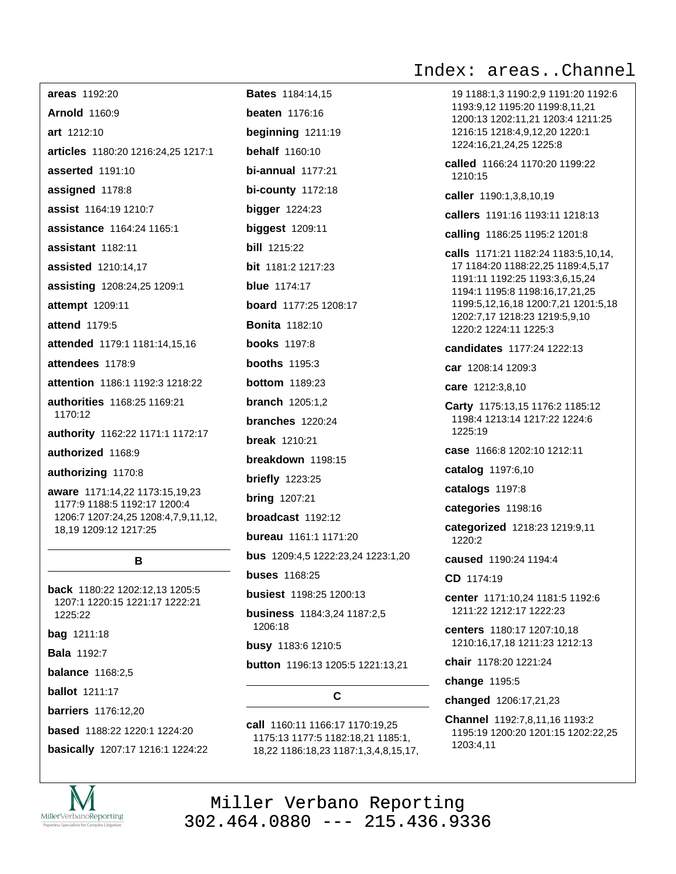Index: areas..Channel

| areas 1192:20<br>I                                                                                                                            |
|-----------------------------------------------------------------------------------------------------------------------------------------------|
| <b>Arnold 1160:9</b><br>I                                                                                                                     |
| ľ<br>art 1212:10                                                                                                                              |
| ł<br>articles 1180:20 1216:24,25 1217:1                                                                                                       |
| ľ<br>asserted 1191:10                                                                                                                         |
| I<br>assigned 1178:8                                                                                                                          |
| ł<br>assist 1164:19 1210:7                                                                                                                    |
| I<br>assistance 1164:24 1165:1                                                                                                                |
| I<br>assistant 1182:11                                                                                                                        |
| ł<br>assisted 1210:14,17                                                                                                                      |
| assisting 1208:24,25 1209:1<br>ł                                                                                                              |
| ł<br>attempt 1209:11                                                                                                                          |
| I<br>attend 1179:5                                                                                                                            |
| attended 1179:1 1181:14,15,16<br>I                                                                                                            |
| I<br>attendees 1178:9                                                                                                                         |
| attention 1186:1 1192:3 1218:22<br>ł                                                                                                          |
| I<br>authorities 1168:25 1169:21<br>1170:12<br>ł                                                                                              |
| authority 1162:22 1171:1 1172:17<br>ł                                                                                                         |
| authorized 1168:9<br>I                                                                                                                        |
| authorizing 1170:8<br>I                                                                                                                       |
| aware 1171:14,22 1173:15,19,23<br>ł<br>1177:9 1188:5 1192:17 1200:4<br>1206:7 1207:24,25 1208:4,7,9,11,12,<br>I<br>18,19 1209:12 1217:25<br>I |

### B

back 1180:22 1202:12,13 1205:5 1207:1 1220:15 1221:17 1222:21 1225:22

**bag** 1211:18

**Bala 1192:7** 

**balance** 1168:2.5

**ballot** 1211:17

**barriers** 1176:12,20

**based** 1188:22 1220:1 1224:20

basically 1207:17 1216:1 1224:22



### C.

call 1160:11 1166:17 1170:19.25 1175:13 1177:5 1182:18,21 1185:1, 18,22 1186:18,23 1187:1,3,4,8,15,17, 19 1188:1,3 1190:2,9 1191:20 1192:6 1193:9,12 1195:20 1199:8,11,21 1200:13 1202:11,21 1203:4 1211:25 1216:15 1218:4,9,12,20 1220:1 1224:16,21,24,25 1225:8

called 1166:24 1170:20 1199:22 1210:15

caller 1190:1,3,8,10,19

callers 1191:16 1193:11 1218:13

calling 1186:25 1195:2 1201:8

calls 1171:21 1182:24 1183:5,10,14, 17 1184:20 1188:22,25 1189:4,5,17 1191:11 1192:25 1193:3,6,15,24 1194:1 1195:8 1198:16,17,21,25 1199:5,12,16,18 1200:7,21 1201:5,18 1202:7,17 1218:23 1219:5,9,10 1220:2 1224:11 1225:3

candidates 1177:24 1222:13

car 1208:14 1209:3

care 1212:3,8,10

Carty 1175:13,15 1176:2 1185:12 1198:4 1213:14 1217:22 1224:6 1225:19

case 1166:8 1202:10 1212:11

catalog 1197:6,10

catalogs 1197:8

categories 1198:16

categorized 1218:23 1219:9,11  $1220.2$ 

caused 1190:24 1194:4

CD 1174:19

center 1171:10.24 1181:5 1192:6 1211:22 1212:17 1222:23

centers 1180:17 1207:10,18 1210:16,17,18 1211:23 1212:13

chair 1178:20 1221:24

change 1195:5

changed 1206:17,21,23

Channel 1192:7.8.11.16 1193:2 1195:19 1200:20 1201:15 1202:22,25 1203:4,11

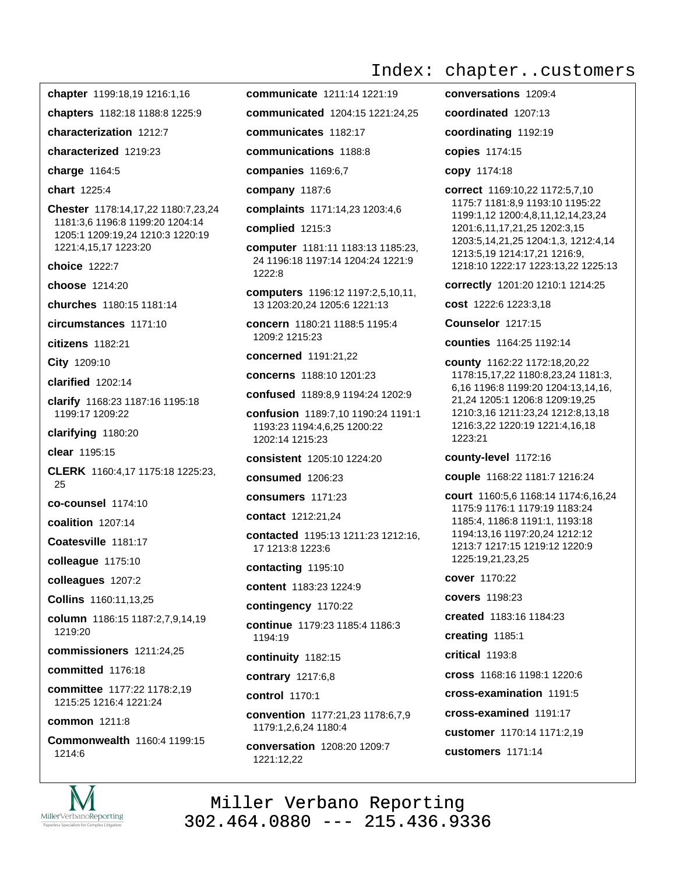chapter 1199:18,19 1216:1,16

chapters 1182:18 1188:8 1225:9

characterization 1212:7

characterized 1219:23

charge 1164:5

chart 1225:4

Chester 1178:14,17,22 1180:7,23,24 1181:3,6 1196:8 1199:20 1204:14 1205:1 1209:19,24 1210:3 1220:19 1221:4,15,17 1223:20

choice 1222:7

choose 1214:20

churches 1180:15 1181:14

circumstances 1171:10

citizens 1182:21

City 1209:10

clarified 1202:14

clarify 1168:23 1187:16 1195:18 1199:17 1209:22

clarifying 1180:20

clear 1195:15

CLERK 1160:4,17 1175:18 1225:23, 25

co-counsel 1174:10

coalition 1207:14

Coatesville 1181:17

colleague 1175:10

colleagues 1207:2

Collins 1160:11,13,25

column 1186:15 1187:2,7,9,14,19 1219:20

commissioners 1211:24,25

committed 1176:18

committee 1177:22 1178:2,19 1215:25 1216:4 1221:24

common 1211:8

Commonwealth 1160:4 1199:15 1214:6



communicate 1211:14 1221:19

communicated 1204:15 1221:24.25

communicates 1182:17

communications 1188:8

companies 1169:6,7

company 1187:6

complaints 1171:14,23 1203:4,6

- complied 1215:3
- computer 1181:11 1183:13 1185:23. 24 1196:18 1197:14 1204:24 1221:9 1222:8

computers 1196:12 1197:2,5,10,11, 13 1203:20,24 1205:6 1221:13

concern 1180:21 1188:5 1195:4 1209:2 1215:23

concerned 1191:21.22

concerns 1188:10 1201:23

confused 1189:8,9 1194:24 1202:9

confusion 1189:7,10 1190:24 1191:1 1193:23 1194:4,6,25 1200:22 1202:14 1215:23

consistent 1205:10 1224:20

consumed 1206:23

consumers 1171:23

contact 1212:21,24

contacted 1195:13 1211:23 1212:16, 17 1213:8 1223:6

contacting 1195:10

content 1183:23 1224:9

contingency 1170:22

continue 1179:23 1185:4 1186:3 1194:19

continuity 1182:15

contrary 1217:6,8

control 1170:1

convention 1177:21,23 1178:6,7,9 1179:1,2,6,24 1180:4

conversation 1208:20 1209:7 1221:12,22

Index: chapter..customers

conversations 1209:4 coordinated 1207:13

coordinating 1192:19

copies 1174:15

copy 1174:18

correct 1169:10.22 1172:5.7.10 1175:7 1181:8,9 1193:10 1195:22 1199:1,12 1200:4,8,11,12,14,23,24 1201:6,11,17,21,25 1202:3,15 1203:5, 14, 21, 25 1204: 1, 3, 1212: 4, 14 1213:5,19 1214:17,21 1216:9, 1218:10 1222:17 1223:13,22 1225:13

correctly 1201:20 1210:1 1214:25

cost 1222:6 1223:3,18

**Counselor 1217:15** 

counties 1164:25 1192:14

county 1162:22 1172:18,20,22 1178:15,17,22 1180:8,23,24 1181:3, 6,16 1196:8 1199:20 1204:13,14,16, 21,24 1205:1 1206:8 1209:19,25 1210:3,16 1211:23,24 1212:8,13,18 1216:3,22 1220:19 1221:4,16,18 1223:21

county-level 1172:16

couple 1168:22 1181:7 1216:24

court 1160:5.6 1168:14 1174:6.16.24 1175:9 1176:1 1179:19 1183:24 1185:4, 1186:8 1191:1, 1193:18 1194:13,16 1197:20,24 1212:12 1213:7 1217:15 1219:12 1220:9 1225:19,21,23,25

cover 1170:22

**covers** 1198:23

created 1183:16 1184:23

creating 1185:1

critical 1193:8

cross 1168:16 1198:1 1220:6

cross-examination 1191:5

cross-examined 1191:17

customer 1170:14 1171:2.19

customers 1171:14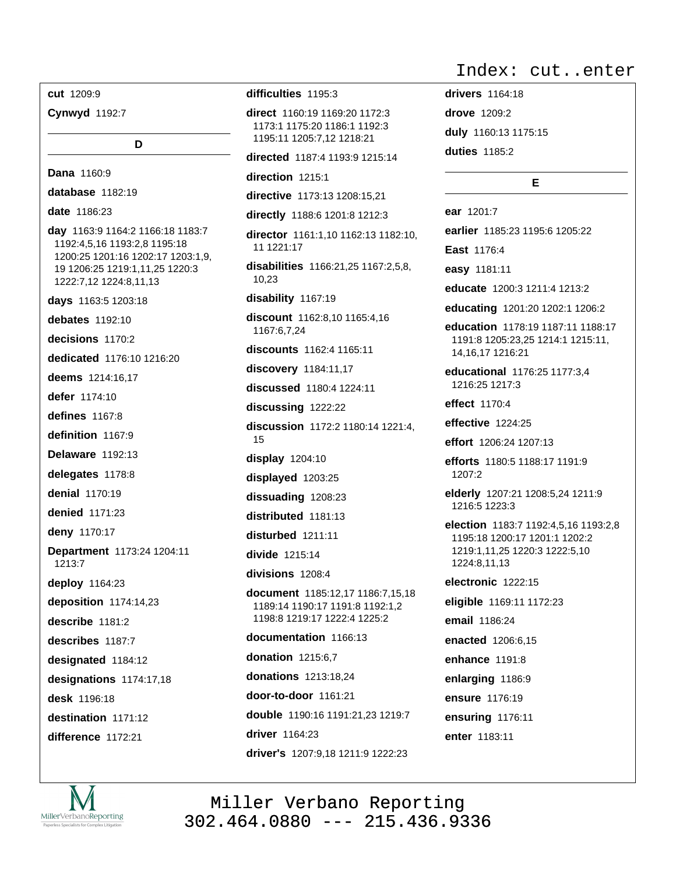cut 1209:9

**Cynwyd** 1192:7

D

Dana 1160:9 database 1182:19 date 1186:23 day 1163:9 1164:2 1166:18 1183:7 1192:4,5,16 1193:2,8 1195:18 1200:25 1201:16 1202:17 1203:1,9, 19 1206:25 1219:1,11,25 1220:3 1222:7,12 1224:8,11,13 days 1163:5 1203:18 debates 1192:10  $decisions$  1170.2 dedicated 1176:10 1216:20 deems 1214:16.17 defer 1174:10 defines  $1167:8$ definition 1167:9 **Delaware** 1192:13 delegates 1178:8 denial 1170:19 denied 1171:23 deny 1170:17 Department 1173:24 1204:11 1213:7 deploy 1164:23 deposition 1174:14,23 describe 1181:2 describes 1187:7 designated 1184:12 designations 1174:17,18 desk 1196:18 destination 1171:12 difference 1172:21

### difficulties 1195:3

direct 1160:19 1169:20 1172:3 1173:1 1175:20 1186:1 1192:3 1195:11 1205:7,12 1218:21

directed 1187:4 1193:9 1215:14

direction 1215:1

directive 1173:13 1208:15.21

directly 1188:6 1201:8 1212:3 director 1161:1,10 1162:13 1182:10, 11 1221:17 disabilities 1166:21,25 1167:2,5,8, 10,23

disability 1167:19

discount 1162:8.10 1165:4.16 1167:6,7,24

discounts 1162:4 1165:11

discovery 1184:11,17 discussed 1180:4 1224:11

discussing 1222:22

discussion 1172:2 1180:14 1221:4, 15

display 1204:10

displayed 1203:25

dissuading 1208:23

distributed 1181:13

disturbed 1211:11

divide 1215:14

divisions 1208:4

document 1185:12,17 1186:7,15,18 1189:14 1190:17 1191:8 1192:1,2 1198:8 1219:17 1222:4 1225:2

documentation 1166:13 donation 1215:6,7 **donations** 1213:18,24 **door-to-door** 1161:21 double 1190:16 1191:21,23 1219:7 driver 1164:23 driver's 1207:9,18 1211:9 1222:23

## Index: cut..enter

drivers 1164:18 drove 1209:2 duly 1160:13 1175:15 duties 1185:2

### E.

ear 1201:7 earlier 1185:23 1195:6 1205:22 East 1176:4 easy 1181:11 educate 1200:3 1211:4 1213:2 educating 1201:20 1202:1 1206:2 education 1178:19 1187:11 1188:17 1191:8 1205:23,25 1214:1 1215:11, 14, 16, 17 1216: 21

educational 1176:25 1177:3,4 1216:25 1217:3

effect 1170:4

effective 1224:25

effort 1206:24 1207:13

efforts 1180:5 1188:17 1191:9 1207:2

elderly 1207:21 1208:5,24 1211:9 1216:5 1223:3

election 1183:7 1192:4,5,16 1193:2,8 1195:18 1200:17 1201:1 1202:2 1219:1,11,25 1220:3 1222:5,10 1224:8,11,13

electronic 1222:15 eligible 1169:11 1172:23 email 1186:24 enacted 1206:6.15 enhance 1191:8 enlarging 1186:9 ensure 1176:19 ensuring 1176:11 enter 1183:11

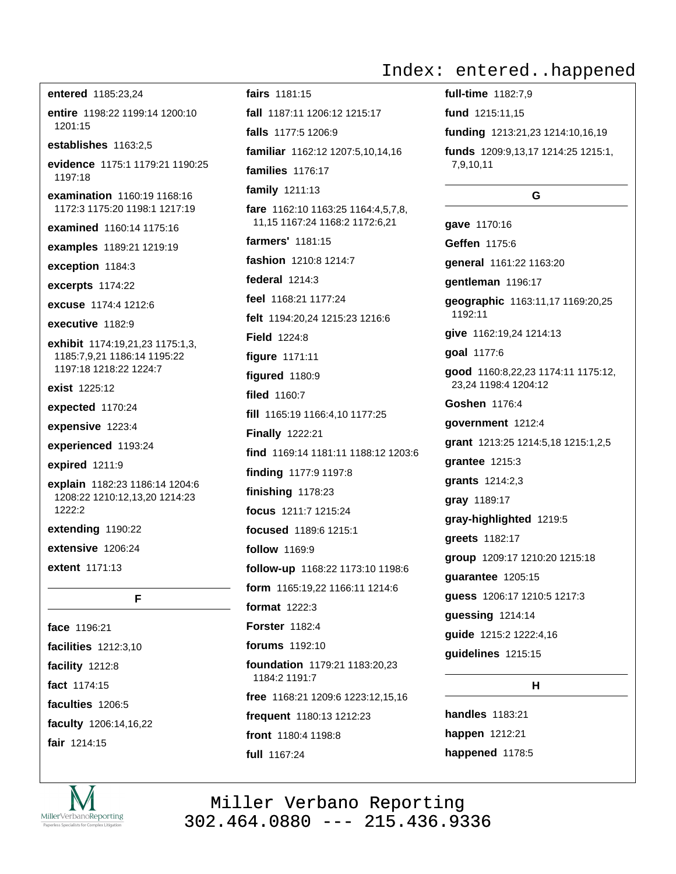entered 1185:23,24 entire 1198:22 1199:14 1200:10  $1201.15$ establishes 1163:2,5 evidence 1175:1 1179:21 1190:25 1197:18 examination 1160:19 1168:16 1172:3 1175:20 1198:1 1217:19 examined 1160:14 1175:16 examples 1189:21 1219:19 exception 1184:3 excerpts 1174:22 excuse 1174:4 1212:6 executive 1182:9 exhibit 1174:19,21,23 1175:1,3, 1185:7,9,21 1186:14 1195:22 1197:18 1218:22 1224:7 exist 1225:12 expected 1170:24 expensive 1223:4 experienced 1193:24 expired 1211:9 explain 1182:23 1186:14 1204:6 1208:22 1210:12,13,20 1214:23 1222:2 extending 1190:22

extensive 1206:24

extent 1171:13

face 1196:21 facilities 1212:3,10 facility 1212:8 fact 1174:15

F

faculties 1206:5 faculty 1206:14,16,22 fair 1214:15



# Index: entered..happened

full-time 1182:7.9 **fund** 1215:11,15 funding 1213:21,23 1214:10,16,19 funds 1209:9,13,17 1214:25 1215:1, 7,9,10,11

### G.

gave 1170:16 Geffen 1175:6 general 1161:22 1163:20 qentleman 1196:17 geographic 1163:11,17 1169:20,25 1192:11 give 1162:19,24 1214:13 goal 1177:6 good 1160:8,22,23 1174:11 1175:12, 23.24 1198:4 1204:12 Goshen 1176:4 government 1212:4 grant 1213:25 1214:5,18 1215:1,2,5 grantee 1215:3 **grants** 1214:2,3 gray 1189:17 gray-highlighted 1219:5 greets 1182:17 group 1209:17 1210:20 1215:18 guarantee 1205:15 guess 1206:17 1210:5 1217:3 guessing 1214:14 quide 1215:2 1222:4,16 guidelines 1215:15

## H.

**handles** 1183:21 happen 1212:21 happened 1178:5

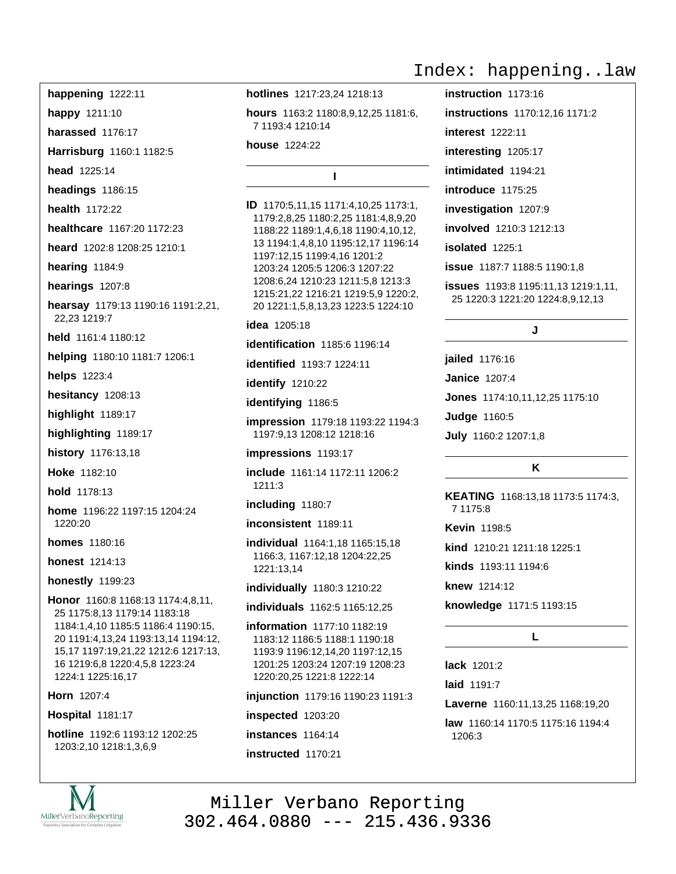happening 1222:11

happy 1211:10

harassed 1176:17

Harrisburg 1160:1 1182:5

head 1225:14

headings 1186:15

health 1172:22

healthcare 1167:20 1172:23

heard 1202:8 1208:25 1210:1

hearing 1184:9

hearings 1207:8

hearsay 1179:13 1190:16 1191:2,21, 22.23 1219:7

held 1161:4 1180:12

helping 1180:10 1181:7 1206:1

helps 1223:4

hesitancy 1208:13

highlight 1189:17

highlighting 1189:17

history 1176:13,18

Hoke 1182:10

hold 1178:13

home 1196:22 1197:15 1204:24 1220:20

**homes** 1180:16

**honest** 1214:13

honestly 1199:23

Honor 1160:8 1168:13 1174:4.8.11. 25 1175:8,13 1179:14 1183:18 1184:1,4,10 1185:5 1186:4 1190:15, 20 1191:4, 13, 24 1193: 13, 14 1194: 12, 15,17 1197:19,21,22 1212:6 1217:13, 16 1219:6,8 1220:4,5,8 1223:24 1224:1 1225:16,17

Horn 1207:4

**Hospital 1181:17** 

hotline 1192:6 1193:12 1202:25 1203:2,10 1218:1,3,6,9



hotlines 1217:23,24 1218:13

hours 1163:2 1180:8,9,12,25 1181:6, 7 1193:4 1210:14

house 1224:22

 $\mathbf{I}$ 

ID 1170:5,11,15 1171:4,10,25 1173:1, 1179:2,8,25 1180:2,25 1181:4,8,9,20 1188:22 1189:1,4,6,18 1190:4,10,12, 13 1194:1,4,8,10 1195:12,17 1196:14 1197:12,15 1199:4,16 1201:2 1203:24 1205:5 1206:3 1207:22 1208:6,24 1210:23 1211:5,8 1213:3 1215:21,22 1216:21 1219:5,9 1220:2, 20 1221:1,5,8,13,23 1223:5 1224:10

**idea** 1205:18

**identification** 1185:6 1196:14

identified 1193:7 1224:11

identify 1210:22

identifying 1186:5

impression 1179:18 1193:22 1194:3 1197:9.13 1208:12 1218:16

impressions 1193:17

include 1161:14 1172:11 1206:2 1211:3

including 1180:7

inconsistent 1189:11

individual 1164:1,18 1165:15,18 1166:3, 1167:12,18 1204:22,25 1221:13.14

individually 1180:3 1210:22

individuals 1162:5 1165:12.25

information 1177:10 1182:19 1183:12 1186:5 1188:1 1190:18 1193:9 1196:12,14,20 1197:12,15 1201:25 1203:24 1207:19 1208:23 1220:20,25 1221:8 1222:14

injunction 1179:16 1190:23 1191:3

inspected 1203:20

instances 1164:14

instructed 1170:21

## Index: happening..law

instruction 1173:16 **instructions** 1170:12.16 1171:2 **interest** 1222:11 interesting 1205:17 intimidated 1194:21 introduce 1175:25 investigation 1207:9 involved 1210:3 1212:13 isolated 1225:1 issue 1187:7 1188:5 1190:1,8 **issues** 1193:8 1195:11,13 1219:1,11, 25 1220:3 1221:20 1224:8,9,12,13

J

jailed 1176:16

**Janice 1207:4** 

Jones 1174:10,11,12,25 1175:10

**Judge 1160:5** 

July 1160:2 1207:1,8

### Κ

KEATING 1168:13,18 1173:5 1174:3, 7 1175:8

Kevin 1198:5

kind 1210:21 1211:18 1225:1

kinds 1193:11 1194:6

knew 1214:12

knowledge 1171:5 1193:15

### L.

lack  $1201.2$ 

laid 1191:7

Laverne 1160:11,13,25 1168:19,20

law 1160:14 1170:5 1175:16 1194:4 1206:3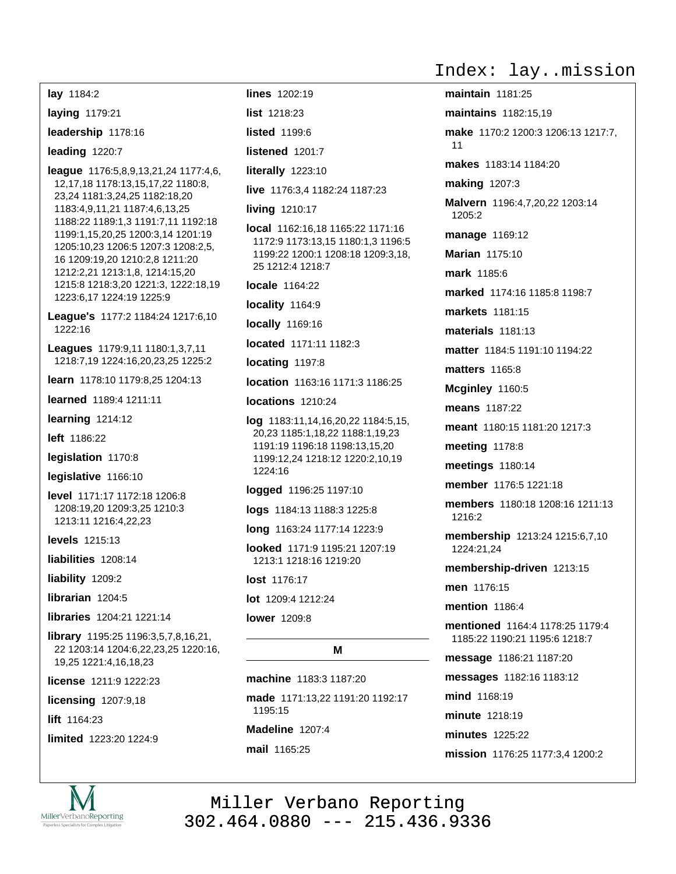lay 1184:2 laying 1179:21 leadership 1178:16 leading 1220:7 **league** 1176:5,8,9,13,21,24 1177:4,6, 12, 17, 18 1178: 13, 15, 17, 22 1180: 8, 23,24 1181:3,24,25 1182:18,20 1183:4,9,11,21 1187:4,6,13,25 1188:22 1189:1,3 1191:7,11 1192:18 1199:1,15,20,25 1200:3,14 1201:19 1205:10,23 1206:5 1207:3 1208:2,5, 16 1209:19.20 1210:2.8 1211:20 1212:2,21 1213:1,8, 1214:15,20 1215:8 1218:3,20 1221:3, 1222:18,19 1223:6,17 1224:19 1225:9 League's 1177:2 1184:24 1217:6,10 1222:16 Leagues 1179:9,11 1180:1,3,7,11 1218:7,19 1224:16,20,23,25 1225:2 learn 1178:10 1179:8.25 1204:13 learned 1189:4 1211:11 learning  $1214:12$ left 1186:22 legislation 1170:8 legislative 1166:10 level 1171:17 1172:18 1206:8 1208:19,20 1209:3,25 1210:3 1213:11 1216:4,22,23 levels 1215:13 liabilities 1208:14 liability 1209:2 librarian  $1204:5$ libraries 1204:21 1221:14 **library** 1195:25 1196:3,5,7,8,16,21, 22 1203:14 1204:6,22,23,25 1220:16, 19,25 1221:4,16,18,23 license 1211:9 1222:23 licensing 1207:9,18

lift 1164:23

limited 1223:20 1224:9



lines 1202:19

list 1218:23

listed 1199.6

listened 1201:7

literally 1223:10

live 1176:3.4 1182:24 1187:23

#### living 1210:17

local 1162:16,18 1165:22 1171:16 1172:9 1173:13,15 1180:1,3 1196:5 1199:22 1200:1 1208:18 1209:3,18, 25 1212:4 1218:7

locale 1164:22

locality 1164:9

**locally** 1169:16

located 1171:11 1182:3

locating 1197:8

location 1163:16 1171:3 1186:25

locations 1210:24

 $log$  1183:11,14,16,20,22 1184:5,15, 20,23 1185:1,18,22 1188:1,19,23 1191:19 1196:18 1198:13.15.20 1199:12,24 1218:12 1220:2,10,19 1224:16

logged 1196:25 1197:10

logs 1184:13 1188:3 1225:8

long 1163:24 1177:14 1223:9

looked 1171:9 1195:21 1207:19 1213:1 1218:16 1219:20

lost 1176:17

lot 1209:4 1212:24

#### **lower** 1209:8

### M

machine 1183:3 1187:20 made 1171:13,22 1191:20 1192:17 1195:15 Madeline 1207:4

mail 1165:25

Index: lay..mission

maintain  $1181:25$ **maintains** 1182:15.19 make 1170:2 1200:3 1206:13 1217:7,  $11$ makes 1183:14 1184:20 **making 1207:3** Malvern 1196:4,7,20,22 1203:14 1205:2 manage 1169:12 Marian 1175:10 mark 1185:6 marked 1174:16 1185:8 1198:7 markets 1181:15 materials 1181:13 matter 1184:5 1191:10 1194:22 **matters** 1165:8 Mcginley 1160:5 means 1187:22 meant 1180:15 1181:20 1217:3 meeting 1178:8 meetings 1180:14 member 1176:5 1221:18 members 1180:18 1208:16 1211:13 1216:2 membership 1213:24 1215:6,7,10 1224:21.24 membership-driven 1213:15 men 1176:15 mention 1186:4 mentioned 1164:4 1178:25 1179:4 1185:22 1190:21 1195:6 1218:7 message 1186:21 1187:20 messages 1182:16 1183:12 mind 1168:19 minute 1218:19 minutes 1225:22 mission 1176:25 1177:3,4 1200:2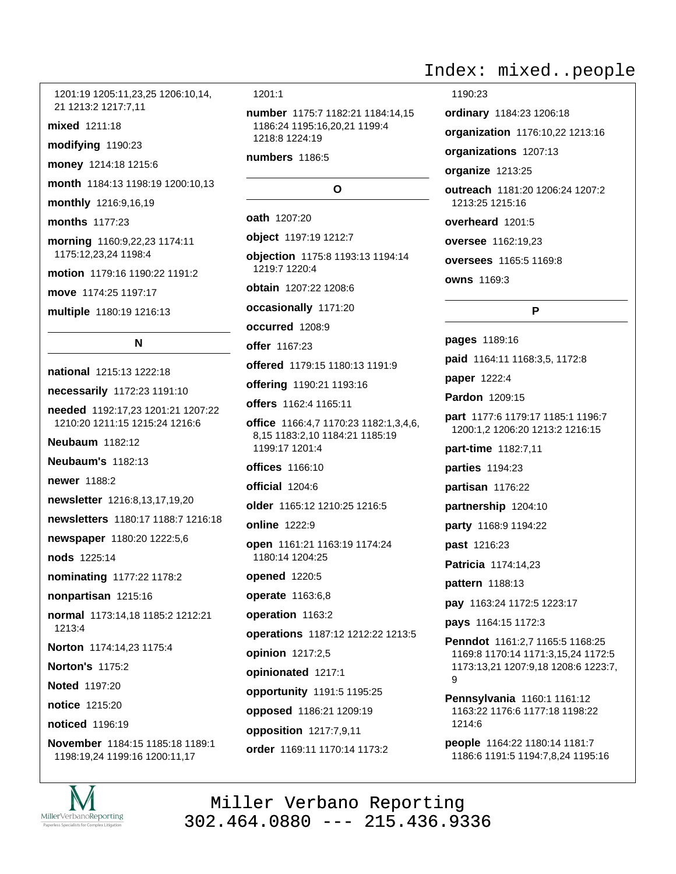1201:19 1205:11,23,25 1206:10,14, 21 1213:2 1217:7.11

mixed 1211:18

modifying 1190:23

money 1214:18 1215:6

month 1184:13 1198:19 1200:10,13

monthly 1216:9,16,19

months 1177:23

morning 1160:9,22,23 1174:11 1175:12,23,24 1198:4

motion 1179:16 1190:22 1191:2

move 1174:25 1197:17

multiple 1180:19 1216:13

**N** 

national 1215:13 1222:18 necessarily 1172:23 1191:10 needed 1192:17.23 1201:21 1207:22 1210:20 1211:15 1215:24 1216:6 **Neubaum** 1182:12 **Neubaum's 1182:13** newer 1188:2 newsletter 1216:8,13,17,19,20 newsletters 1180:17 1188:7 1216:18 newspaper 1180:20 1222:5,6 nods 1225:14 nominating 1177:22 1178:2 nonpartisan 1215:16 normal 1173:14.18 1185:2 1212:21  $1213.4$ Norton 1174:14,23 1175:4 **Norton's 1175:2** Noted 1197:20 notice 1215:20 noticed 1196:19

November 1184:15 1185:18 1189:1 1198:19,24 1199:16 1200:11,17



number 1175:7 1182:21 1184:14,15 1186:24 1195:16,20,21 1199:4 1218:8 1224:19

numbers 1186:5

#### O

oath 1207:20

object 1197:19 1212:7

objection 1175:8 1193:13 1194:14 1219:7 1220:4

obtain 1207:22 1208:6

occasionally 1171:20

occurred 1208:9

offer 1167:23

offered 1179:15 1180:13 1191:9

offering 1190:21 1193:16

offers 1162:4 1165:11

office 1166:4,7 1170:23 1182:1,3,4,6, 8,15 1183:2,10 1184:21 1185:19 1199:17 1201:4

 $offices$   $1166:10$ 

official 1204:6

older 1165:12 1210:25 1216:5

online 1222:9

open 1161:21 1163:19 1174:24 1180:14 1204:25

opened 1220:5

operate 1163:6,8

operation 1163:2

operations 1187:12 1212:22 1213:5

opinion 1217:2,5

opinionated 1217:1

opportunity 1191:5 1195:25

opposed 1186:21 1209:19

opposition 1217:7,9,11

order 1169:11 1170:14 1173:2

## Index: mixed..people

1190:23

ordinary 1184:23 1206:18

organization 1176:10,22 1213:16

organizations 1207:13

organize 1213:25

outreach 1181:20 1206:24 1207:2 1213:25 1215:16

overheard 1201:5

oversee 1162:19,23

oversees 1165:5 1169:8

owns 1169:3

P

pages 1189:16 paid 1164:11 1168:3,5, 1172:8

paper 1222:4

Pardon 1209:15

part 1177:6 1179:17 1185:1 1196:7 1200:1,2 1206:20 1213:2 1216:15

part-time 1182:7,11

parties 1194:23

partisan 1176:22

partnership 1204:10

party 1168:9 1194:22

past 1216:23

Patricia 1174:14,23

pattern 1188:13

pay 1163:24 1172:5 1223:17

pays 1164:15 1172:3

Penndot 1161:2.7 1165:5 1168:25 1169:8 1170:14 1171:3,15,24 1172:5 1173:13,21 1207:9,18 1208:6 1223:7,  $\mathsf{Q}$ 

Pennsylvania 1160:1 1161:12 1163:22 1176:6 1177:18 1198:22 1214:6

people 1164:22 1180:14 1181:7 1186:6 1191:5 1194:7,8,24 1195:16

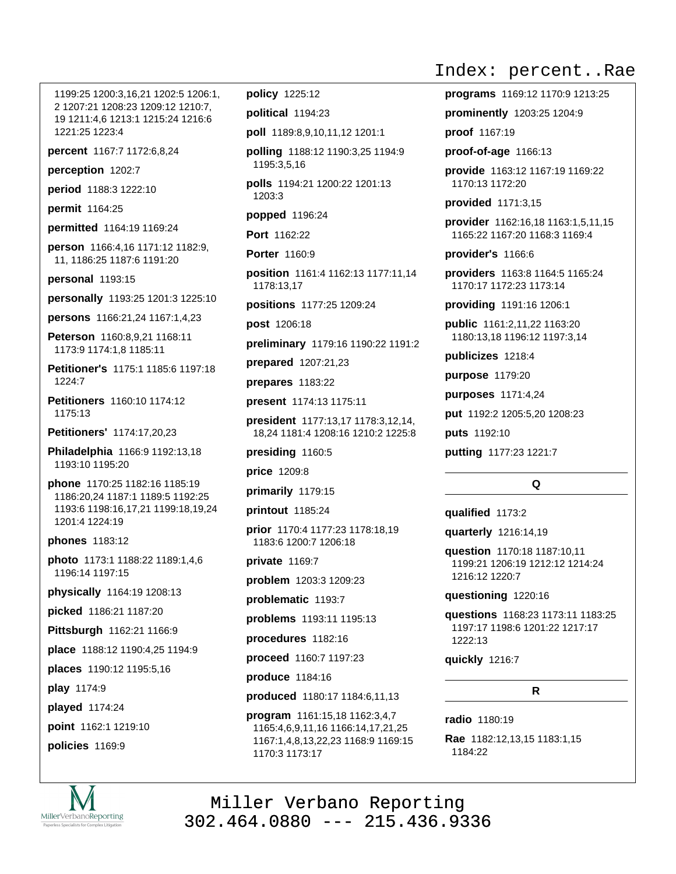1199:25 1200:3,16,21 1202:5 1206:1, 2 1207:21 1208:23 1209:12 1210:7, 19 1211:4,6 1213:1 1215:24 1216:6 1221:25 1223:4

percent 1167:7 1172:6,8,24

perception 1202:7

period 1188:3 1222:10

permit 1164:25

permitted 1164:19 1169:24

person 1166:4,16 1171:12 1182:9, 11, 1186:25 1187:6 1191:20

personal 1193:15

personally 1193:25 1201:3 1225:10

**persons** 1166:21.24 1167:1.4.23

Peterson 1160:8,9,21 1168:11 1173:9 1174:1.8 1185:11

Petitioner's 1175:1 1185:6 1197:18  $1224.7$ 

Petitioners 1160:10 1174:12 1175:13

Petitioners' 1174:17,20,23

Philadelphia 1166:9 1192:13.18 1193:10 1195:20

phone 1170:25 1182:16 1185:19 1186:20.24 1187:1 1189:5 1192:25 1193:6 1198:16,17,21 1199:18,19,24 1201:4 1224:19

phones 1183:12

photo 1173:1 1188:22 1189:1.4.6 1196:14 1197:15

physically 1164:19 1208:13

picked 1186:21 1187:20

Pittsburgh 1162:21 1166:9

place 1188:12 1190:4,25 1194:9

places 1190:12 1195:5,16

play 1174:9

played 1174:24

point 1162:1 1219:10

policies 1169:9

policy 1225:12

political 1194:23

poll 1189:8,9,10,11,12 1201:1

polling 1188:12 1190:3,25 1194:9 1195:3,5,16

polls 1194:21 1200:22 1201:13 1203:3

popped 1196:24

Port 1162:22

Porter 1160:9

position 1161:4 1162:13 1177:11,14 1178:13,17

positions 1177:25 1209:24

post 1206:18

preliminary 1179:16 1190:22 1191:2

prepared 1207:21,23

prepares 1183:22

present 1174:13 1175:11

president 1177:13,17 1178:3,12,14, 18,24 1181:4 1208:16 1210:2 1225:8

presiding 1160:5

price 1209:8

primarily 1179:15

printout 1185:24

prior 1170:4 1177:23 1178:18.19 1183:6 1200:7 1206:18

private 1169:7

problem 1203:3 1209:23

problematic 1193:7

problems 1193:11 1195:13

procedures 1182:16

proceed 1160:7 1197:23

produce 1184:16

produced 1180:17 1184:6,11,13

program 1161:15,18 1162:3,4,7 1165:4,6,9,11,16 1166:14,17,21,25 1167:1,4,8,13,22,23 1168:9 1169:15 1170:3 1173:17

## Index: percent..Rae

programs 1169:12 1170:9 1213:25 prominently 1203:25 1204:9 proof 1167:19

proof-of-age 1166:13

provide 1163:12 1167:19 1169:22 1170:13 1172:20

**provided** 1171:3.15

provider 1162:16,18 1163:1,5,11,15 1165:22 1167:20 1168:3 1169:4

provider's 1166:6

providers 1163:8 1164:5 1165:24 1170:17 1172:23 1173:14

providing 1191:16 1206:1

public 1161:2,11,22 1163:20 1180:13,18 1196:12 1197:3,14

publicizes 1218:4

purpose 1179:20

purposes 1171:4,24

put 1192:2 1205:5,20 1208:23

puts 1192:10

putting 1177:23 1221:7

#### $\Omega$

qualified 1173:2

quarterly 1216:14,19

question 1170:18 1187:10.11 1199:21 1206:19 1212:12 1214:24 1216:12 1220:7

questioning 1220:16

questions 1168:23 1173:11 1183:25 1197:17 1198:6 1201:22 1217:17 1222:13

quickly 1216:7

#### R.

radio 1180:19

Rae 1182:12,13,15 1183:1,15 1184:22

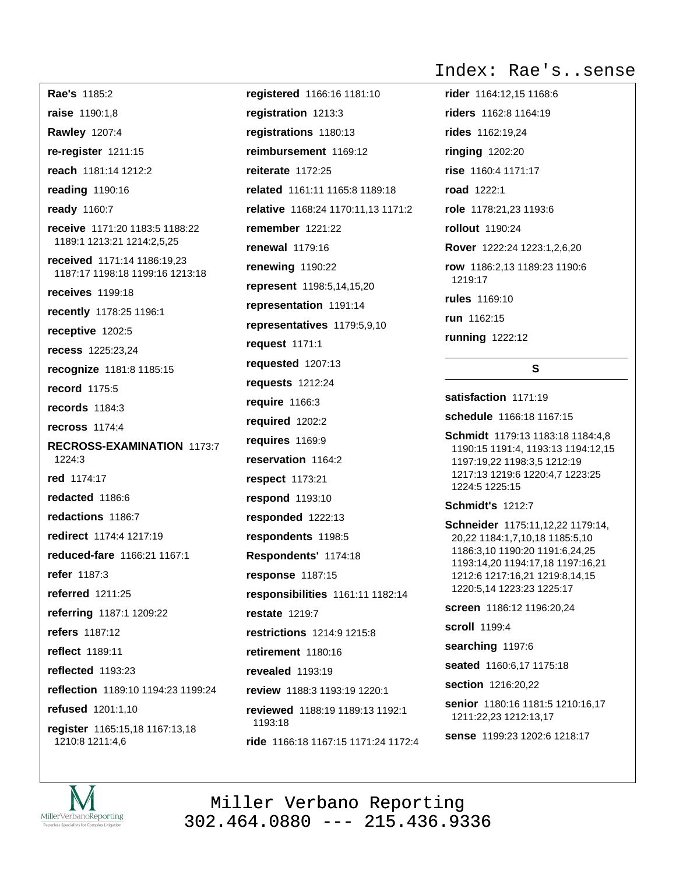Rae's 1185:2 raise 1190:1,8 **Rawley 1207:4** re-register 1211:15 reach 1181:14 1212:2 reading 1190:16 ready 1160:7 receive 1171:20 1183:5 1188:22 1189:1 1213:21 1214:2,5,25 received 1171:14 1186:19,23 1187:17 1198:18 1199:16 1213:18 receives 1199:18 recently 1178:25 1196:1 receptive 1202:5 recess 1225:23,24 recognize 1181:8 1185:15 record 1175:5 records  $1184:3$ recross 1174:4 RECROSS-EXAMINATION 1173:7  $1224:3$ red 1174:17 redacted 1186:6 redactions 1186:7 redirect 1174:4 1217:19 reduced-fare 1166:21 1167:1 refer 1187:3 referred 1211:25 referring 1187:1 1209:22 refers 1187:12 reflect 1189:11 reflected 1193:23 reflection 1189:10 1194:23 1199:24 refused 1201:1,10

register 1165:15,18 1167:13,18 1210:8 1211:4,6

registered 1166:16 1181:10 registration 1213:3 registrations 1180:13 reimbursement 1169:12 reiterate  $1172:25$ related 1161:11 1165:8 1189:18 relative 1168:24 1170:11.13 1171:2 **remember** 1221:22 **renewal** 1179:16 renewing 1190:22 represent 1198:5,14,15,20 representation 1191:14 representatives 1179:5,9,10 request 1171:1 requested 1207:13 requests 1212:24 require 1166:3 required 1202:2 requires 1169:9 reservation 1164:2 respect 1173:21 respond 1193:10 responded 1222:13 respondents 1198:5 Respondents' 1174:18 response 1187:15 responsibilities 1161:11 1182:14 **restate** 1219:7 restrictions 1214:9 1215:8 retirement 1180:16 revealed 1193:19 review 1188:3 1193:19 1220:1 reviewed 1188:19 1189:13 1192:1 1193:18 ride 1166:18 1167:15 1171:24 1172:4

## Index: Rae's..sense

rider 1164:12.15 1168:6 **riders** 1162:8 1164:19 rides 1162:19.24 ringing 1202:20 rise 1160:4 1171:17 road 1222:1 role 1178:21.23 1193:6 rollout 1190:24 Rover 1222:24 1223:1.2.6.20 row 1186:2,13 1189:23 1190:6 1219:17 rules 1169:10 run 1162:15 **running** 1222:12

## S.

satisfaction 1171:19

schedule 1166:18 1167:15

Schmidt 1179:13 1183:18 1184:4,8 1190:15 1191:4, 1193:13 1194:12,15 1197:19,22 1198:3,5 1212:19 1217:13 1219:6 1220:4,7 1223:25 1224:5 1225:15

**Schmidt's 1212:7** 

Schneider 1175:11,12,22 1179:14, 20,22 1184:1,7,10,18 1185:5,10 1186:3,10 1190:20 1191:6,24,25 1193:14,20 1194:17,18 1197:16,21 1212:6 1217:16,21 1219:8,14,15 1220:5,14 1223:23 1225:17

screen 1186:12 1196:20,24

scroll 1199:4

searching 1197:6

seated 1160:6,17 1175:18

section 1216:20,22

senior 1180:16 1181:5 1210:16,17 1211:22,23 1212:13,17

sense 1199:23 1202:6 1218:17

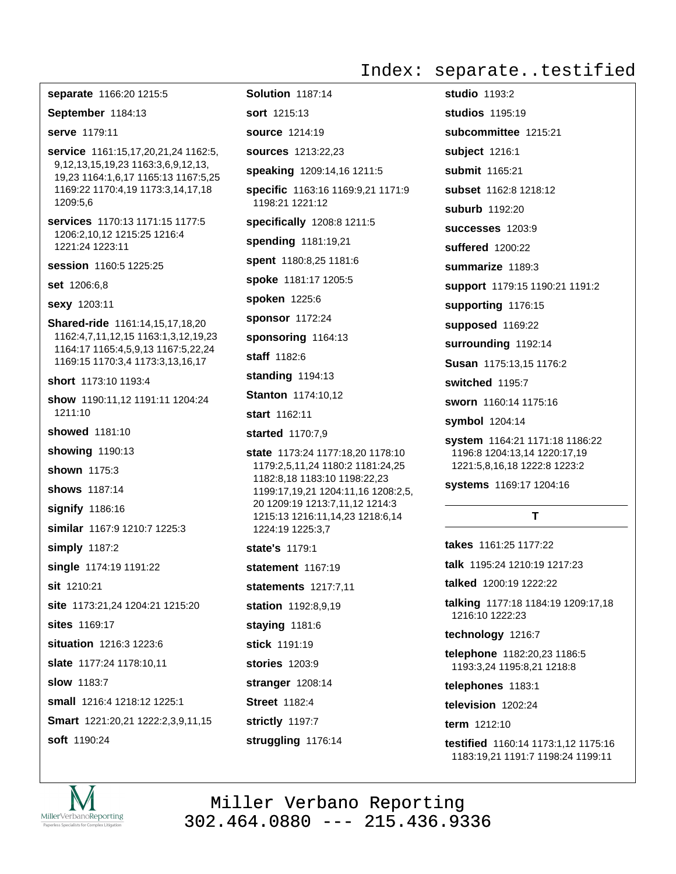#### Index: separate..testified

separate 1166:20 1215:5 September 1184:13 serve 1179:11 service 1161:15,17,20,21,24 1162:5, 9,12,13,15,19,23 1163:3,6,9,12,13, 19,23 1164:1,6,17 1165:13 1167:5,25 1169:22 1170:4,19 1173:3,14,17,18 1209:5.6 services 1170:13 1171:15 1177:5 1206:2.10.12 1215:25 1216:4 1221:24 1223:11 session 1160:5 1225:25 set 1206:6,8 sexy 1203:11 **Shared-ride** 1161:14,15,17,18,20 1162:4,7,11,12,15 1163:1,3,12,19,23 1164:17 1165:4,5,9,13 1167:5,22,24 1169:15 1170:3.4 1173:3.13.16.17 short 1173:10 1193:4 show 1190:11,12 1191:11 1204:24 1211:10 showed 1181:10 showing 1190:13 shown 1175:3 shows 1187:14 signify 1186:16 similar 1167:9 1210:7 1225:3 simply 1187:2 single 1174:19 1191:22 sit 1210:21 site 1173:21,24 1204:21 1215:20 sites 1169:17 situation 1216:3 1223:6 slate 1177:24 1178:10,11 slow 1183:7 small 1216:4 1218:12 1225:1 Smart 1221:20,21 1222:2,3,9,11,15 soft 1190:24

Solution 1187:14 **sort** 1215:13 source 1214:19 **sources** 1213:22,23 speaking 1209:14,16 1211:5 specific 1163:16 1169:9,21 1171:9 1198:21 1221:12 specifically 1208:8 1211:5 spending 1181:19,21 spent 1180:8,25 1181:6 spoke 1181:17 1205:5 spoken 1225:6 sponsor 1172:24 sponsoring 1164:13 staff 1182:6 standing 1194:13 **Stanton 1174:10,12** start 1162:11 **started** 1170:7.9 state 1173:24 1177:18,20 1178:10 1179:2,5,11,24 1180:2 1181:24,25 1182:8,18 1183:10 1198:22,23 1199:17,19,21 1204:11,16 1208:2,5, 20 1209:19 1213:7,11,12 1214:3 1215:13 1216:11,14,23 1218:6,14 1224:19 1225:3,7 state's 1179:1 statement 1167:19 statements 1217:7,11 station 1192:8,9,19 staying 1181:6 stick 1191:19 stories 1203:9 stranger 1208:14 **Street 1182:4** strictly 1197:7 struggling 1176:14

studio  $1193:2$ studios 1195:19 subcommittee 1215:21 subject 1216:1 submit 1165:21 subset 1162:8 1218:12 suburb  $1192.20$ successes 1203:9 suffered 1200:22 summarize 1189:3 support 1179:15 1190:21 1191:2 supporting 1176:15 supposed 1169:22 surrounding 1192:14 Susan 1175:13,15 1176:2 switched 1195:7 sworn 1160:14 1175:16 symbol 1204:14 system 1164:21 1171:18 1186:22 1196:8 1204:13,14 1220:17,19

1221:5,8,16,18 1222:8 1223:2

systems 1169:17 1204:16

## T

takes 1161:25 1177:22 talk 1195:24 1210:19 1217:23 talked 1200:19 1222:22 talking 1177:18 1184:19 1209:17.18 1216:10 1222:23 technology 1216:7 telephone 1182:20,23 1186:5 1193:3,24 1195:8,21 1218:8 telephones 1183:1 television 1202:24

term 1212:10

testified 1160:14 1173:1.12 1175:16 1183:19.21 1191:7 1198:24 1199:11

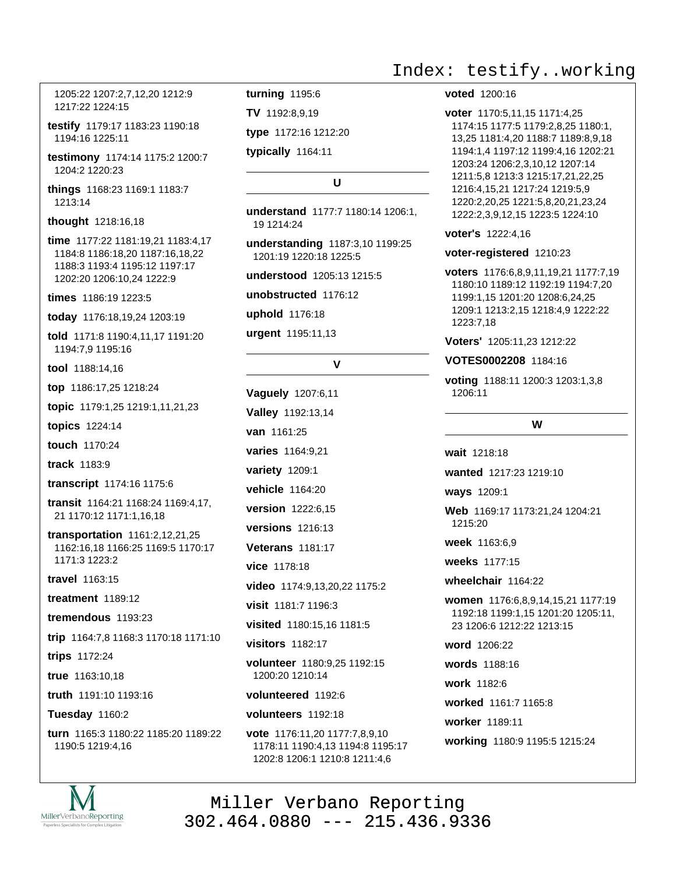1205:22 1207:2,7,12,20 1212:9 1217:22 1224:15

testify 1179:17 1183:23 1190:18 1194:16 1225:11

testimony 1174:14 1175:2 1200:7 1204:2 1220:23

things 1168:23 1169:1 1183:7 1213:14

thought 1218:16.18

time 1177:22 1181:19,21 1183:4,17 1184:8 1186:18,20 1187:16,18,22 1188:3 1193:4 1195:12 1197:17 1202:20 1206:10,24 1222:9

times 1186:19 1223:5

today 1176:18,19,24 1203:19

told 1171:8 1190:4,11,17 1191:20 1194:7,9 1195:16

tool 1188:14,16

top 1186:17,25 1218:24

topic 1179:1,25 1219:1,11,21,23

topics 1224:14

touch 1170:24

track 1183:9

transcript 1174:16 1175:6

transit 1164:21 1168:24 1169:4,17, 21 1170:12 1171:1,16,18

transportation 1161:2,12,21,25 1162:16,18 1166:25 1169:5 1170:17 1171:3 1223:2

travel 1163:15

**treatment** 1189:12

tremendous 1193:23

trip 1164:7,8 1168:3 1170:18 1171:10

trips 1172:24

true 1163:10.18

truth 1191:10 1193:16

**Tuesday 1160:2** 

turn 1165:3 1180:22 1185:20 1189:22 1190:5 1219:4.16

turning 1195:6

TV 1192:8,9,19

type 1172:16 1212:20

typically 1164:11

## U

understand 1177:7 1180:14 1206:1, 19 1214:24

understanding 1187:3,10 1199:25 1201:19 1220:18 1225:5

understood 1205:13 1215:5

unobstructed 1176:12

uphold 1176:18

urgent 1195:11,13

#### $\mathbf{v}$

Vaguely 1207:6,11 Valley 1192:13,14 van 1161:25 varies 1164:9,21 variety 1209:1 vehicle 1164:20 version 1222:6,15 versions 1216:13 **Veterans 1181:17** vice 1178:18 video 1174:9,13,20,22 1175:2 visit 1181:7 1196:3 visited 1180:15,16 1181:5 visitors 1182:17 volunteer 1180:9,25 1192:15 1200:20 1210:14 volunteered 1192:6 volunteers 1192:18 vote 1176:11,20 1177:7,8,9,10

1178:11 1190:4,13 1194:8 1195:17 1202:8 1206:1 1210:8 1211:4,6

## Index: testify..working

#### voted 1200:16

voter 1170:5,11,15 1171:4,25 1174:15 1177:5 1179:2,8,25 1180:1, 13,25 1181:4,20 1188:7 1189:8,9,18 1194:1,4 1197:12 1199:4,16 1202:21 1203:24 1206:2,3,10,12 1207:14 1211:5,8 1213:3 1215:17,21,22,25 1216:4,15,21 1217:24 1219:5,9 1220:2,20,25 1221:5,8,20,21,23,24 1222:2.3.9.12.15 1223:5 1224:10

#### voter's 1222:4,16

voter-registered 1210:23

voters 1176:6,8,9,11,19,21 1177:7,19 1180:10 1189:12 1192:19 1194:7,20 1199:1,15 1201:20 1208:6,24,25 1209:1 1213:2,15 1218:4,9 1222:22 1223:7,18

Voters' 1205:11,23 1212:22

VOTES0002208 1184:16

voting 1188:11 1200:3 1203:1,3,8 1206:11

W

wait 1218:18

wanted 1217:23 1219:10

ways 1209:1

Web 1169:17 1173:21,24 1204:21 1215:20

week 1163:6.9

weeks 1177:15

wheelchair 1164:22

women 1176:6,8,9,14,15,21 1177:19 1192:18 1199:1.15 1201:20 1205:11. 23 1206:6 1212:22 1213:15

word 1206:22

words 1188:16

work 1182.6

worked 1161:7 1165:8

- worker 1189:11
- working 1180:9 1195:5 1215:24